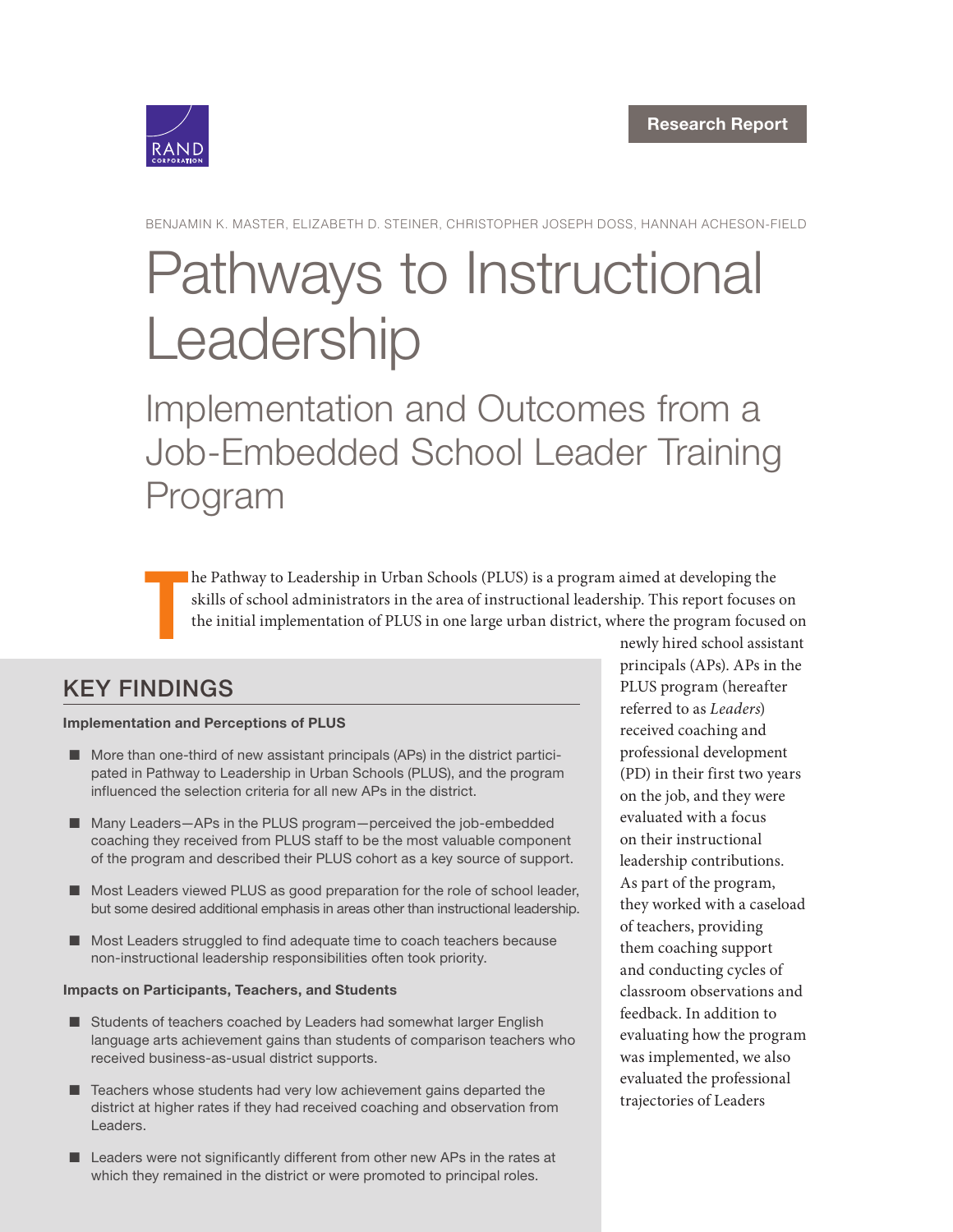

BENJAMIN K. MASTER, ELIZABETH D. STEINER, CHRISTOPHER JOSEPH DOSS, HANNAH ACHESON-FIELD

# [Pathways to Instructional](https://www.rand.org/pubs/research_reports/RRA255-1.html)  Leadership

Implementation and Outcomes from a Job-Embedded School Leader Training Program

T he Pathway to Leadership in Urban Schools (PLUS) is a program aimed at developing the skills of school administrators in the area of instructional leadership. This report focuses on the initial implementation of PLUS in one large urban district, where the program focused on

### KEY FINDINGS

#### Implementation and Perceptions of PLUS

- $\blacksquare$  More than one-third of new assistant principals (APs) in the district participated in Pathway to Leadership in Urban Schools (PLUS), and the program influenced the selection criteria for all new APs in the district.
- Many Leaders-APs in the PLUS program-perceived the job-embedded coaching they received from PLUS staff to be the most valuable component of the program and described their PLUS cohort as a key source of support.
- Most Leaders viewed PLUS as good preparation for the role of school leader, but some desired additional emphasis in areas other than instructional leadership.
- Most Leaders struggled to find adequate time to coach teachers because non-instructional leadership responsibilities often took priority.

#### Impacts on Participants, Teachers, and Students

- Students of teachers coached by Leaders had somewhat larger English language arts achievement gains than students of comparison teachers who received business-as-usual district supports.
- $\blacksquare$  Teachers whose students had very low achievement gains departed the district at higher rates if they had received coaching and observation from Leaders.
- $\blacksquare$  Leaders were not significantly different from other new APs in the rates at which they remained in the district or were promoted to principal roles.

newly hired school assistant principals (APs). APs in the PLUS program (hereafter referred to as Leaders) received coaching and professional development (PD) in their first two years on the job, and they were evaluated with a focus on their instructional leadership contributions. As part of the program, they worked with a caseload of teachers, providing them coaching support and conducting cycles of classroom observations and feedback. In addition to evaluating how the program was implemented, we also evaluated the professional trajectories of Leaders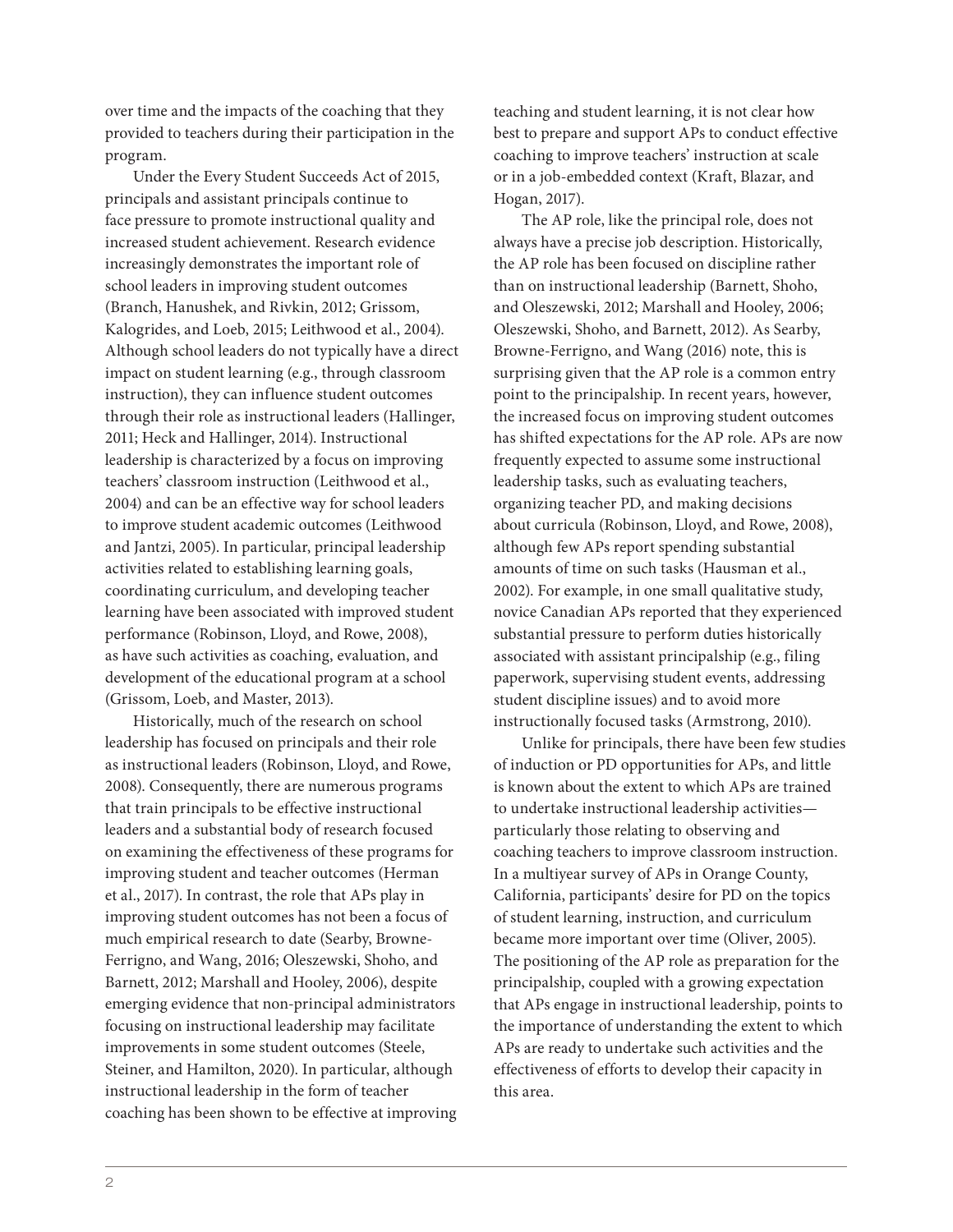over time and the impacts of the coaching that they provided to teachers during their participation in the program.

Under the Every Student Succeeds Act of 2015, principals and assistant principals continue to face pressure to promote instructional quality and increased student achievement. Research evidence increasingly demonstrates the important role of school leaders in improving student outcomes (Branch, Hanushek, and Rivkin, 2012; Grissom, Kalogrides, and Loeb, 2015; Leithwood et al., 2004). Although school leaders do not typically have a direct impact on student learning (e.g., through classroom instruction), they can influence student outcomes through their role as instructional leaders (Hallinger, 2011; Heck and Hallinger, 2014). Instructional leadership is characterized by a focus on improving teachers' classroom instruction (Leithwood et al., 2004) and can be an effective way for school leaders to improve student academic outcomes (Leithwood and Jantzi, 2005). In particular, principal leadership activities related to establishing learning goals, coordinating curriculum, and developing teacher learning have been associated with improved student performance (Robinson, Lloyd, and Rowe, 2008), as have such activities as coaching, evaluation, and development of the educational program at a school (Grissom, Loeb, and Master, 2013).

Historically, much of the research on school leadership has focused on principals and their role as instructional leaders (Robinson, Lloyd, and Rowe, 2008). Consequently, there are numerous programs that train principals to be effective instructional leaders and a substantial body of research focused on examining the effectiveness of these programs for improving student and teacher outcomes (Herman et al., 2017). In contrast, the role that APs play in improving student outcomes has not been a focus of much empirical research to date (Searby, Browne-Ferrigno, and Wang, 2016; Oleszewski, Shoho, and Barnett, 2012; Marshall and Hooley, 2006), despite emerging evidence that non-principal administrators focusing on instructional leadership may facilitate improvements in some student outcomes (Steele, Steiner, and Hamilton, 2020). In particular, although instructional leadership in the form of teacher coaching has been shown to be effective at improving

teaching and student learning, it is not clear how best to prepare and support APs to conduct effective coaching to improve teachers' instruction at scale or in a job-embedded context (Kraft, Blazar, and Hogan, 2017).

The AP role, like the principal role, does not always have a precise job description. Historically, the AP role has been focused on discipline rather than on instructional leadership (Barnett, Shoho, and Oleszewski, 2012; Marshall and Hooley, 2006; Oleszewski, Shoho, and Barnett, 2012). As Searby, Browne-Ferrigno, and Wang (2016) note, this is surprising given that the AP role is a common entry point to the principalship. In recent years, however, the increased focus on improving student outcomes has shifted expectations for the AP role. APs are now frequently expected to assume some instructional leadership tasks, such as evaluating teachers, organizing teacher PD, and making decisions about curricula (Robinson, Lloyd, and Rowe, 2008), although few APs report spending substantial amounts of time on such tasks (Hausman et al., 2002). For example, in one small qualitative study, novice Canadian APs reported that they experienced substantial pressure to perform duties historically associated with assistant principalship (e.g., filing paperwork, supervising student events, addressing student discipline issues) and to avoid more instructionally focused tasks (Armstrong, 2010).

Unlike for principals, there have been few studies of induction or PD opportunities for APs, and little is known about the extent to which APs are trained to undertake instructional leadership activities particularly those relating to observing and coaching teachers to improve classroom instruction. In a multiyear survey of APs in Orange County, California, participants' desire for PD on the topics of student learning, instruction, and curriculum became more important over time (Oliver, 2005). The positioning of the AP role as preparation for the principalship, coupled with a growing expectation that APs engage in instructional leadership, points to the importance of understanding the extent to which APs are ready to undertake such activities and the effectiveness of efforts to develop their capacity in this area.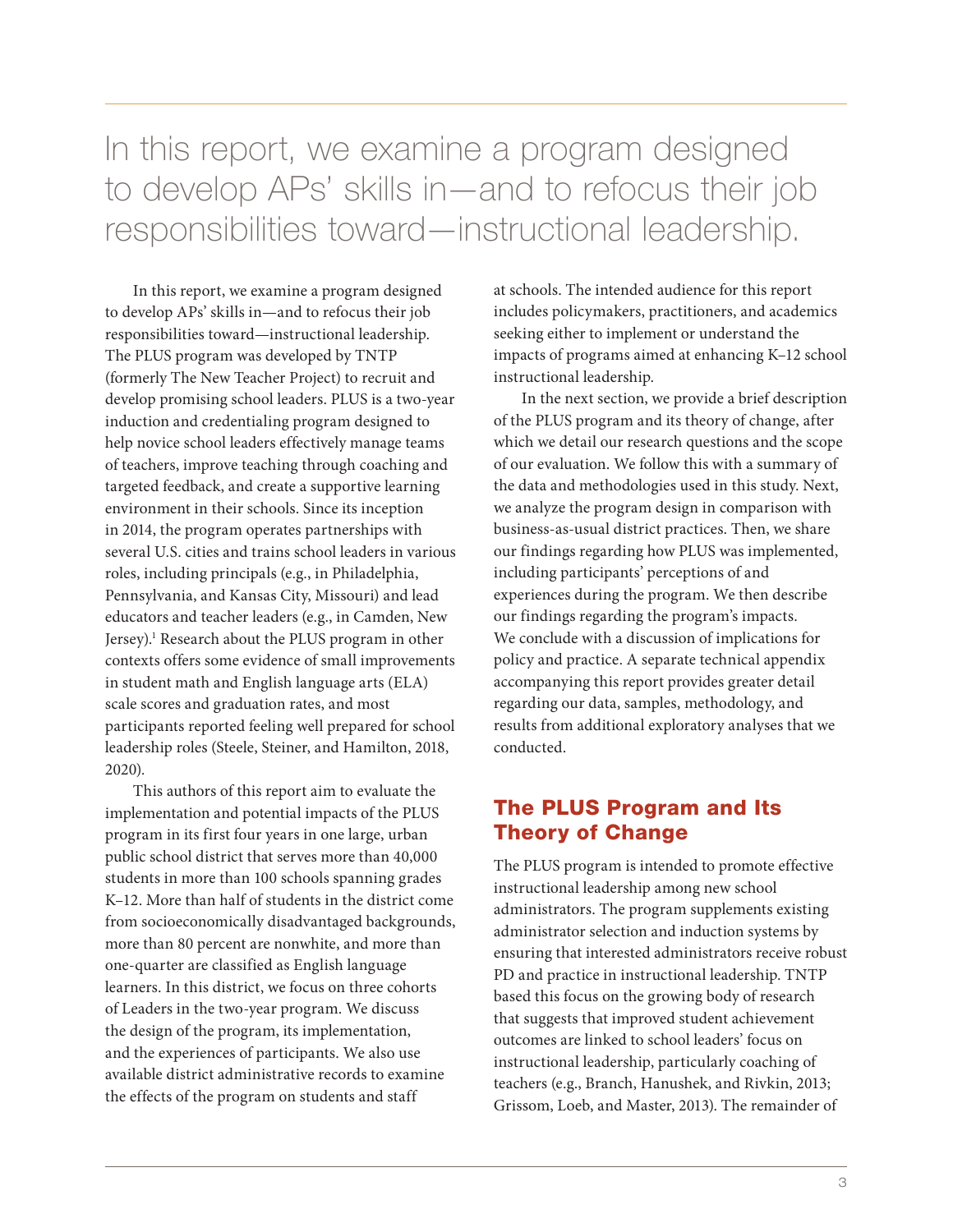In this report, we examine a program designed to develop APs' skills in—and to refocus their job responsibilities toward—instructional leadership.

In this report, we examine a program designed to develop APs' skills in—and to refocus their job responsibilities toward—instructional leadership. The PLUS program was developed by TNTP (formerly The New Teacher Project) to recruit and develop promising school leaders. PLUS is a two-year induction and credentialing program designed to help novice school leaders effectively manage teams of teachers, improve teaching through coaching and targeted feedback, and create a supportive learning environment in their schools. Since its inception in 2014, the program operates partnerships with several U.S. cities and trains school leaders in various roles, including principals (e.g., in Philadelphia, Pennsylvania, and Kansas City, Missouri) and lead educators and teacher leaders (e.g., in Camden, New Jersey).<sup>1</sup> Research about the PLUS program in other contexts offers some evidence of small improvements in student math and English language arts (ELA) scale scores and graduation rates, and most participants reported feeling well prepared for school leadership roles (Steele, Steiner, and Hamilton, 2018, 2020).

This authors of this report aim to evaluate the implementation and potential impacts of the PLUS program in its first four years in one large, urban public school district that serves more than 40,000 students in more than 100 schools spanning grades K–12. More than half of students in the district come from socioeconomically disadvantaged backgrounds, more than 80 percent are nonwhite, and more than one-quarter are classified as English language learners. In this district, we focus on three cohorts of Leaders in the two-year program. We discuss the design of the program, its implementation, and the experiences of participants. We also use available district administrative records to examine the effects of the program on students and staff

at schools. The intended audience for this report includes policymakers, practitioners, and academics seeking either to implement or understand the impacts of programs aimed at enhancing K–12 school instructional leadership.

In the next section, we provide a brief description of the PLUS program and its theory of change, after which we detail our research questions and the scope of our evaluation. We follow this with a summary of the data and methodologies used in this study. Next, we analyze the program design in comparison with business-as-usual district practices. Then, we share our findings regarding how PLUS was implemented, including participants' perceptions of and experiences during the program. We then describe our findings regarding the program's impacts. We conclude with a discussion of implications for policy and practice. A separate technical appendix accompanying this report provides greater detail regarding our data, samples, methodology, and results from additional exploratory analyses that we conducted.

#### The PLUS Program and Its Theory of Change

The PLUS program is intended to promote effective instructional leadership among new school administrators. The program supplements existing administrator selection and induction systems by ensuring that interested administrators receive robust PD and practice in instructional leadership. TNTP based this focus on the growing body of research that suggests that improved student achievement outcomes are linked to school leaders' focus on instructional leadership, particularly coaching of teachers (e.g., Branch, Hanushek, and Rivkin, 2013; Grissom, Loeb, and Master, 2013). The remainder of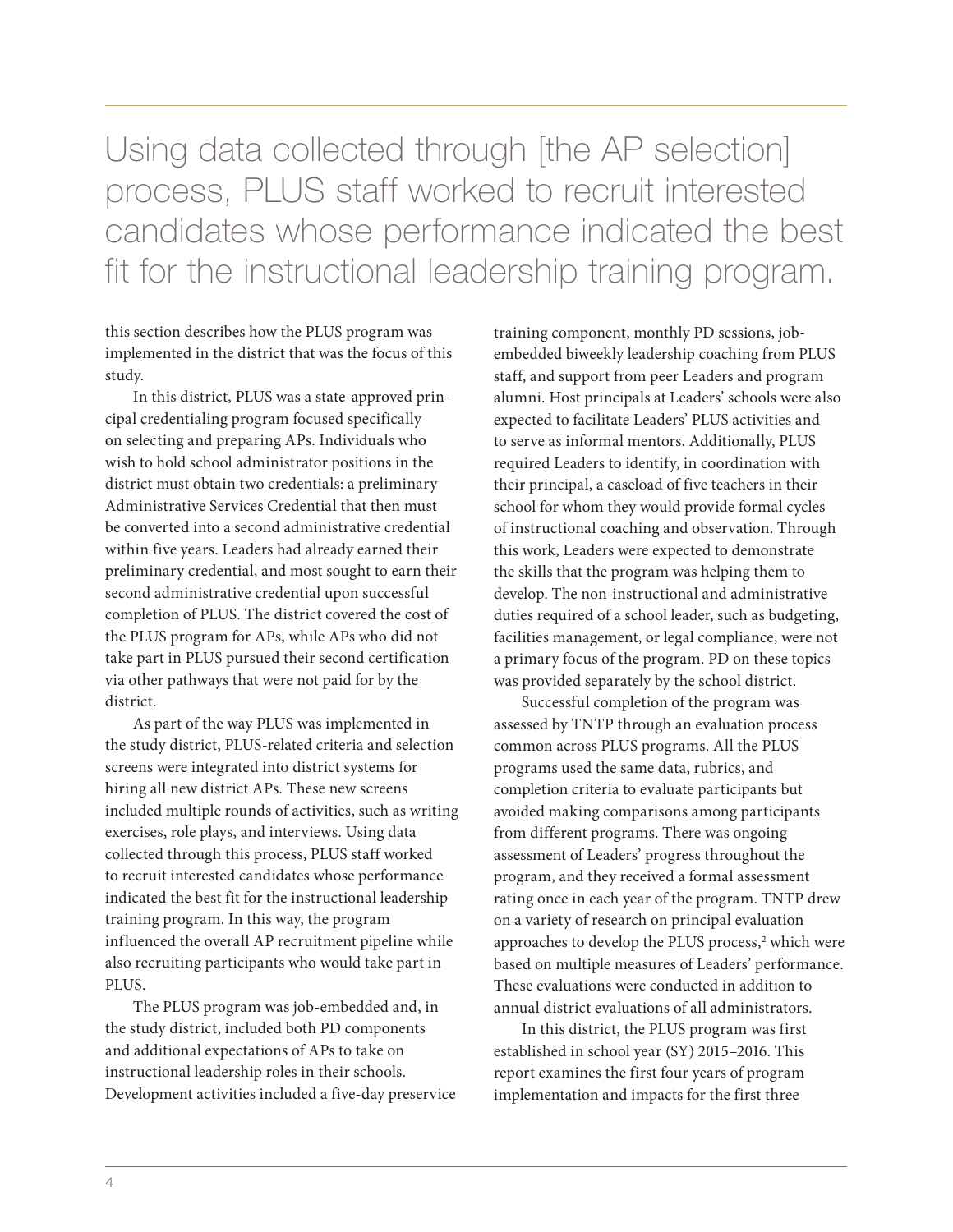Using data collected through [the AP selection] process, PLUS staff worked to recruit interested candidates whose performance indicated the best fit for the instructional leadership training program.

this section describes how the PLUS program was implemented in the district that was the focus of this study.

In this district, PLUS was a state-approved principal credentialing program focused specifically on selecting and preparing APs. Individuals who wish to hold school administrator positions in the district must obtain two credentials: a preliminary Administrative Services Credential that then must be converted into a second administrative credential within five years. Leaders had already earned their preliminary credential, and most sought to earn their second administrative credential upon successful completion of PLUS. The district covered the cost of the PLUS program for APs, while APs who did not take part in PLUS pursued their second certification via other pathways that were not paid for by the district.

As part of the way PLUS was implemented in the study district, PLUS-related criteria and selection screens were integrated into district systems for hiring all new district APs. These new screens included multiple rounds of activities, such as writing exercises, role plays, and interviews. Using data collected through this process, PLUS staff worked to recruit interested candidates whose performance indicated the best fit for the instructional leadership training program. In this way, the program influenced the overall AP recruitment pipeline while also recruiting participants who would take part in PLUS.

The PLUS program was job-embedded and, in the study district, included both PD components and additional expectations of APs to take on instructional leadership roles in their schools. Development activities included a five-day preservice

training component, monthly PD sessions, jobembedded biweekly leadership coaching from PLUS staff, and support from peer Leaders and program alumni. Host principals at Leaders' schools were also expected to facilitate Leaders' PLUS activities and to serve as informal mentors. Additionally, PLUS required Leaders to identify, in coordination with their principal, a caseload of five teachers in their school for whom they would provide formal cycles of instructional coaching and observation. Through this work, Leaders were expected to demonstrate the skills that the program was helping them to develop. The non-instructional and administrative duties required of a school leader, such as budgeting, facilities management, or legal compliance, were not a primary focus of the program. PD on these topics was provided separately by the school district.

Successful completion of the program was assessed by TNTP through an evaluation process common across PLUS programs. All the PLUS programs used the same data, rubrics, and completion criteria to evaluate participants but avoided making comparisons among participants from different programs. There was ongoing assessment of Leaders' progress throughout the program, and they received a formal assessment rating once in each year of the program. TNTP drew on a variety of research on principal evaluation approaches to develop the PLUS process,<sup>2</sup> which were based on multiple measures of Leaders' performance. These evaluations were conducted in addition to annual district evaluations of all administrators.

In this district, the PLUS program was first established in school year (SY) 2015–2016. This report examines the first four years of program implementation and impacts for the first three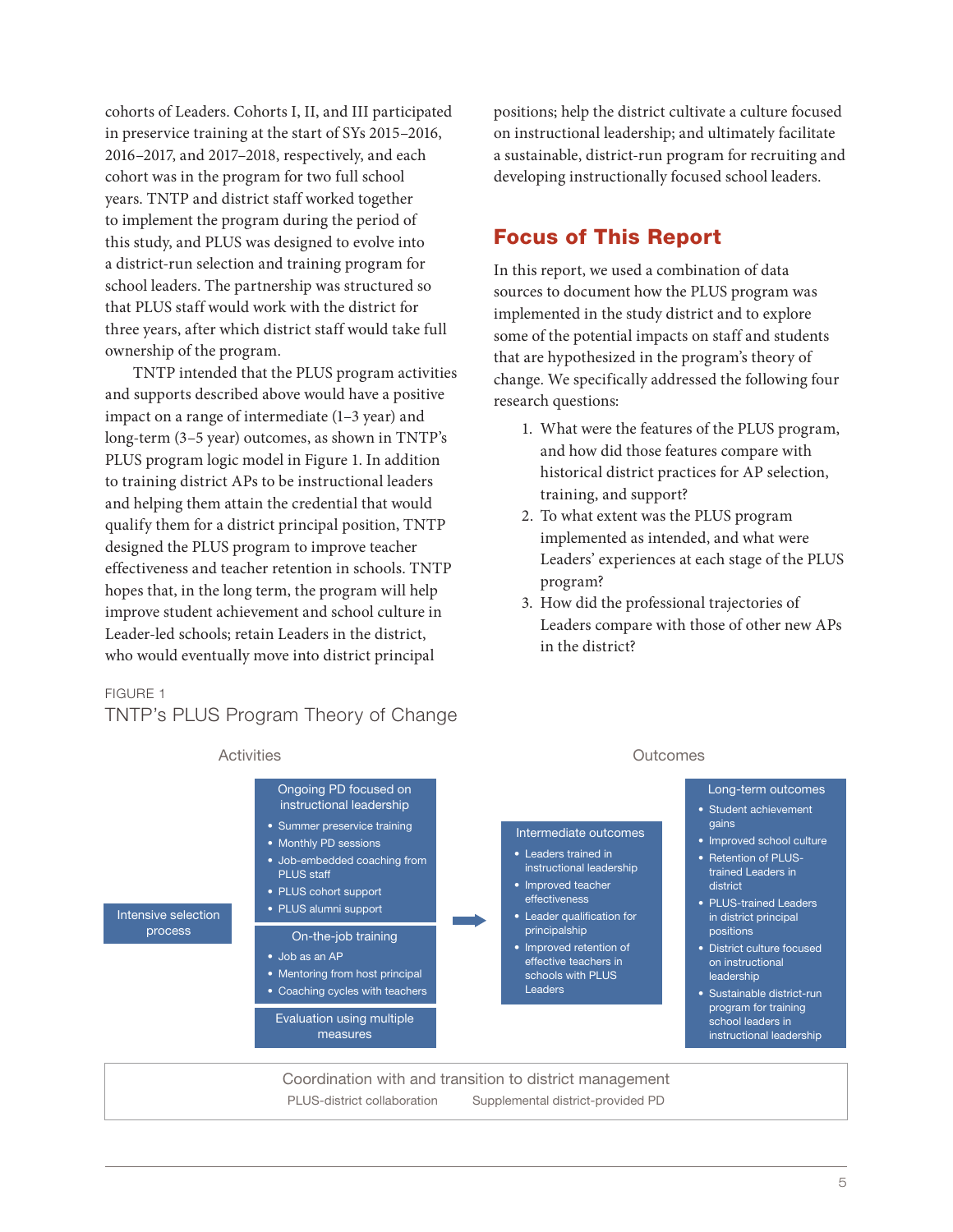cohorts of Leaders. Cohorts I, II, and III participated in preservice training at the start of SYs 2015–2016, 2016–2017, and 2017–2018, respectively, and each cohort was in the program for two full school years. TNTP and district staff worked together to implement the program during the period of this study, and PLUS was designed to evolve into a district-run selection and training program for school leaders. The partnership was structured so that PLUS staff would work with the district for three years, after which district staff would take full ownership of the program.

TNTP intended that the PLUS program activities and supports described above would have a positive impact on a range of intermediate (1–3 year) and long-term (3–5 year) outcomes, as shown in TNTP's PLUS program logic model in Figure 1. In addition to training district APs to be instructional leaders and helping them attain the credential that would qualify them for a district principal position, TNTP designed the PLUS program to improve teacher effectiveness and teacher retention in schools. TNTP hopes that, in the long term, the program will help improve student achievement and school culture in Leader-led schools; retain Leaders in the district, who would eventually move into district principal

#### FIGURE 1

#### TNTP's PLUS Program Theory of Change

positions; help the district cultivate a culture focused on instructional leadership; and ultimately facilitate a sustainable, district-run program for recruiting and developing instructionally focused school leaders.

#### Focus of This Report

In this report, we used a combination of data sources to document how the PLUS program was implemented in the study district and to explore some of the potential impacts on staff and students that are hypothesized in the program's theory of change. We specifically addressed the following four research questions:

- 1. What were the features of the PLUS program, and how did those features compare with historical district practices for AP selection, training, and support?
- 2. To what extent was the PLUS program implemented as intended, and what were Leaders' experiences at each stage of the PLUS program?
- 3. How did the professional trajectories of Leaders compare with those of other new APs in the district?

#### Activities **Outcomes**

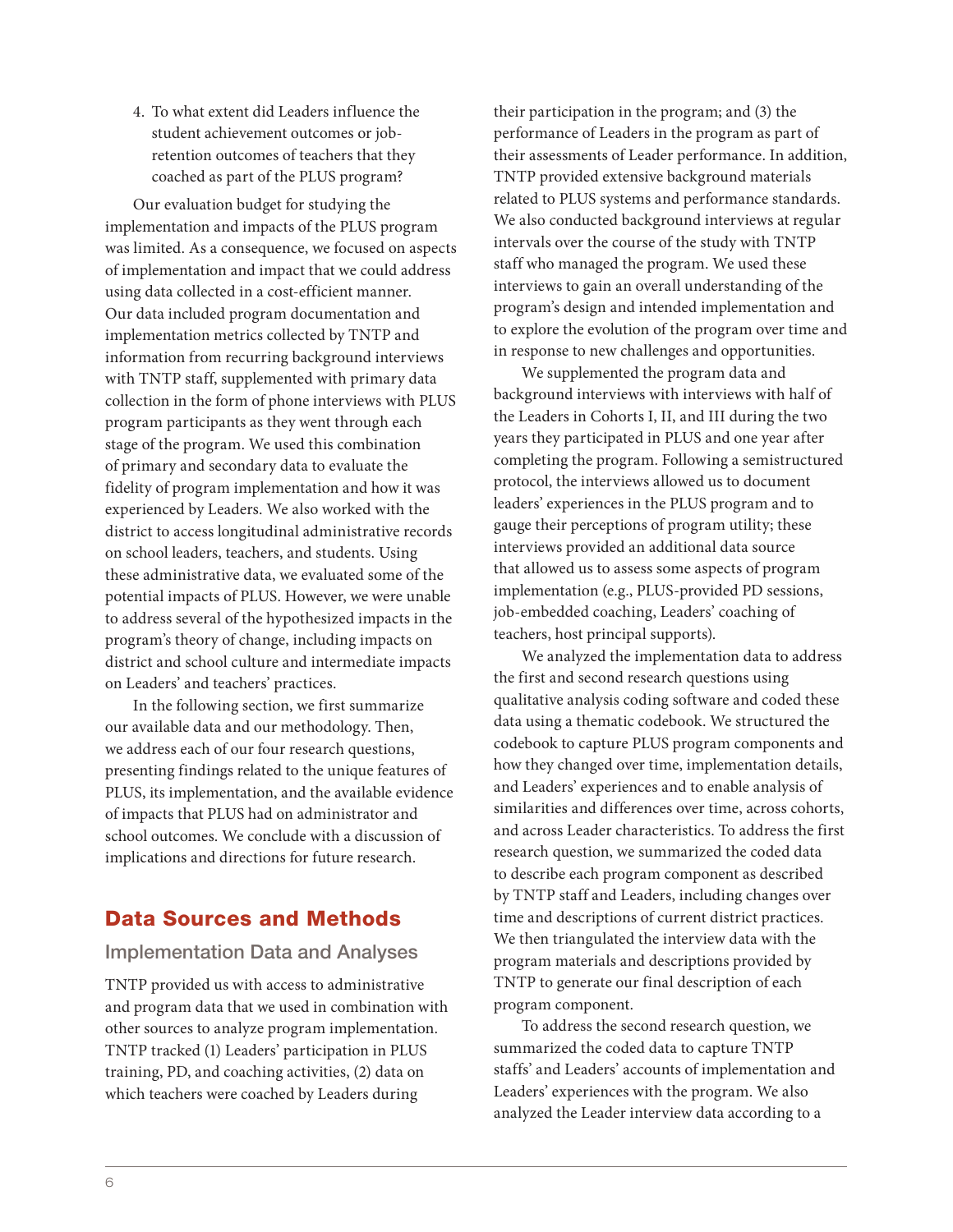4. To what extent did Leaders influence the student achievement outcomes or jobretention outcomes of teachers that they coached as part of the PLUS program?

Our evaluation budget for studying the implementation and impacts of the PLUS program was limited. As a consequence, we focused on aspects of implementation and impact that we could address using data collected in a cost-efficient manner. Our data included program documentation and implementation metrics collected by TNTP and information from recurring background interviews with TNTP staff, supplemented with primary data collection in the form of phone interviews with PLUS program participants as they went through each stage of the program. We used this combination of primary and secondary data to evaluate the fidelity of program implementation and how it was experienced by Leaders. We also worked with the district to access longitudinal administrative records on school leaders, teachers, and students. Using these administrative data, we evaluated some of the potential impacts of PLUS. However, we were unable to address several of the hypothesized impacts in the program's theory of change, including impacts on district and school culture and intermediate impacts on Leaders' and teachers' practices.

In the following section, we first summarize our available data and our methodology. Then, we address each of our four research questions, presenting findings related to the unique features of PLUS, its implementation, and the available evidence of impacts that PLUS had on administrator and school outcomes. We conclude with a discussion of implications and directions for future research.

#### Data Sources and Methods

#### Implementation Data and Analyses

TNTP provided us with access to administrative and program data that we used in combination with other sources to analyze program implementation. TNTP tracked (1) Leaders' participation in PLUS training, PD, and coaching activities, (2) data on which teachers were coached by Leaders during

their participation in the program; and (3) the performance of Leaders in the program as part of their assessments of Leader performance. In addition, TNTP provided extensive background materials related to PLUS systems and performance standards. We also conducted background interviews at regular intervals over the course of the study with TNTP staff who managed the program. We used these interviews to gain an overall understanding of the program's design and intended implementation and to explore the evolution of the program over time and in response to new challenges and opportunities.

We supplemented the program data and background interviews with interviews with half of the Leaders in Cohorts I, II, and III during the two years they participated in PLUS and one year after completing the program. Following a semistructured protocol, the interviews allowed us to document leaders' experiences in the PLUS program and to gauge their perceptions of program utility; these interviews provided an additional data source that allowed us to assess some aspects of program implementation (e.g., PLUS-provided PD sessions, job-embedded coaching, Leaders' coaching of teachers, host principal supports).

We analyzed the implementation data to address the first and second research questions using qualitative analysis coding software and coded these data using a thematic codebook. We structured the codebook to capture PLUS program components and how they changed over time, implementation details, and Leaders' experiences and to enable analysis of similarities and differences over time, across cohorts, and across Leader characteristics. To address the first research question, we summarized the coded data to describe each program component as described by TNTP staff and Leaders, including changes over time and descriptions of current district practices. We then triangulated the interview data with the program materials and descriptions provided by TNTP to generate our final description of each program component.

To address the second research question, we summarized the coded data to capture TNTP staffs' and Leaders' accounts of implementation and Leaders' experiences with the program. We also analyzed the Leader interview data according to a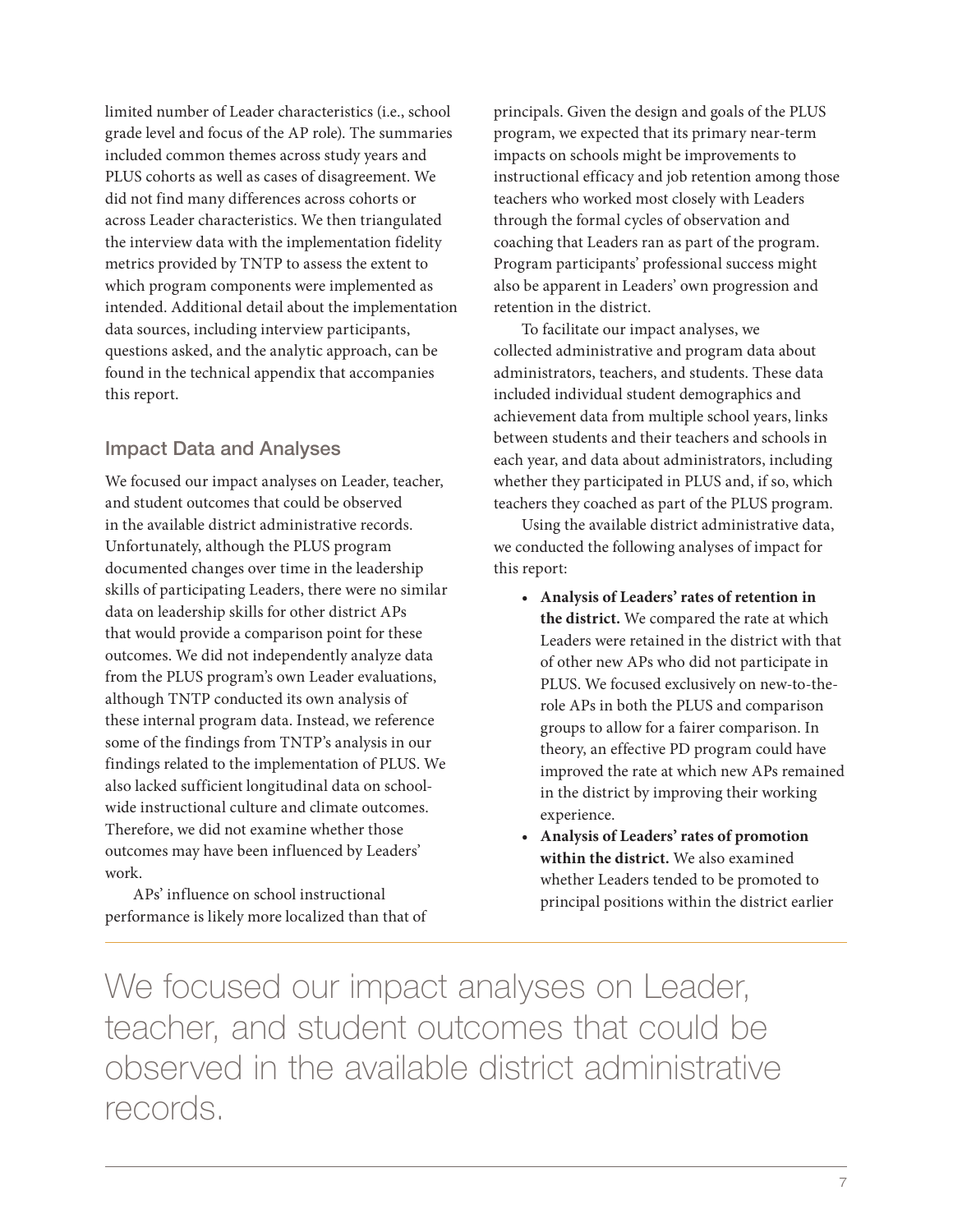limited number of Leader characteristics (i.e., school grade level and focus of the AP role). The summaries included common themes across study years and PLUS cohorts as well as cases of disagreement. We did not find many differences across cohorts or across Leader characteristics. We then triangulated the interview data with the implementation fidelity metrics provided by TNTP to assess the extent to which program components were implemented as intended. Additional detail about the implementation data sources, including interview participants, questions asked, and the analytic approach, can be found in the technical appendix that accompanies this report.

#### Impact Data and Analyses

We focused our impact analyses on Leader, teacher, and student outcomes that could be observed in the available district administrative records. Unfortunately, although the PLUS program documented changes over time in the leadership skills of participating Leaders, there were no similar data on leadership skills for other district APs that would provide a comparison point for these outcomes. We did not independently analyze data from the PLUS program's own Leader evaluations, although TNTP conducted its own analysis of these internal program data. Instead, we reference some of the findings from TNTP's analysis in our findings related to the implementation of PLUS. We also lacked sufficient longitudinal data on schoolwide instructional culture and climate outcomes. Therefore, we did not examine whether those outcomes may have been influenced by Leaders' work.

APs' influence on school instructional performance is likely more localized than that of

principals. Given the design and goals of the PLUS program, we expected that its primary near-term impacts on schools might be improvements to instructional efficacy and job retention among those teachers who worked most closely with Leaders through the formal cycles of observation and coaching that Leaders ran as part of the program. Program participants' professional success might also be apparent in Leaders' own progression and retention in the district.

To facilitate our impact analyses, we collected administrative and program data about administrators, teachers, and students. These data included individual student demographics and achievement data from multiple school years, links between students and their teachers and schools in each year, and data about administrators, including whether they participated in PLUS and, if so, which teachers they coached as part of the PLUS program.

Using the available district administrative data, we conducted the following analyses of impact for this report:

- **Analysis of Leaders' rates of retention in the district.** We compared the rate at which Leaders were retained in the district with that of other new APs who did not participate in PLUS. We focused exclusively on new-to-therole APs in both the PLUS and comparison groups to allow for a fairer comparison. In theory, an effective PD program could have improved the rate at which new APs remained in the district by improving their working experience.
- **Analysis of Leaders' rates of promotion within the district.** We also examined whether Leaders tended to be promoted to principal positions within the district earlier

We focused our impact analyses on Leader, teacher, and student outcomes that could be observed in the available district administrative records.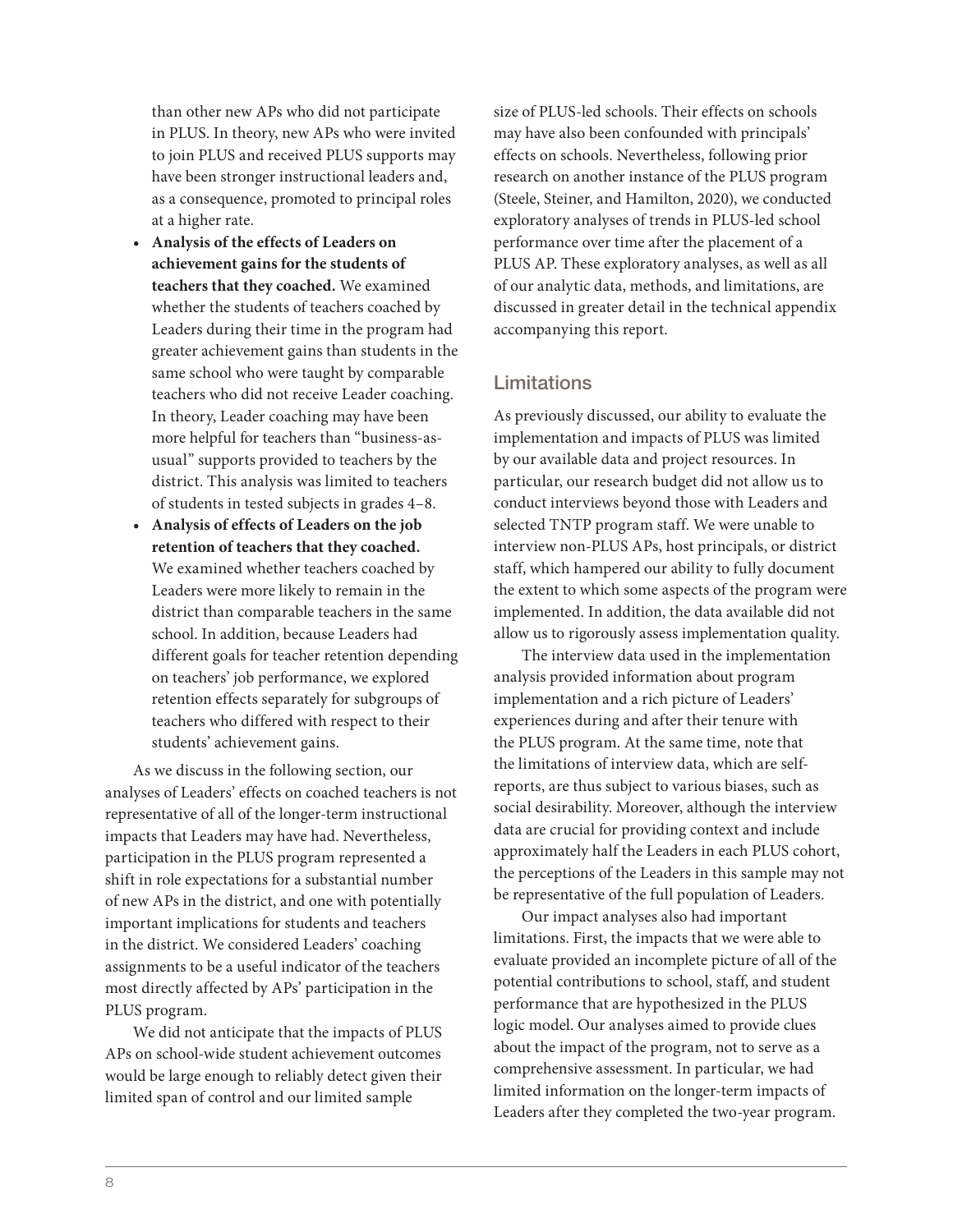than other new APs who did not participate in PLUS. In theory, new APs who were invited to join PLUS and received PLUS supports may have been stronger instructional leaders and, as a consequence, promoted to principal roles at a higher rate.

- **Analysis of the effects of Leaders on achievement gains for the students of teachers that they coached.** We examined whether the students of teachers coached by Leaders during their time in the program had greater achievement gains than students in the same school who were taught by comparable teachers who did not receive Leader coaching. In theory, Leader coaching may have been more helpful for teachers than "business-asusual" supports provided to teachers by the district. This analysis was limited to teachers of students in tested subjects in grades 4–8.
- **Analysis of effects of Leaders on the job retention of teachers that they coached.**  We examined whether teachers coached by Leaders were more likely to remain in the district than comparable teachers in the same school. In addition, because Leaders had different goals for teacher retention depending on teachers' job performance, we explored retention effects separately for subgroups of teachers who differed with respect to their students' achievement gains.

As we discuss in the following section, our analyses of Leaders' effects on coached teachers is not representative of all of the longer-term instructional impacts that Leaders may have had. Nevertheless, participation in the PLUS program represented a shift in role expectations for a substantial number of new APs in the district, and one with potentially important implications for students and teachers in the district. We considered Leaders' coaching assignments to be a useful indicator of the teachers most directly affected by APs' participation in the PLUS program.

We did not anticipate that the impacts of PLUS APs on school-wide student achievement outcomes would be large enough to reliably detect given their limited span of control and our limited sample

size of PLUS-led schools. Their effects on schools may have also been confounded with principals' effects on schools. Nevertheless, following prior research on another instance of the PLUS program (Steele, Steiner, and Hamilton, 2020), we conducted exploratory analyses of trends in PLUS-led school performance over time after the placement of a PLUS AP. These exploratory analyses, as well as all of our analytic data, methods, and limitations, are discussed in greater detail in the technical appendix accompanying this report.

#### Limitations

As previously discussed, our ability to evaluate the implementation and impacts of PLUS was limited by our available data and project resources. In particular, our research budget did not allow us to conduct interviews beyond those with Leaders and selected TNTP program staff. We were unable to interview non-PLUS APs, host principals, or district staff, which hampered our ability to fully document the extent to which some aspects of the program were implemented. In addition, the data available did not allow us to rigorously assess implementation quality.

The interview data used in the implementation analysis provided information about program implementation and a rich picture of Leaders' experiences during and after their tenure with the PLUS program. At the same time, note that the limitations of interview data, which are selfreports, are thus subject to various biases, such as social desirability. Moreover, although the interview data are crucial for providing context and include approximately half the Leaders in each PLUS cohort, the perceptions of the Leaders in this sample may not be representative of the full population of Leaders.

Our impact analyses also had important limitations. First, the impacts that we were able to evaluate provided an incomplete picture of all of the potential contributions to school, staff, and student performance that are hypothesized in the PLUS logic model. Our analyses aimed to provide clues about the impact of the program, not to serve as a comprehensive assessment. In particular, we had limited information on the longer-term impacts of Leaders after they completed the two-year program.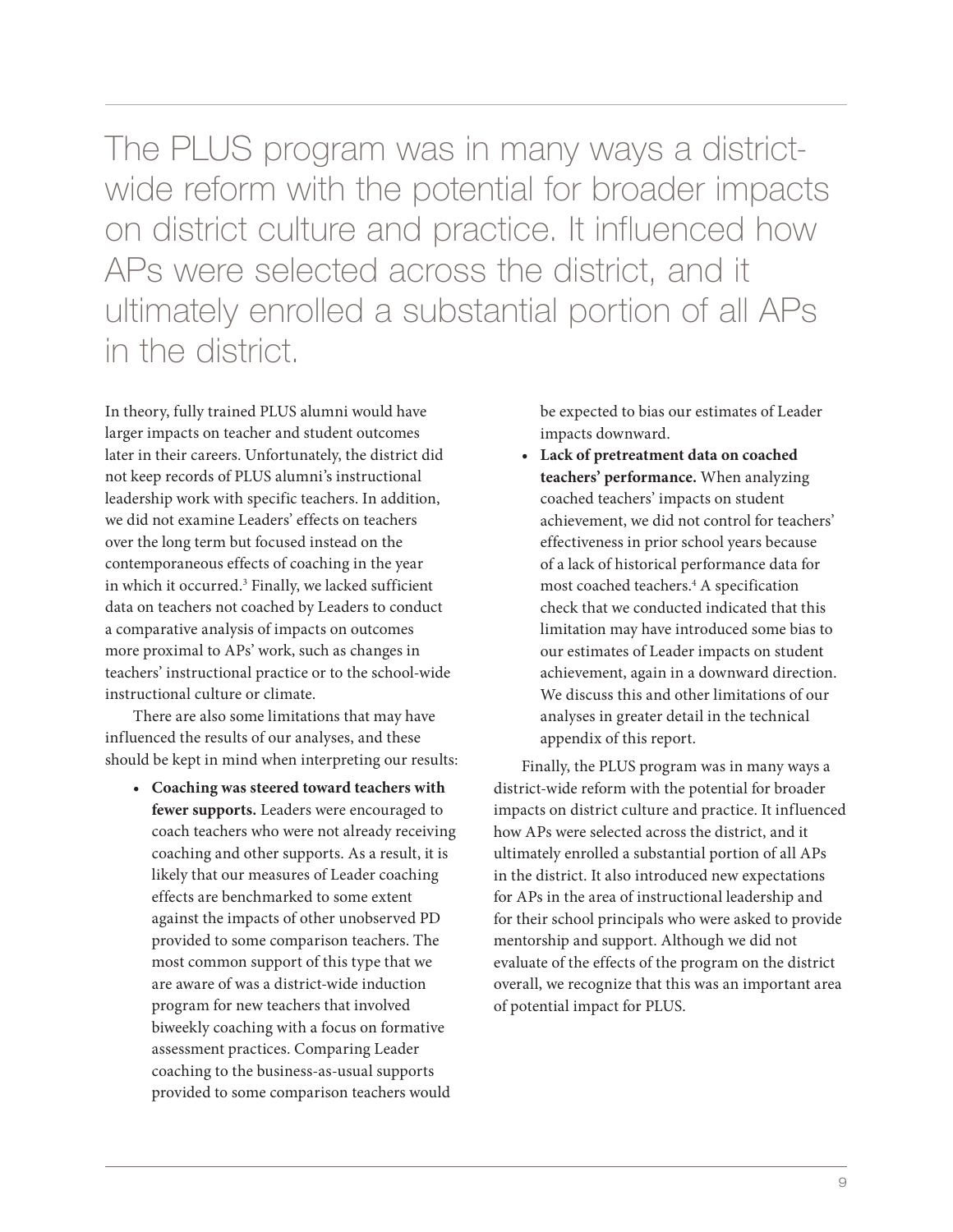The PLUS program was in many ways a districtwide reform with the potential for broader impacts on district culture and practice. It influenced how APs were selected across the district, and it ultimately enrolled a substantial portion of all APs in the district.

In theory, fully trained PLUS alumni would have larger impacts on teacher and student outcomes later in their careers. Unfortunately, the district did not keep records of PLUS alumni's instructional leadership work with specific teachers. In addition, we did not examine Leaders' effects on teachers over the long term but focused instead on the contemporaneous effects of coaching in the year in which it occurred.3 Finally, we lacked sufficient data on teachers not coached by Leaders to conduct a comparative analysis of impacts on outcomes more proximal to APs' work, such as changes in teachers' instructional practice or to the school-wide instructional culture or climate.

There are also some limitations that may have influenced the results of our analyses, and these should be kept in mind when interpreting our results:

**• Coaching was steered toward teachers with fewer supports.** Leaders were encouraged to coach teachers who were not already receiving coaching and other supports. As a result, it is likely that our measures of Leader coaching effects are benchmarked to some extent against the impacts of other unobserved PD provided to some comparison teachers. The most common support of this type that we are aware of was a district-wide induction program for new teachers that involved biweekly coaching with a focus on formative assessment practices. Comparing Leader coaching to the business-as-usual supports provided to some comparison teachers would

be expected to bias our estimates of Leader impacts downward.

**• Lack of pretreatment data on coached teachers' performance.** When analyzing coached teachers' impacts on student achievement, we did not control for teachers' effectiveness in prior school years because of a lack of historical performance data for most coached teachers.4 A specification check that we conducted indicated that this limitation may have introduced some bias to our estimates of Leader impacts on student achievement, again in a downward direction. We discuss this and other limitations of our analyses in greater detail in the technical appendix of this report.

Finally, the PLUS program was in many ways a district-wide reform with the potential for broader impacts on district culture and practice. It influenced how APs were selected across the district, and it ultimately enrolled a substantial portion of all APs in the district. It also introduced new expectations for APs in the area of instructional leadership and for their school principals who were asked to provide mentorship and support. Although we did not evaluate of the effects of the program on the district overall, we recognize that this was an important area of potential impact for PLUS.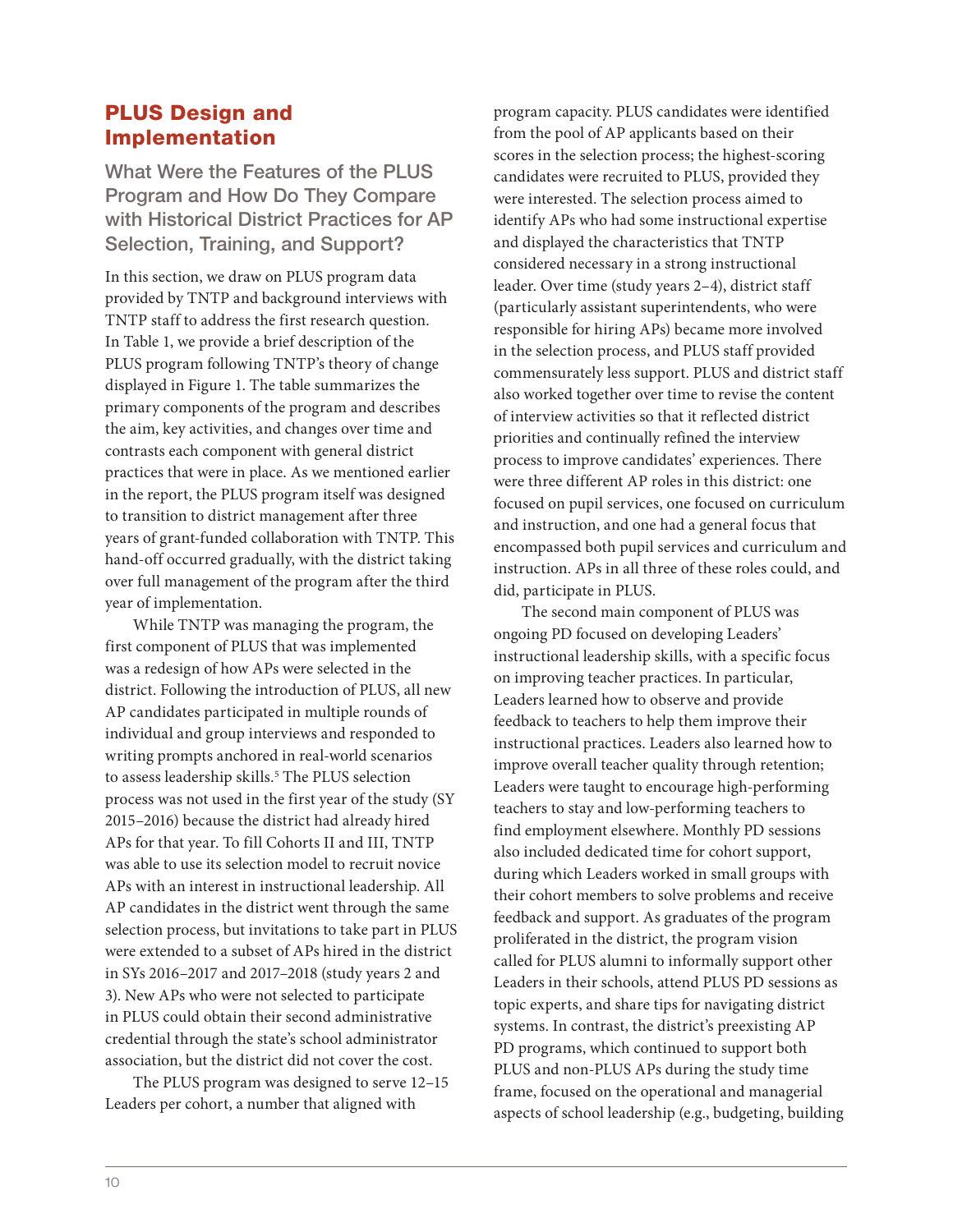#### PLUS Design and Implementation

What Were the Features of the PLUS Program and How Do They Compare with Historical District Practices for AP Selection, Training, and Support?

In this section, we draw on PLUS program data provided by TNTP and background interviews with TNTP staff to address the first research question. In Table 1, we provide a brief description of the PLUS program following TNTP's theory of change displayed in Figure 1. The table summarizes the primary components of the program and describes the aim, key activities, and changes over time and contrasts each component with general district practices that were in place. As we mentioned earlier in the report, the PLUS program itself was designed to transition to district management after three years of grant-funded collaboration with TNTP. This hand-off occurred gradually, with the district taking over full management of the program after the third year of implementation.

While TNTP was managing the program, the first component of PLUS that was implemented was a redesign of how APs were selected in the district. Following the introduction of PLUS, all new AP candidates participated in multiple rounds of individual and group interviews and responded to writing prompts anchored in real-world scenarios to assess leadership skills.<sup>5</sup> The PLUS selection process was not used in the first year of the study (SY 2015–2016) because the district had already hired APs for that year. To fill Cohorts II and III, TNTP was able to use its selection model to recruit novice APs with an interest in instructional leadership. All AP candidates in the district went through the same selection process, but invitations to take part in PLUS were extended to a subset of APs hired in the district in SYs 2016–2017 and 2017–2018 (study years 2 and 3). New APs who were not selected to participate in PLUS could obtain their second administrative credential through the state's school administrator association, but the district did not cover the cost.

The PLUS program was designed to serve 12–15 Leaders per cohort, a number that aligned with

program capacity. PLUS candidates were identified from the pool of AP applicants based on their scores in the selection process; the highest-scoring candidates were recruited to PLUS, provided they were interested. The selection process aimed to identify APs who had some instructional expertise and displayed the characteristics that TNTP considered necessary in a strong instructional leader. Over time (study years 2–4), district staff (particularly assistant superintendents, who were responsible for hiring APs) became more involved in the selection process, and PLUS staff provided commensurately less support. PLUS and district staff also worked together over time to revise the content of interview activities so that it reflected district priorities and continually refined the interview process to improve candidates' experiences. There were three different AP roles in this district: one focused on pupil services, one focused on curriculum and instruction, and one had a general focus that encompassed both pupil services and curriculum and instruction. APs in all three of these roles could, and did, participate in PLUS.

The second main component of PLUS was ongoing PD focused on developing Leaders' instructional leadership skills, with a specific focus on improving teacher practices. In particular, Leaders learned how to observe and provide feedback to teachers to help them improve their instructional practices. Leaders also learned how to improve overall teacher quality through retention; Leaders were taught to encourage high-performing teachers to stay and low-performing teachers to find employment elsewhere. Monthly PD sessions also included dedicated time for cohort support, during which Leaders worked in small groups with their cohort members to solve problems and receive feedback and support. As graduates of the program proliferated in the district, the program vision called for PLUS alumni to informally support other Leaders in their schools, attend PLUS PD sessions as topic experts, and share tips for navigating district systems. In contrast, the district's preexisting AP PD programs, which continued to support both PLUS and non-PLUS APs during the study time frame, focused on the operational and managerial aspects of school leadership (e.g., budgeting, building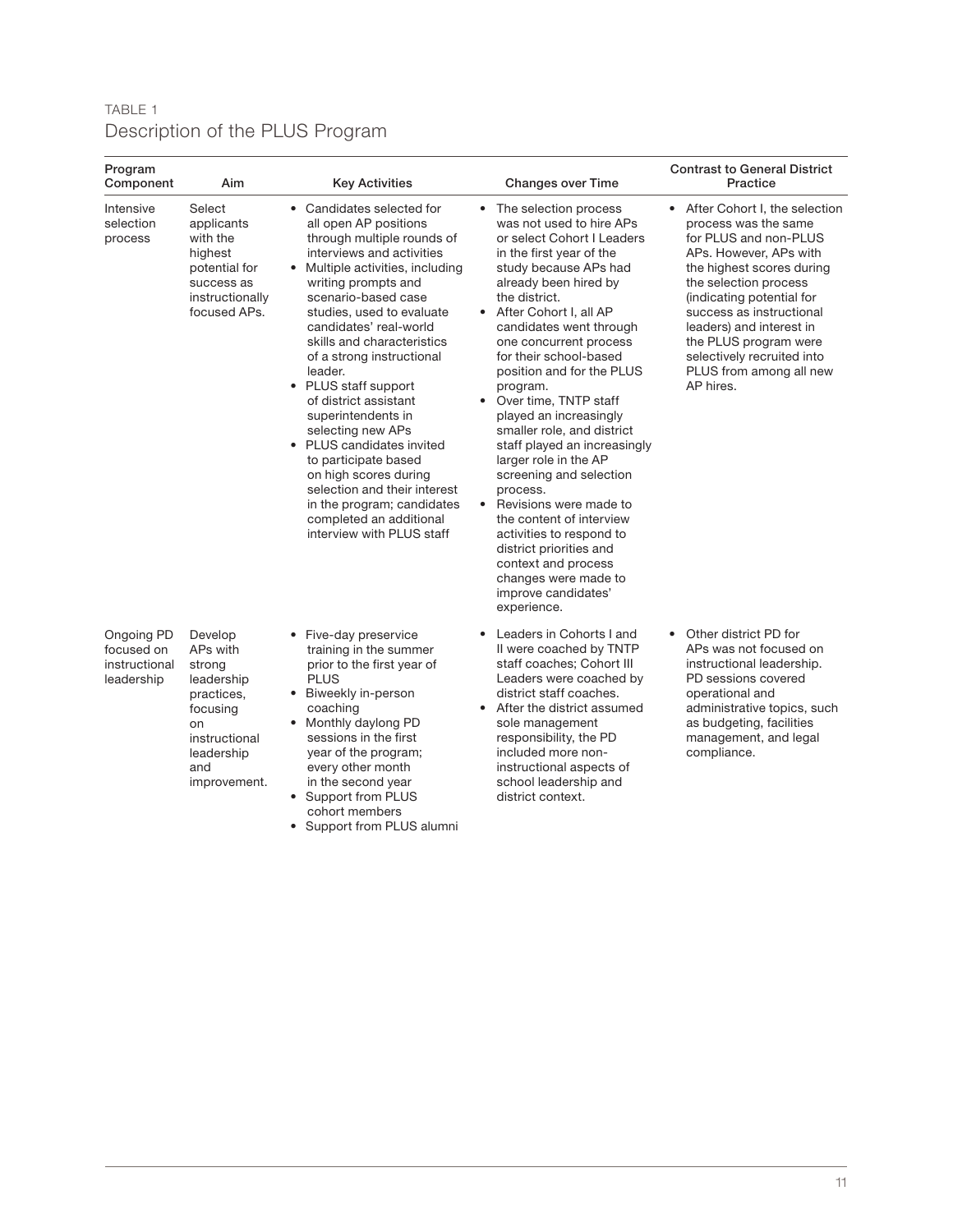#### TABLE 1 Description of the PLUS Program

| Program<br>Component                                    | Aim                                                                                                                               | Key Activities                                                                                                                                                                                                                                                                                                                                                                                                                                                                                                                                                                                                               | <b>Changes over Time</b>                                                                                                                                                                                                                                                                                                                                                                                                                                                                                                                                                                                                                                                                                                    | <b>Contrast to General District</b><br>Practice                                                                                                                                                                                                                                                                                                      |
|---------------------------------------------------------|-----------------------------------------------------------------------------------------------------------------------------------|------------------------------------------------------------------------------------------------------------------------------------------------------------------------------------------------------------------------------------------------------------------------------------------------------------------------------------------------------------------------------------------------------------------------------------------------------------------------------------------------------------------------------------------------------------------------------------------------------------------------------|-----------------------------------------------------------------------------------------------------------------------------------------------------------------------------------------------------------------------------------------------------------------------------------------------------------------------------------------------------------------------------------------------------------------------------------------------------------------------------------------------------------------------------------------------------------------------------------------------------------------------------------------------------------------------------------------------------------------------------|------------------------------------------------------------------------------------------------------------------------------------------------------------------------------------------------------------------------------------------------------------------------------------------------------------------------------------------------------|
| Intensive<br>selection<br>process                       | Select<br>applicants<br>with the<br>highest<br>potential for<br>success as<br>instructionally<br>focused APs.                     | • Candidates selected for<br>all open AP positions<br>through multiple rounds of<br>interviews and activities<br>• Multiple activities, including<br>writing prompts and<br>scenario-based case<br>studies, used to evaluate<br>candidates' real-world<br>skills and characteristics<br>of a strong instructional<br>leader.<br>• PLUS staff support<br>of district assistant<br>superintendents in<br>selecting new APs<br>• PLUS candidates invited<br>to participate based<br>on high scores during<br>selection and their interest<br>in the program; candidates<br>completed an additional<br>interview with PLUS staff | • The selection process<br>was not used to hire APs<br>or select Cohort I Leaders<br>in the first year of the<br>study because APs had<br>already been hired by<br>the district.<br>• After Cohort I, all AP<br>candidates went through<br>one concurrent process<br>for their school-based<br>position and for the PLUS<br>program.<br>• Over time, TNTP staff<br>played an increasingly<br>smaller role, and district<br>staff played an increasingly<br>larger role in the AP<br>screening and selection<br>process.<br>• Revisions were made to<br>the content of interview<br>activities to respond to<br>district priorities and<br>context and process<br>changes were made to<br>improve candidates'<br>experience. | • After Cohort I, the selection<br>process was the same<br>for PLUS and non-PLUS<br>APs. However, APs with<br>the highest scores during<br>the selection process<br>(indicating potential for<br>success as instructional<br>leaders) and interest in<br>the PLUS program were<br>selectively recruited into<br>PLUS from among all new<br>AP hires. |
| Ongoing PD<br>focused on<br>instructional<br>leadership | Develop<br>APs with<br>strong<br>leadership<br>practices.<br>focusing<br>on<br>instructional<br>leadership<br>and<br>improvement. | • Five-day preservice<br>training in the summer<br>prior to the first year of<br><b>PLUS</b><br>• Biweekly in-person<br>coaching<br>• Monthly daylong PD<br>sessions in the first<br>year of the program;<br>every other month<br>in the second year<br>• Support from PLUS<br>cohort members<br>• Support from PLUS alumni                                                                                                                                                                                                                                                                                                  | Leaders in Cohorts I and<br>II were coached by TNTP<br>staff coaches; Cohort III<br>Leaders were coached by<br>district staff coaches.<br>After the district assumed<br>sole management<br>responsibility, the PD<br>included more non-<br>instructional aspects of<br>school leadership and<br>district context.                                                                                                                                                                                                                                                                                                                                                                                                           | Other district PD for<br>$\bullet$<br>APs was not focused on<br>instructional leadership.<br>PD sessions covered<br>operational and<br>administrative topics, such<br>as budgeting, facilities<br>management, and legal<br>compliance.                                                                                                               |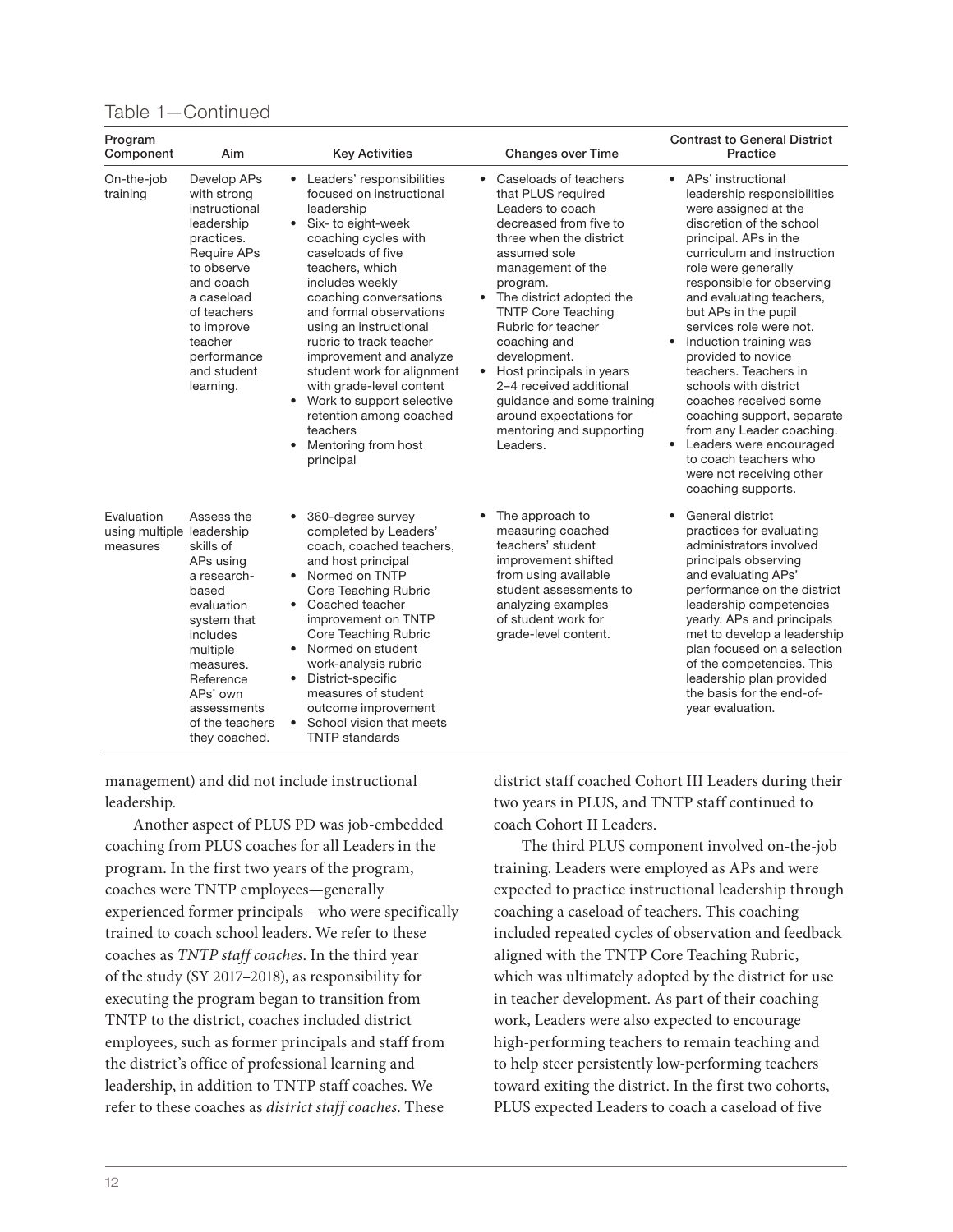#### Table 1—Continued

| Program<br>Component                                | Aim                                                                                                                                                                                                                       | <b>Key Activities</b>                                                                                                                                                                                                                                                                                                                                                                                                                                                                                                      | <b>Changes over Time</b>                                                                                                                                                                                                                                                                                                                                                                                                                                                 | <b>Contrast to General District</b><br>Practice                                                                                                                                                                                                                                                                                                                                                                                                                                                                                                                                                                         |  |
|-----------------------------------------------------|---------------------------------------------------------------------------------------------------------------------------------------------------------------------------------------------------------------------------|----------------------------------------------------------------------------------------------------------------------------------------------------------------------------------------------------------------------------------------------------------------------------------------------------------------------------------------------------------------------------------------------------------------------------------------------------------------------------------------------------------------------------|--------------------------------------------------------------------------------------------------------------------------------------------------------------------------------------------------------------------------------------------------------------------------------------------------------------------------------------------------------------------------------------------------------------------------------------------------------------------------|-------------------------------------------------------------------------------------------------------------------------------------------------------------------------------------------------------------------------------------------------------------------------------------------------------------------------------------------------------------------------------------------------------------------------------------------------------------------------------------------------------------------------------------------------------------------------------------------------------------------------|--|
| On-the-job<br>training                              | Develop APs<br>with strong<br>instructional<br>leadership<br>practices.<br><b>Require APs</b><br>to observe<br>and coach<br>a caseload<br>of teachers<br>to improve<br>teacher<br>performance<br>and student<br>learning. | Leaders' responsibilities<br>$\bullet$<br>focused on instructional<br>leadership<br>$\bullet$<br>Six- to eight-week<br>coaching cycles with<br>caseloads of five<br>teachers, which<br>includes weekly<br>coaching conversations<br>and formal observations<br>using an instructional<br>rubric to track teacher<br>improvement and analyze<br>student work for alignment<br>with grade-level content<br>Work to support selective<br>$\bullet$<br>retention among coached<br>teachers<br>Mentoring from host<br>principal | Caseloads of teachers<br>$\bullet$<br>that PLUS required<br>Leaders to coach<br>decreased from five to<br>three when the district<br>assumed sole<br>management of the<br>program.<br>• The district adopted the<br><b>TNTP Core Teaching</b><br>Rubric for teacher<br>coaching and<br>development.<br>Host principals in years<br>$\bullet$<br>2-4 received additional<br>guidance and some training<br>around expectations for<br>mentoring and supporting<br>Leaders. | • APs' instructional<br>leadership responsibilities<br>were assigned at the<br>discretion of the school<br>principal. APs in the<br>curriculum and instruction<br>role were generally<br>responsible for observing<br>and evaluating teachers,<br>but APs in the pupil<br>services role were not.<br>Induction training was<br>$\bullet$<br>provided to novice<br>teachers. Teachers in<br>schools with district<br>coaches received some<br>coaching support, separate<br>from any Leader coaching.<br>Leaders were encouraged<br>$\bullet$<br>to coach teachers who<br>were not receiving other<br>coaching supports. |  |
| Evaluation<br>using multiple leadership<br>measures | Assess the<br>skills of<br>APs using<br>a research-<br>based<br>evaluation<br>system that<br>includes<br>multiple<br>measures.<br>Reference<br>APs' own<br>assessments<br>of the teachers<br>they coached.                | 360-degree survey<br>$\bullet$<br>completed by Leaders'<br>coach, coached teachers,<br>and host principal<br>• Normed on TNTP<br>Core Teaching Rubric<br>Coached teacher<br>$\bullet$<br>improvement on TNTP<br>Core Teaching Rubric<br>Normed on student<br>$\bullet$<br>work-analysis rubric<br>District-specific<br>$\bullet$<br>measures of student<br>outcome improvement<br>School vision that meets<br>$\bullet$<br><b>TNTP standards</b>                                                                           | The approach to<br>measuring coached<br>teachers' student<br>improvement shifted<br>from using available<br>student assessments to<br>analyzing examples<br>of student work for<br>grade-level content.                                                                                                                                                                                                                                                                  | General district<br>practices for evaluating<br>administrators involved<br>principals observing<br>and evaluating APs'<br>performance on the district<br>leadership competencies<br>yearly. APs and principals<br>met to develop a leadership<br>plan focused on a selection<br>of the competencies. This<br>leadership plan provided<br>the basis for the end-of-<br>year evaluation.                                                                                                                                                                                                                                  |  |

management) and did not include instructional leadership.

Another aspect of PLUS PD was job-embedded coaching from PLUS coaches for all Leaders in the program. In the first two years of the program, coaches were TNTP employees—generally experienced former principals—who were specifically trained to coach school leaders. We refer to these coaches as TNTP staff coaches. In the third year of the study (SY 2017–2018), as responsibility for executing the program began to transition from TNTP to the district, coaches included district employees, such as former principals and staff from the district's office of professional learning and leadership, in addition to TNTP staff coaches. We refer to these coaches as district staff coaches. These

district staff coached Cohort III Leaders during their two years in PLUS, and TNTP staff continued to coach Cohort II Leaders.

The third PLUS component involved on-the-job training. Leaders were employed as APs and were expected to practice instructional leadership through coaching a caseload of teachers. This coaching included repeated cycles of observation and feedback aligned with the TNTP Core Teaching Rubric, which was ultimately adopted by the district for use in teacher development. As part of their coaching work, Leaders were also expected to encourage high-performing teachers to remain teaching and to help steer persistently low-performing teachers toward exiting the district. In the first two cohorts, PLUS expected Leaders to coach a caseload of five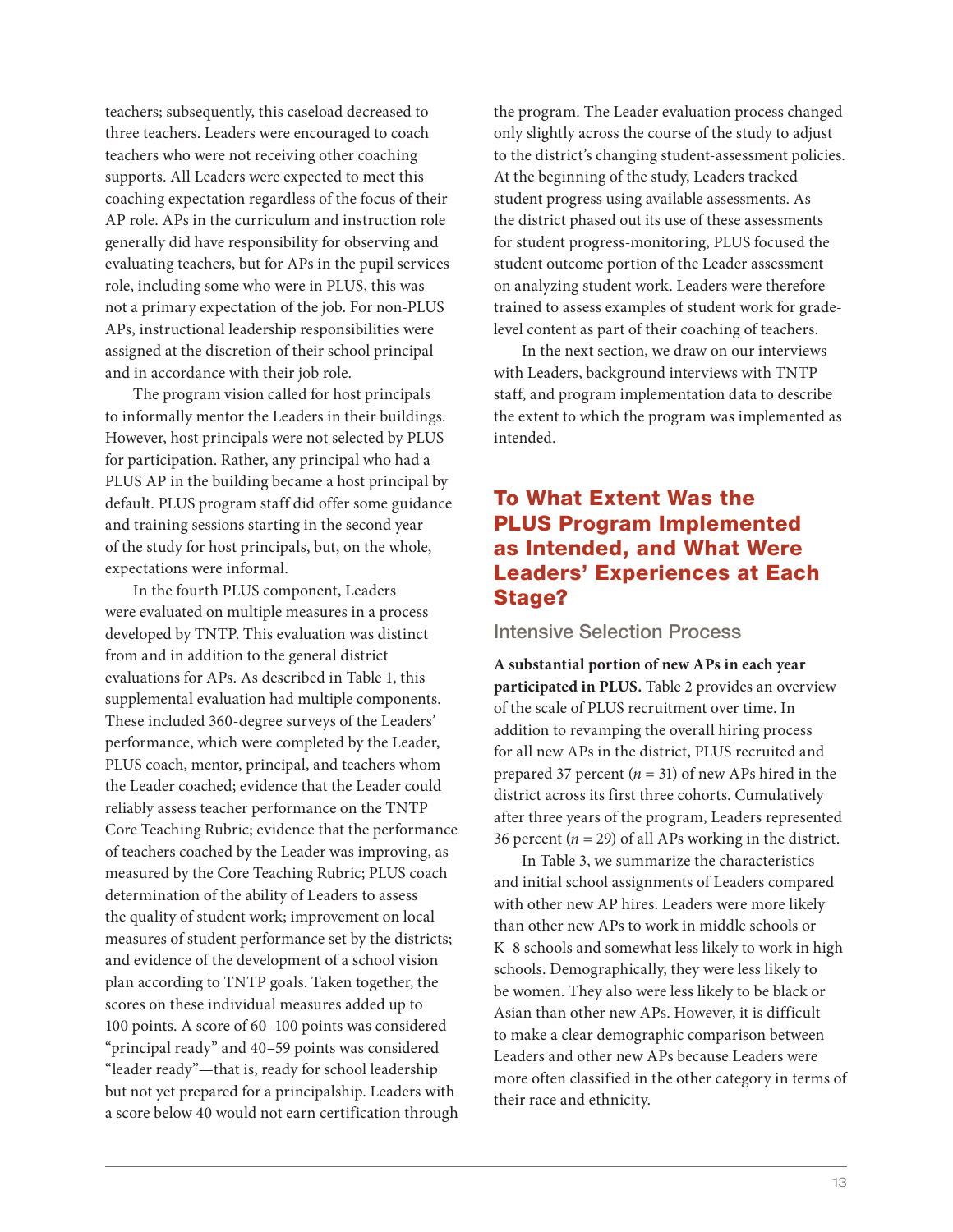teachers; subsequently, this caseload decreased to three teachers. Leaders were encouraged to coach teachers who were not receiving other coaching supports. All Leaders were expected to meet this coaching expectation regardless of the focus of their AP role. APs in the curriculum and instruction role generally did have responsibility for observing and evaluating teachers, but for APs in the pupil services role, including some who were in PLUS, this was not a primary expectation of the job. For non-PLUS APs, instructional leadership responsibilities were assigned at the discretion of their school principal and in accordance with their job role.

The program vision called for host principals to informally mentor the Leaders in their buildings. However, host principals were not selected by PLUS for participation. Rather, any principal who had a PLUS AP in the building became a host principal by default. PLUS program staff did offer some guidance and training sessions starting in the second year of the study for host principals, but, on the whole, expectations were informal.

In the fourth PLUS component, Leaders were evaluated on multiple measures in a process developed by TNTP. This evaluation was distinct from and in addition to the general district evaluations for APs. As described in Table 1, this supplemental evaluation had multiple components. These included 360-degree surveys of the Leaders' performance, which were completed by the Leader, PLUS coach, mentor, principal, and teachers whom the Leader coached; evidence that the Leader could reliably assess teacher performance on the TNTP Core Teaching Rubric; evidence that the performance of teachers coached by the Leader was improving, as measured by the Core Teaching Rubric; PLUS coach determination of the ability of Leaders to assess the quality of student work; improvement on local measures of student performance set by the districts; and evidence of the development of a school vision plan according to TNTP goals. Taken together, the scores on these individual measures added up to 100 points. A score of 60–100 points was considered "principal ready" and 40–59 points was considered "leader ready"—that is, ready for school leadership but not yet prepared for a principalship. Leaders with a score below 40 would not earn certification through

the program. The Leader evaluation process changed only slightly across the course of the study to adjust to the district's changing student-assessment policies. At the beginning of the study, Leaders tracked student progress using available assessments. As the district phased out its use of these assessments for student progress-monitoring, PLUS focused the student outcome portion of the Leader assessment on analyzing student work. Leaders were therefore trained to assess examples of student work for gradelevel content as part of their coaching of teachers.

In the next section, we draw on our interviews with Leaders, background interviews with TNTP staff, and program implementation data to describe the extent to which the program was implemented as intended.

#### To What Extent Was the PLUS Program Implemented as Intended, and What Were Leaders' Experiences at Each Stage?

#### Intensive Selection Process

**A substantial portion of new APs in each year participated in PLUS.** Table 2 provides an overview of the scale of PLUS recruitment over time. In addition to revamping the overall hiring process for all new APs in the district, PLUS recruited and prepared 37 percent  $(n = 31)$  of new APs hired in the district across its first three cohorts. Cumulatively after three years of the program, Leaders represented 36 percent ( $n = 29$ ) of all APs working in the district.

In Table 3, we summarize the characteristics and initial school assignments of Leaders compared with other new AP hires. Leaders were more likely than other new APs to work in middle schools or K–8 schools and somewhat less likely to work in high schools. Demographically, they were less likely to be women. They also were less likely to be black or Asian than other new APs. However, it is difficult to make a clear demographic comparison between Leaders and other new APs because Leaders were more often classified in the other category in terms of their race and ethnicity.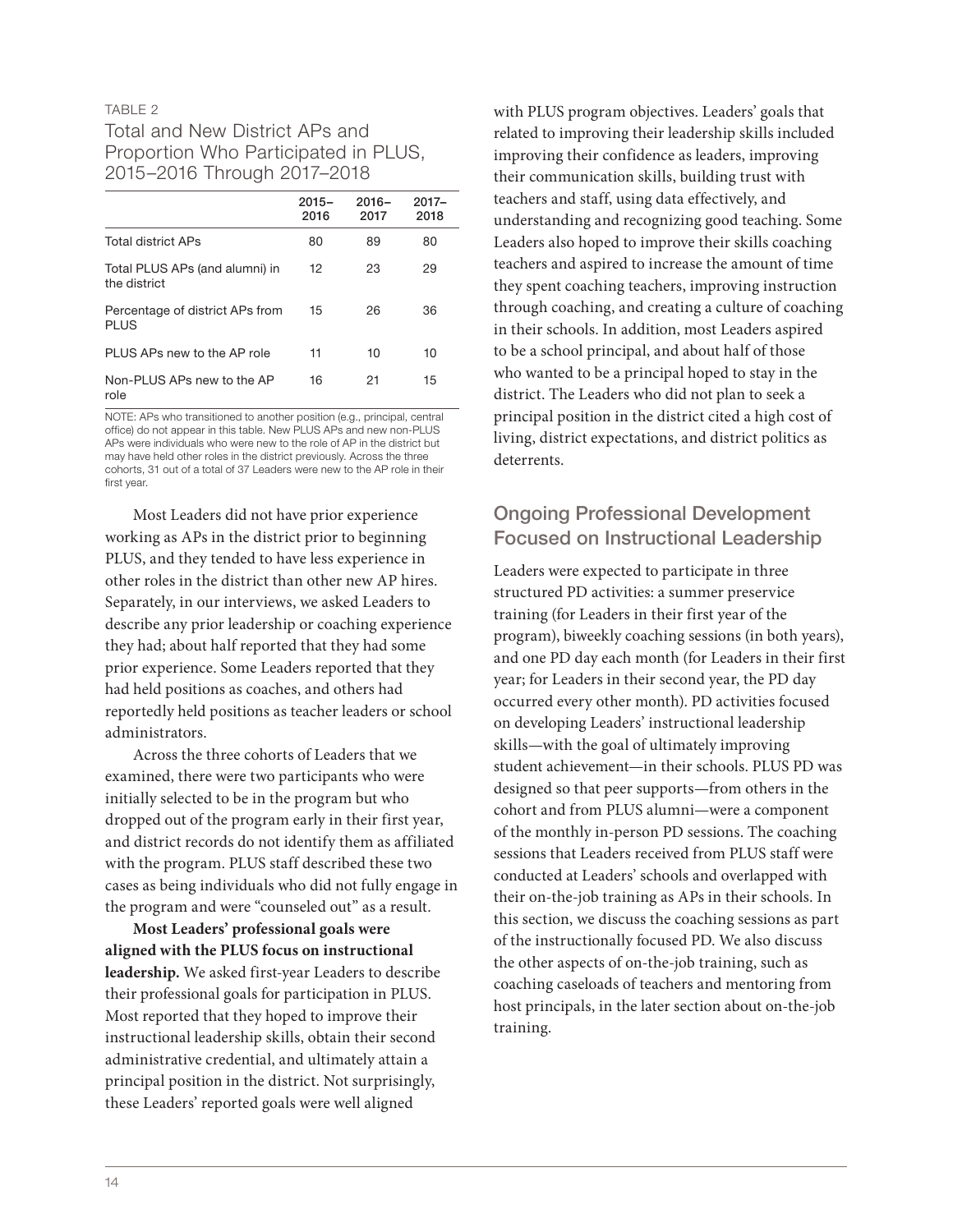#### TABLE 2

#### Total and New District APs and Proportion Who Participated in PLUS, 2015–2016 Through 2017–2018

|                                                | $2015 -$<br>2016 | $2016 -$<br>2017 | $2017 -$<br>2018 |
|------------------------------------------------|------------------|------------------|------------------|
| Total district APs                             | 80               | 89               | 80               |
| Total PLUS APs (and alumni) in<br>the district | 12               | 23               | 29               |
| Percentage of district APs from<br><b>PLUS</b> | 15               | 26               | 36               |
| PLUS APs new to the AP role                    | 11               | 10               | 10               |
| Non-PLUS APs new to the AP<br>role             | 16               | 21               | 15               |

NOTE: APs who transitioned to another position (e.g., principal, central office) do not appear in this table. New PLUS APs and new non-PLUS APs were individuals who were new to the role of AP in the district but may have held other roles in the district previously. Across the three cohorts, 31 out of a total of 37 Leaders were new to the AP role in their first year.

Most Leaders did not have prior experience working as APs in the district prior to beginning PLUS, and they tended to have less experience in other roles in the district than other new AP hires. Separately, in our interviews, we asked Leaders to describe any prior leadership or coaching experience they had; about half reported that they had some prior experience. Some Leaders reported that they had held positions as coaches, and others had reportedly held positions as teacher leaders or school administrators.

Across the three cohorts of Leaders that we examined, there were two participants who were initially selected to be in the program but who dropped out of the program early in their first year, and district records do not identify them as affiliated with the program. PLUS staff described these two cases as being individuals who did not fully engage in the program and were "counseled out" as a result.

**Most Leaders' professional goals were aligned with the PLUS focus on instructional leadership.** We asked first-year Leaders to describe their professional goals for participation in PLUS. Most reported that they hoped to improve their instructional leadership skills, obtain their second administrative credential, and ultimately attain a principal position in the district. Not surprisingly, these Leaders' reported goals were well aligned

with PLUS program objectives. Leaders' goals that related to improving their leadership skills included improving their confidence as leaders, improving their communication skills, building trust with teachers and staff, using data effectively, and understanding and recognizing good teaching. Some Leaders also hoped to improve their skills coaching teachers and aspired to increase the amount of time they spent coaching teachers, improving instruction through coaching, and creating a culture of coaching in their schools. In addition, most Leaders aspired to be a school principal, and about half of those who wanted to be a principal hoped to stay in the district. The Leaders who did not plan to seek a principal position in the district cited a high cost of living, district expectations, and district politics as deterrents.

#### Ongoing Professional Development Focused on Instructional Leadership

Leaders were expected to participate in three structured PD activities: a summer preservice training (for Leaders in their first year of the program), biweekly coaching sessions (in both years), and one PD day each month (for Leaders in their first year; for Leaders in their second year, the PD day occurred every other month). PD activities focused on developing Leaders' instructional leadership skills—with the goal of ultimately improving student achievement—in their schools. PLUS PD was designed so that peer supports—from others in the cohort and from PLUS alumni—were a component of the monthly in-person PD sessions. The coaching sessions that Leaders received from PLUS staff were conducted at Leaders' schools and overlapped with their on-the-job training as APs in their schools. In this section, we discuss the coaching sessions as part of the instructionally focused PD. We also discuss the other aspects of on-the-job training, such as coaching caseloads of teachers and mentoring from host principals, in the later section about on-the-job training.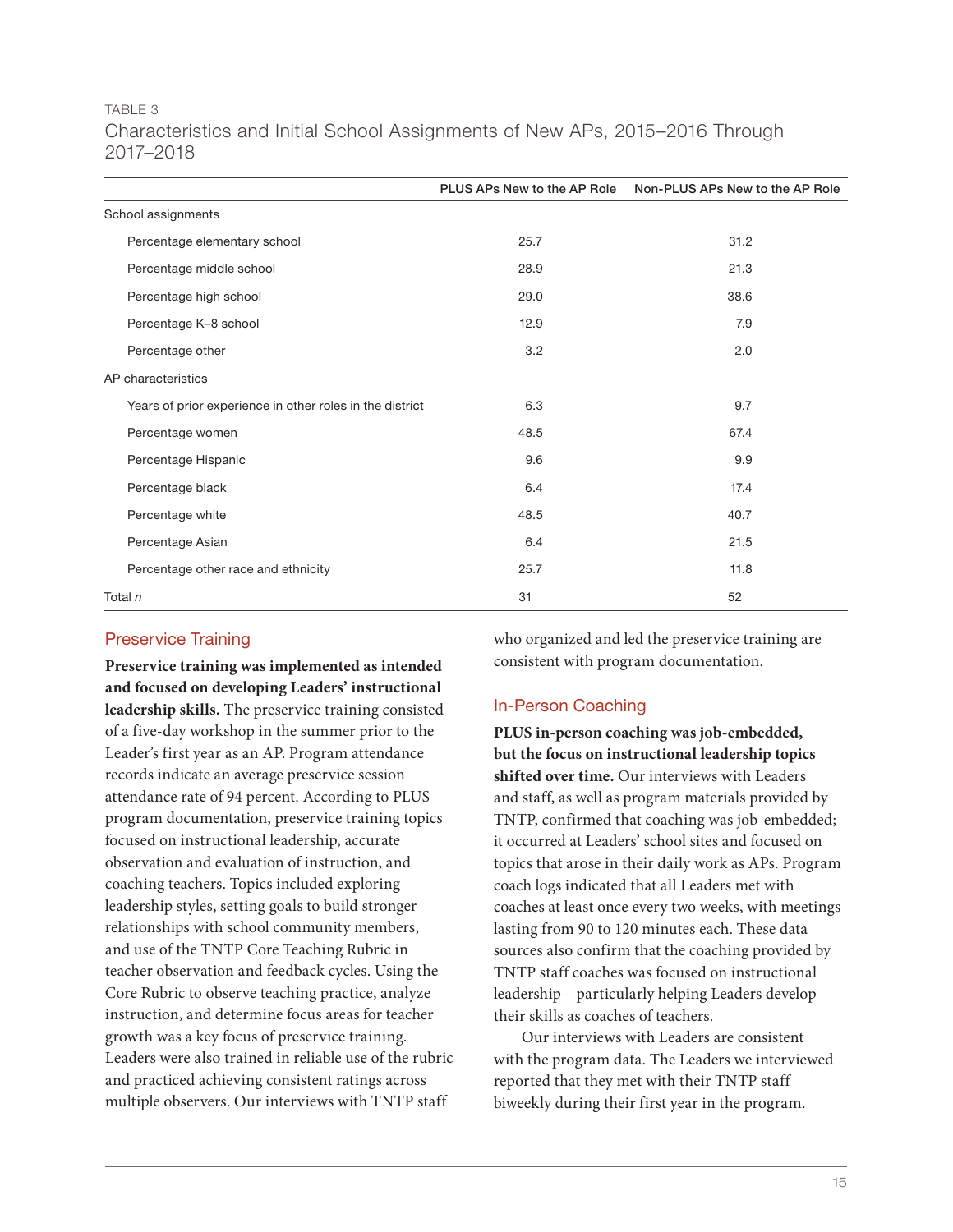#### TABLE 3 Characteristics and Initial School Assignments of New APs, 2015–2016 Through 2017–2018

|                                                          | PLUS APs New to the AP Role | Non-PLUS APs New to the AP Role |
|----------------------------------------------------------|-----------------------------|---------------------------------|
| School assignments                                       |                             |                                 |
| Percentage elementary school                             | 25.7                        | 31.2                            |
| Percentage middle school                                 | 28.9                        | 21.3                            |
| Percentage high school                                   | 29.0                        | 38.6                            |
| Percentage K-8 school                                    | 12.9                        | 7.9                             |
| Percentage other                                         | 3.2                         | 2.0                             |
| AP characteristics                                       |                             |                                 |
| Years of prior experience in other roles in the district | 6.3                         | 9.7                             |
| Percentage women                                         | 48.5                        | 67.4                            |
| Percentage Hispanic                                      | 9.6                         | 9.9                             |
| Percentage black                                         | 6.4                         | 17.4                            |
| Percentage white                                         | 48.5                        | 40.7                            |
| Percentage Asian                                         | 6.4                         | 21.5                            |
| Percentage other race and ethnicity                      | 25.7                        | 11.8                            |
| Total n                                                  | 31                          | 52                              |

#### Preservice Training

**Preservice training was implemented as intended and focused on developing Leaders' instructional leadership skills.** The preservice training consisted of a five-day workshop in the summer prior to the Leader's first year as an AP. Program attendance records indicate an average preservice session attendance rate of 94 percent. According to PLUS program documentation, preservice training topics focused on instructional leadership, accurate observation and evaluation of instruction, and coaching teachers. Topics included exploring leadership styles, setting goals to build stronger relationships with school community members, and use of the TNTP Core Teaching Rubric in teacher observation and feedback cycles. Using the Core Rubric to observe teaching practice, analyze instruction, and determine focus areas for teacher growth was a key focus of preservice training. Leaders were also trained in reliable use of the rubric and practiced achieving consistent ratings across multiple observers. Our interviews with TNTP staff

who organized and led the preservice training are consistent with program documentation.

#### In-Person Coaching

**PLUS in-person coaching was job-embedded, but the focus on instructional leadership topics shifted over time.** Our interviews with Leaders and staff, as well as program materials provided by TNTP, confirmed that coaching was job-embedded; it occurred at Leaders' school sites and focused on topics that arose in their daily work as APs. Program coach logs indicated that all Leaders met with coaches at least once every two weeks, with meetings lasting from 90 to 120 minutes each. These data sources also confirm that the coaching provided by TNTP staff coaches was focused on instructional leadership—particularly helping Leaders develop their skills as coaches of teachers.

Our interviews with Leaders are consistent with the program data. The Leaders we interviewed reported that they met with their TNTP staff biweekly during their first year in the program.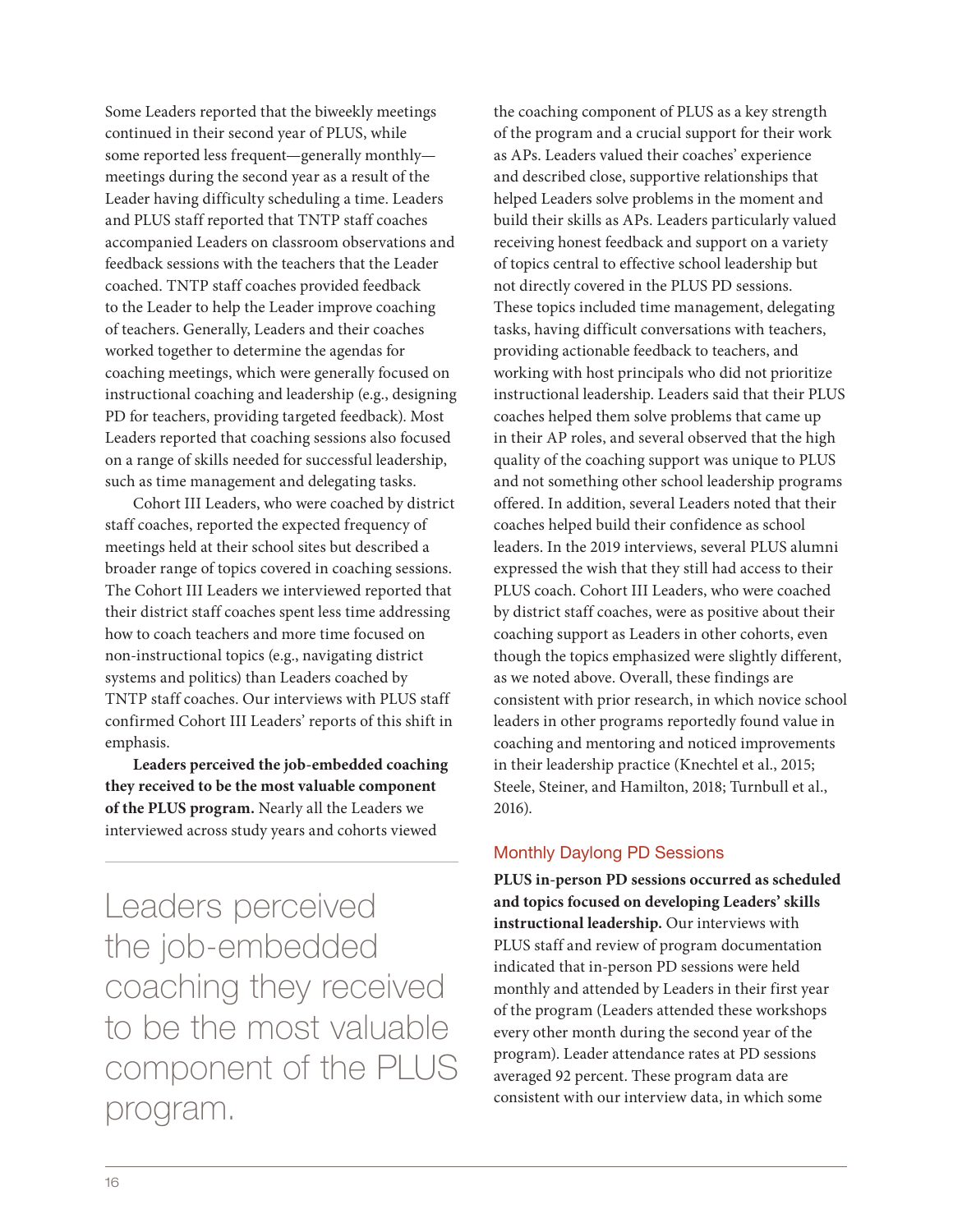Some Leaders reported that the biweekly meetings continued in their second year of PLUS, while some reported less frequent—generally monthly meetings during the second year as a result of the Leader having difficulty scheduling a time. Leaders and PLUS staff reported that TNTP staff coaches accompanied Leaders on classroom observations and feedback sessions with the teachers that the Leader coached. TNTP staff coaches provided feedback to the Leader to help the Leader improve coaching of teachers. Generally, Leaders and their coaches worked together to determine the agendas for coaching meetings, which were generally focused on instructional coaching and leadership (e.g., designing PD for teachers, providing targeted feedback). Most Leaders reported that coaching sessions also focused on a range of skills needed for successful leadership, such as time management and delegating tasks.

Cohort III Leaders, who were coached by district staff coaches, reported the expected frequency of meetings held at their school sites but described a broader range of topics covered in coaching sessions. The Cohort III Leaders we interviewed reported that their district staff coaches spent less time addressing how to coach teachers and more time focused on non-instructional topics (e.g., navigating district systems and politics) than Leaders coached by TNTP staff coaches. Our interviews with PLUS staff confirmed Cohort III Leaders' reports of this shift in emphasis.

**Leaders perceived the job-embedded coaching they received to be the most valuable component of the PLUS program.** Nearly all the Leaders we interviewed across study years and cohorts viewed

Leaders perceived the job-embedded coaching they received to be the most valuable component of the PLUS program.

the coaching component of PLUS as a key strength of the program and a crucial support for their work as APs. Leaders valued their coaches' experience and described close, supportive relationships that helped Leaders solve problems in the moment and build their skills as APs. Leaders particularly valued receiving honest feedback and support on a variety of topics central to effective school leadership but not directly covered in the PLUS PD sessions. These topics included time management, delegating tasks, having difficult conversations with teachers, providing actionable feedback to teachers, and working with host principals who did not prioritize instructional leadership. Leaders said that their PLUS coaches helped them solve problems that came up in their AP roles, and several observed that the high quality of the coaching support was unique to PLUS and not something other school leadership programs offered. In addition, several Leaders noted that their coaches helped build their confidence as school leaders. In the 2019 interviews, several PLUS alumni expressed the wish that they still had access to their PLUS coach. Cohort III Leaders, who were coached by district staff coaches, were as positive about their coaching support as Leaders in other cohorts, even though the topics emphasized were slightly different, as we noted above. Overall, these findings are consistent with prior research, in which novice school leaders in other programs reportedly found value in coaching and mentoring and noticed improvements in their leadership practice (Knechtel et al., 2015; Steele, Steiner, and Hamilton, 2018; Turnbull et al., 2016).

#### Monthly Daylong PD Sessions

**PLUS in-person PD sessions occurred as scheduled and topics focused on developing Leaders' skills instructional leadership.** Our interviews with PLUS staff and review of program documentation indicated that in-person PD sessions were held monthly and attended by Leaders in their first year of the program (Leaders attended these workshops every other month during the second year of the program). Leader attendance rates at PD sessions averaged 92 percent. These program data are consistent with our interview data, in which some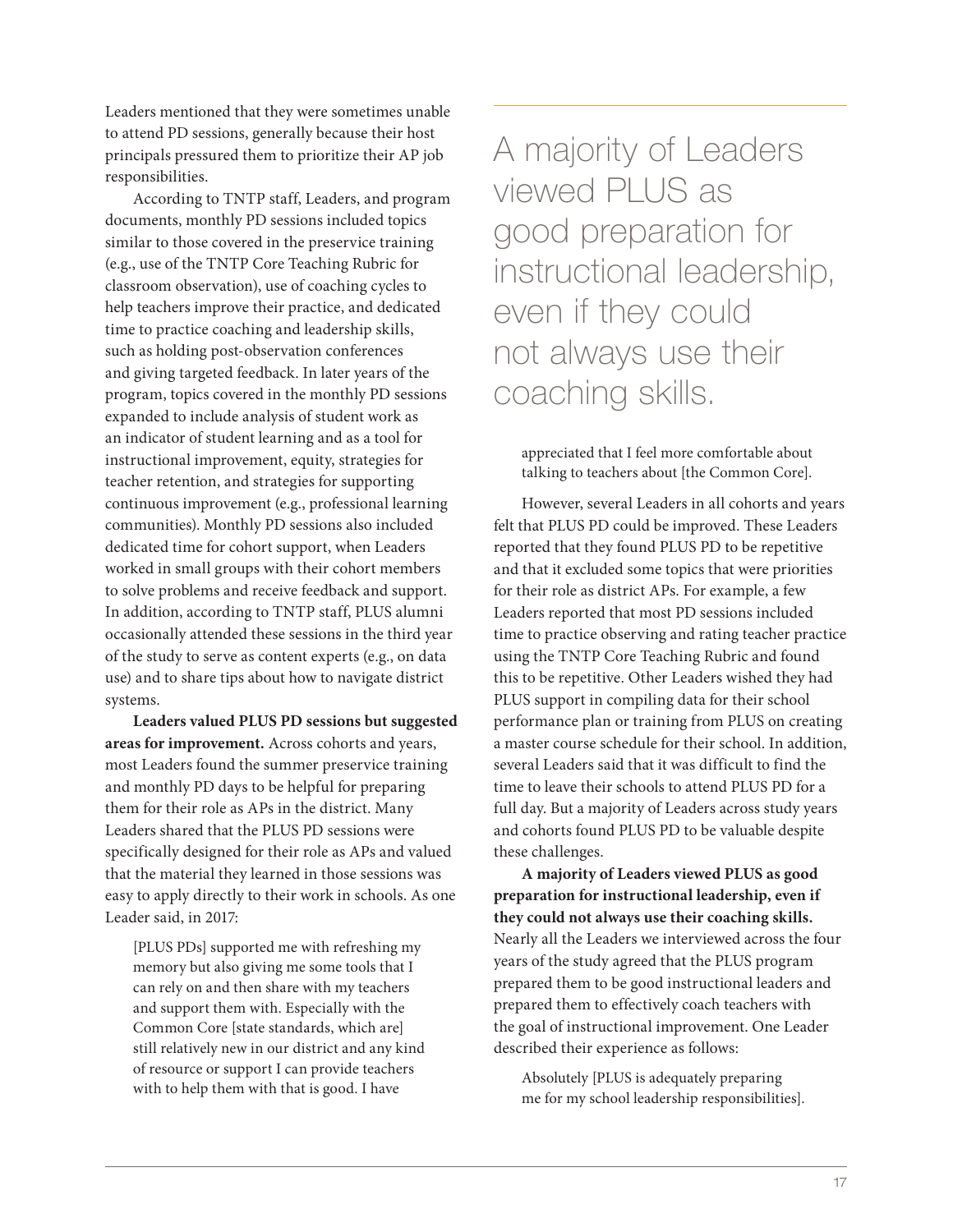Leaders mentioned that they were sometimes unable to attend PD sessions, generally because their host principals pressured them to prioritize their AP job responsibilities.

According to TNTP staff, Leaders, and program documents, monthly PD sessions included topics similar to those covered in the preservice training (e.g., use of the TNTP Core Teaching Rubric for classroom observation), use of coaching cycles to help teachers improve their practice, and dedicated time to practice coaching and leadership skills, such as holding post-observation conferences and giving targeted feedback. In later years of the program, topics covered in the monthly PD sessions expanded to include analysis of student work as an indicator of student learning and as a tool for instructional improvement, equity, strategies for teacher retention, and strategies for supporting continuous improvement (e.g., professional learning communities). Monthly PD sessions also included dedicated time for cohort support, when Leaders worked in small groups with their cohort members to solve problems and receive feedback and support. In addition, according to TNTP staff, PLUS alumni occasionally attended these sessions in the third year of the study to serve as content experts (e.g., on data use) and to share tips about how to navigate district systems.

**Leaders valued PLUS PD sessions but suggested areas for improvement.** Across cohorts and years, most Leaders found the summer preservice training and monthly PD days to be helpful for preparing them for their role as APs in the district. Many Leaders shared that the PLUS PD sessions were specifically designed for their role as APs and valued that the material they learned in those sessions was easy to apply directly to their work in schools. As one Leader said, in 2017:

[PLUS PDs] supported me with refreshing my memory but also giving me some tools that I can rely on and then share with my teachers and support them with. Especially with the Common Core [state standards, which are] still relatively new in our district and any kind of resource or support I can provide teachers with to help them with that is good. I have

A majority of Leaders viewed PLUS as good preparation for instructional leadership, even if they could not always use their coaching skills.

appreciated that I feel more comfortable about talking to teachers about [the Common Core].

However, several Leaders in all cohorts and years felt that PLUS PD could be improved. These Leaders reported that they found PLUS PD to be repetitive and that it excluded some topics that were priorities for their role as district APs. For example, a few Leaders reported that most PD sessions included time to practice observing and rating teacher practice using the TNTP Core Teaching Rubric and found this to be repetitive. Other Leaders wished they had PLUS support in compiling data for their school performance plan or training from PLUS on creating a master course schedule for their school. In addition, several Leaders said that it was difficult to find the time to leave their schools to attend PLUS PD for a full day. But a majority of Leaders across study years and cohorts found PLUS PD to be valuable despite these challenges.

**A majority of Leaders viewed PLUS as good preparation for instructional leadership, even if they could not always use their coaching skills.**  Nearly all the Leaders we interviewed across the four years of the study agreed that the PLUS program prepared them to be good instructional leaders and prepared them to effectively coach teachers with the goal of instructional improvement. One Leader described their experience as follows:

Absolutely [PLUS is adequately preparing me for my school leadership responsibilities].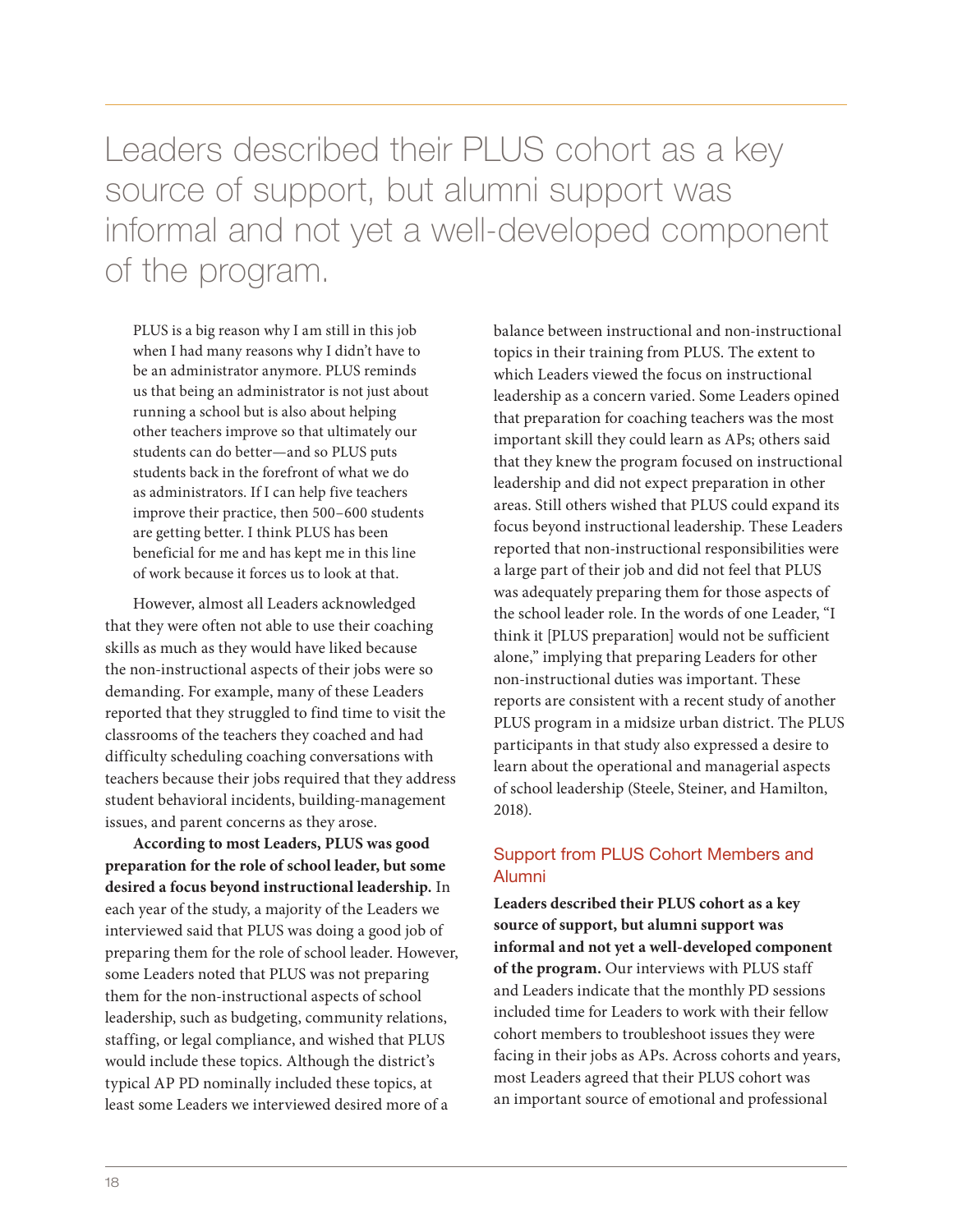Leaders described their PLUS cohort as a key source of support, but alumni support was informal and not yet a well-developed component of the program.

PLUS is a big reason why I am still in this job when I had many reasons why I didn't have to be an administrator anymore. PLUS reminds us that being an administrator is not just about running a school but is also about helping other teachers improve so that ultimately our students can do better—and so PLUS puts students back in the forefront of what we do as administrators. If I can help five teachers improve their practice, then 500–600 students are getting better. I think PLUS has been beneficial for me and has kept me in this line of work because it forces us to look at that.

However, almost all Leaders acknowledged that they were often not able to use their coaching skills as much as they would have liked because the non-instructional aspects of their jobs were so demanding. For example, many of these Leaders reported that they struggled to find time to visit the classrooms of the teachers they coached and had difficulty scheduling coaching conversations with teachers because their jobs required that they address student behavioral incidents, building-management issues, and parent concerns as they arose.

**According to most Leaders, PLUS was good preparation for the role of school leader, but some desired a focus beyond instructional leadership.** In each year of the study, a majority of the Leaders we interviewed said that PLUS was doing a good job of preparing them for the role of school leader. However, some Leaders noted that PLUS was not preparing them for the non-instructional aspects of school leadership, such as budgeting, community relations, staffing, or legal compliance, and wished that PLUS would include these topics. Although the district's typical AP PD nominally included these topics, at least some Leaders we interviewed desired more of a

balance between instructional and non-instructional topics in their training from PLUS. The extent to which Leaders viewed the focus on instructional leadership as a concern varied. Some Leaders opined that preparation for coaching teachers was the most important skill they could learn as APs; others said that they knew the program focused on instructional leadership and did not expect preparation in other areas. Still others wished that PLUS could expand its focus beyond instructional leadership. These Leaders reported that non-instructional responsibilities were a large part of their job and did not feel that PLUS was adequately preparing them for those aspects of the school leader role. In the words of one Leader, "I think it [PLUS preparation] would not be sufficient alone," implying that preparing Leaders for other non-instructional duties was important. These reports are consistent with a recent study of another PLUS program in a midsize urban district. The PLUS participants in that study also expressed a desire to learn about the operational and managerial aspects of school leadership (Steele, Steiner, and Hamilton, 2018).

#### Support from PLUS Cohort Members and Alumni

**Leaders described their PLUS cohort as a key source of support, but alumni support was informal and not yet a well-developed component of the program.** Our interviews with PLUS staff and Leaders indicate that the monthly PD sessions included time for Leaders to work with their fellow cohort members to troubleshoot issues they were facing in their jobs as APs. Across cohorts and years, most Leaders agreed that their PLUS cohort was an important source of emotional and professional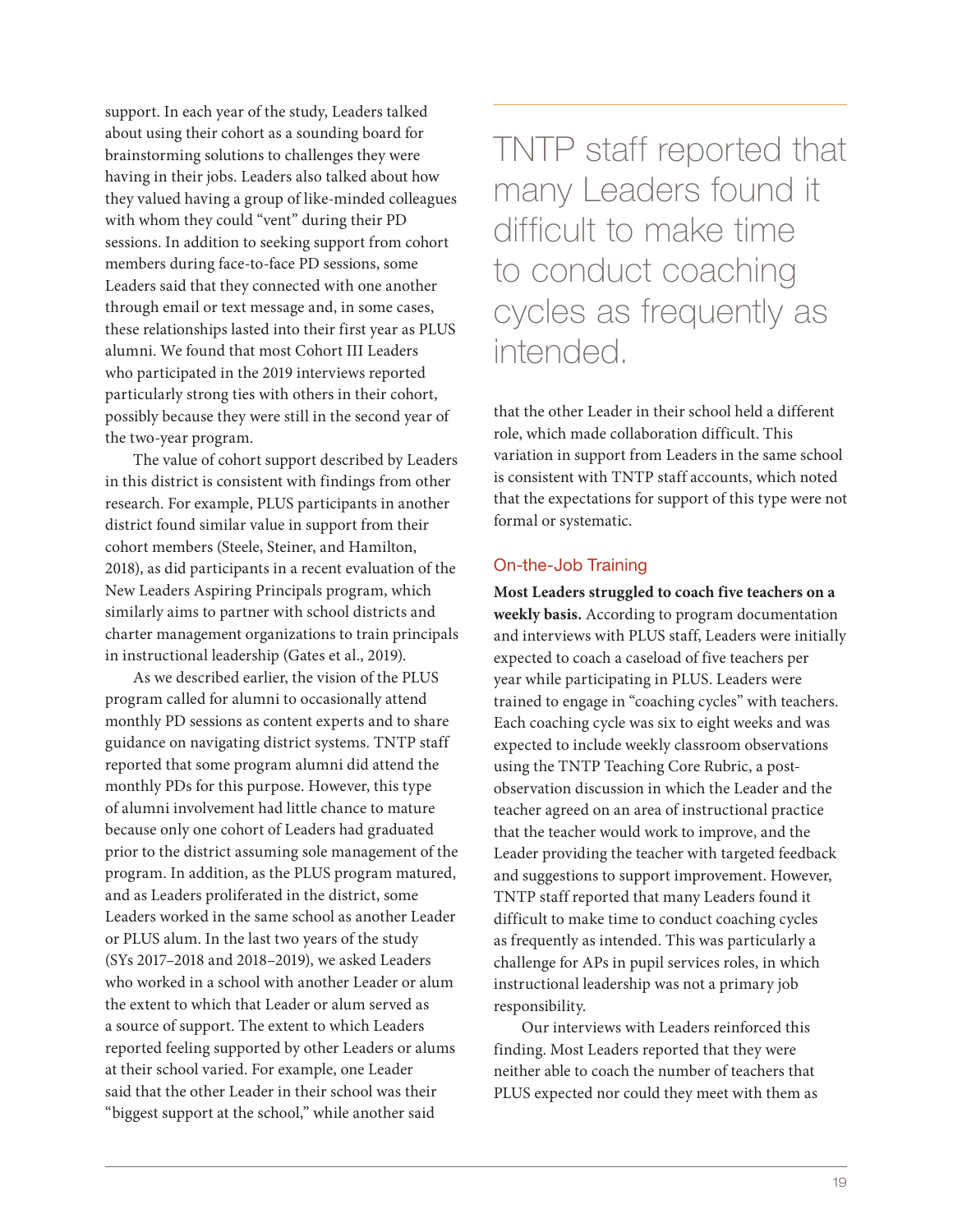support. In each year of the study, Leaders talked about using their cohort as a sounding board for brainstorming solutions to challenges they were having in their jobs. Leaders also talked about how they valued having a group of like-minded colleagues with whom they could "vent" during their PD sessions. In addition to seeking support from cohort members during face-to-face PD sessions, some Leaders said that they connected with one another through email or text message and, in some cases, these relationships lasted into their first year as PLUS alumni. We found that most Cohort III Leaders who participated in the 2019 interviews reported particularly strong ties with others in their cohort, possibly because they were still in the second year of the two-year program.

The value of cohort support described by Leaders in this district is consistent with findings from other research. For example, PLUS participants in another district found similar value in support from their cohort members (Steele, Steiner, and Hamilton, 2018), as did participants in a recent evaluation of the New Leaders Aspiring Principals program, which similarly aims to partner with school districts and charter management organizations to train principals in instructional leadership (Gates et al., 2019).

As we described earlier, the vision of the PLUS program called for alumni to occasionally attend monthly PD sessions as content experts and to share guidance on navigating district systems. TNTP staff reported that some program alumni did attend the monthly PDs for this purpose. However, this type of alumni involvement had little chance to mature because only one cohort of Leaders had graduated prior to the district assuming sole management of the program. In addition, as the PLUS program matured, and as Leaders proliferated in the district, some Leaders worked in the same school as another Leader or PLUS alum. In the last two years of the study (SYs 2017–2018 and 2018–2019), we asked Leaders who worked in a school with another Leader or alum the extent to which that Leader or alum served as a source of support. The extent to which Leaders reported feeling supported by other Leaders or alums at their school varied. For example, one Leader said that the other Leader in their school was their "biggest support at the school," while another said

TNTP staff reported that many Leaders found it difficult to make time to conduct coaching cycles as frequently as intended.

that the other Leader in their school held a different role, which made collaboration difficult. This variation in support from Leaders in the same school is consistent with TNTP staff accounts, which noted that the expectations for support of this type were not formal or systematic.

#### On-the-Job Training

**Most Leaders struggled to coach five teachers on a weekly basis.** According to program documentation and interviews with PLUS staff, Leaders were initially expected to coach a caseload of five teachers per year while participating in PLUS. Leaders were trained to engage in "coaching cycles" with teachers. Each coaching cycle was six to eight weeks and was expected to include weekly classroom observations using the TNTP Teaching Core Rubric, a postobservation discussion in which the Leader and the teacher agreed on an area of instructional practice that the teacher would work to improve, and the Leader providing the teacher with targeted feedback and suggestions to support improvement. However, TNTP staff reported that many Leaders found it difficult to make time to conduct coaching cycles as frequently as intended. This was particularly a challenge for APs in pupil services roles, in which instructional leadership was not a primary job responsibility.

Our interviews with Leaders reinforced this finding. Most Leaders reported that they were neither able to coach the number of teachers that PLUS expected nor could they meet with them as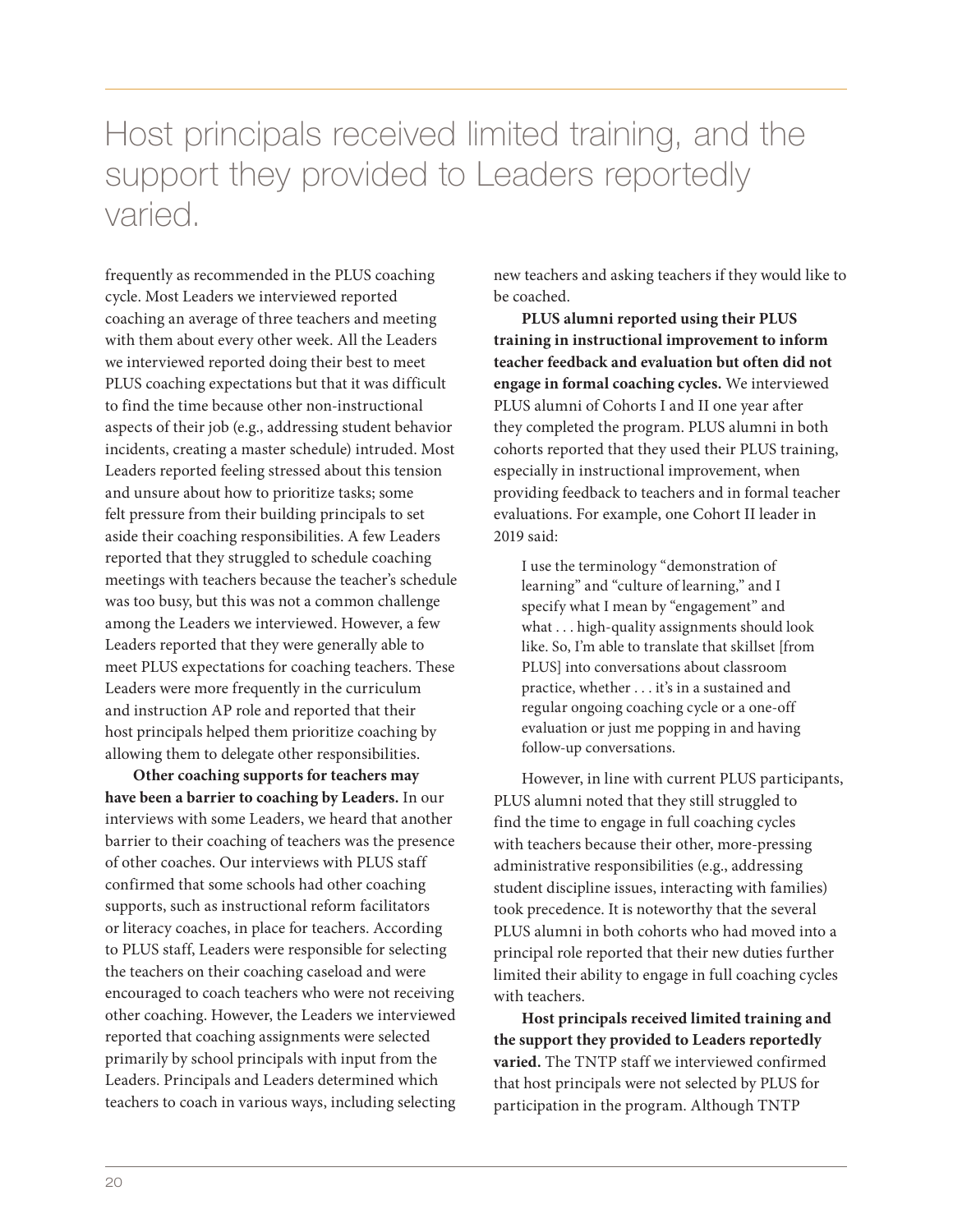## Host principals received limited training, and the support they provided to Leaders reportedly varied.

frequently as recommended in the PLUS coaching cycle. Most Leaders we interviewed reported coaching an average of three teachers and meeting with them about every other week. All the Leaders we interviewed reported doing their best to meet PLUS coaching expectations but that it was difficult to find the time because other non-instructional aspects of their job (e.g., addressing student behavior incidents, creating a master schedule) intruded. Most Leaders reported feeling stressed about this tension and unsure about how to prioritize tasks; some felt pressure from their building principals to set aside their coaching responsibilities. A few Leaders reported that they struggled to schedule coaching meetings with teachers because the teacher's schedule was too busy, but this was not a common challenge among the Leaders we interviewed. However, a few Leaders reported that they were generally able to meet PLUS expectations for coaching teachers. These Leaders were more frequently in the curriculum and instruction AP role and reported that their host principals helped them prioritize coaching by allowing them to delegate other responsibilities.

**Other coaching supports for teachers may have been a barrier to coaching by Leaders.** In our interviews with some Leaders, we heard that another barrier to their coaching of teachers was the presence of other coaches. Our interviews with PLUS staff confirmed that some schools had other coaching supports, such as instructional reform facilitators or literacy coaches, in place for teachers. According to PLUS staff, Leaders were responsible for selecting the teachers on their coaching caseload and were encouraged to coach teachers who were not receiving other coaching. However, the Leaders we interviewed reported that coaching assignments were selected primarily by school principals with input from the Leaders. Principals and Leaders determined which teachers to coach in various ways, including selecting

new teachers and asking teachers if they would like to be coached.

**PLUS alumni reported using their PLUS training in instructional improvement to inform teacher feedback and evaluation but often did not engage in formal coaching cycles.** We interviewed PLUS alumni of Cohorts I and II one year after they completed the program. PLUS alumni in both cohorts reported that they used their PLUS training, especially in instructional improvement, when providing feedback to teachers and in formal teacher evaluations. For example, one Cohort II leader in 2019 said:

I use the terminology "demonstration of learning" and "culture of learning," and I specify what I mean by "engagement" and what . . . high-quality assignments should look like. So, I'm able to translate that skillset [from PLUS] into conversations about classroom practice, whether . . . it's in a sustained and regular ongoing coaching cycle or a one-off evaluation or just me popping in and having follow-up conversations.

However, in line with current PLUS participants, PLUS alumni noted that they still struggled to find the time to engage in full coaching cycles with teachers because their other, more-pressing administrative responsibilities (e.g., addressing student discipline issues, interacting with families) took precedence. It is noteworthy that the several PLUS alumni in both cohorts who had moved into a principal role reported that their new duties further limited their ability to engage in full coaching cycles with teachers.

**Host principals received limited training and the support they provided to Leaders reportedly varied.** The TNTP staff we interviewed confirmed that host principals were not selected by PLUS for participation in the program. Although TNTP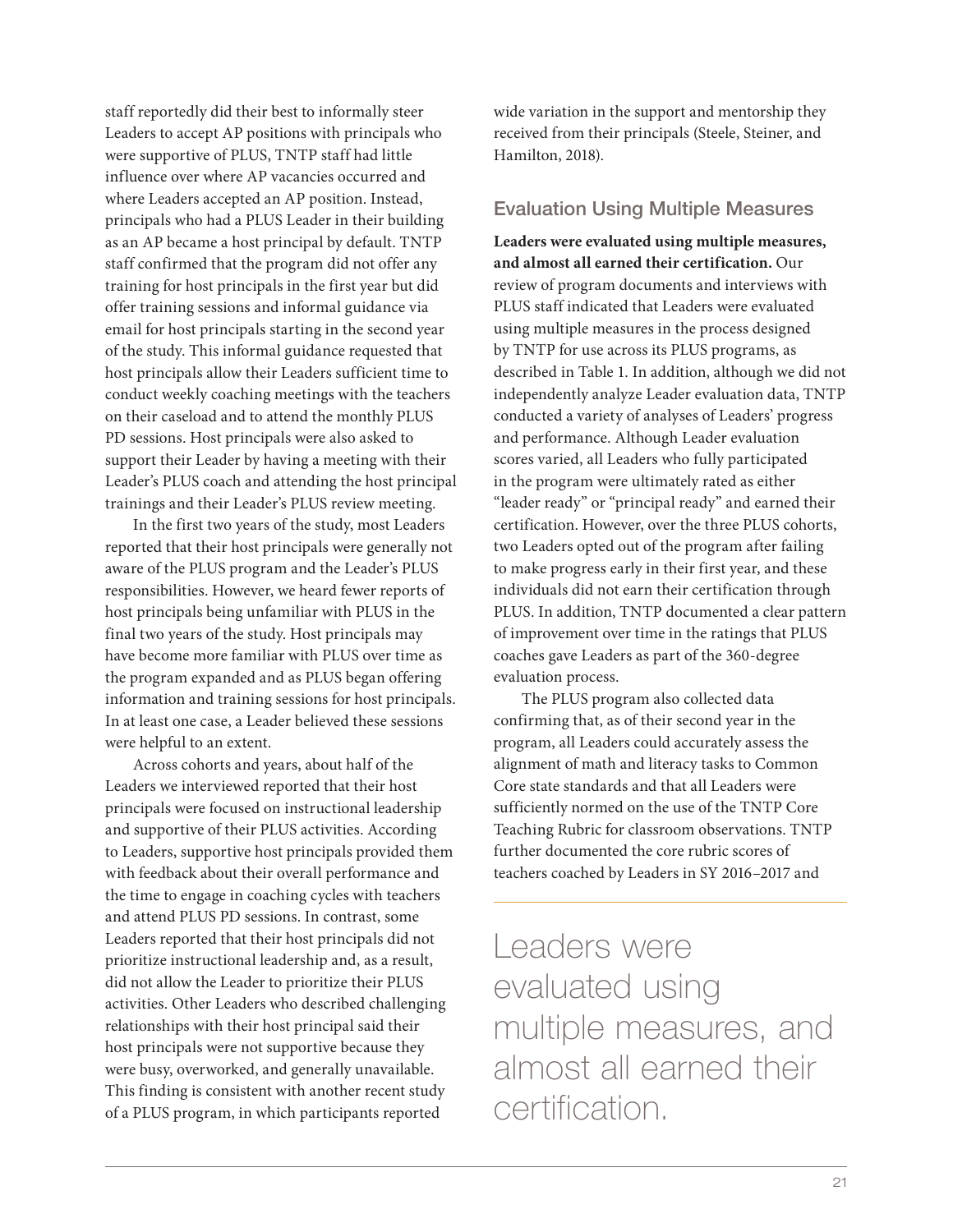staff reportedly did their best to informally steer Leaders to accept AP positions with principals who were supportive of PLUS, TNTP staff had little influence over where AP vacancies occurred and where Leaders accepted an AP position. Instead, principals who had a PLUS Leader in their building as an AP became a host principal by default. TNTP staff confirmed that the program did not offer any training for host principals in the first year but did offer training sessions and informal guidance via email for host principals starting in the second year of the study. This informal guidance requested that host principals allow their Leaders sufficient time to conduct weekly coaching meetings with the teachers on their caseload and to attend the monthly PLUS PD sessions. Host principals were also asked to support their Leader by having a meeting with their Leader's PLUS coach and attending the host principal trainings and their Leader's PLUS review meeting.

In the first two years of the study, most Leaders reported that their host principals were generally not aware of the PLUS program and the Leader's PLUS responsibilities. However, we heard fewer reports of host principals being unfamiliar with PLUS in the final two years of the study. Host principals may have become more familiar with PLUS over time as the program expanded and as PLUS began offering information and training sessions for host principals. In at least one case, a Leader believed these sessions were helpful to an extent.

Across cohorts and years, about half of the Leaders we interviewed reported that their host principals were focused on instructional leadership and supportive of their PLUS activities. According to Leaders, supportive host principals provided them with feedback about their overall performance and the time to engage in coaching cycles with teachers and attend PLUS PD sessions. In contrast, some Leaders reported that their host principals did not prioritize instructional leadership and, as a result, did not allow the Leader to prioritize their PLUS activities. Other Leaders who described challenging relationships with their host principal said their host principals were not supportive because they were busy, overworked, and generally unavailable. This finding is consistent with another recent study of a PLUS program, in which participants reported

wide variation in the support and mentorship they received from their principals (Steele, Steiner, and Hamilton, 2018).

#### Evaluation Using Multiple Measures

**Leaders were evaluated using multiple measures, and almost all earned their certification.** Our review of program documents and interviews with PLUS staff indicated that Leaders were evaluated using multiple measures in the process designed by TNTP for use across its PLUS programs, as described in Table 1. In addition, although we did not independently analyze Leader evaluation data, TNTP conducted a variety of analyses of Leaders' progress and performance. Although Leader evaluation scores varied, all Leaders who fully participated in the program were ultimately rated as either "leader ready" or "principal ready" and earned their certification. However, over the three PLUS cohorts, two Leaders opted out of the program after failing to make progress early in their first year, and these individuals did not earn their certification through PLUS. In addition, TNTP documented a clear pattern of improvement over time in the ratings that PLUS coaches gave Leaders as part of the 360-degree evaluation process.

The PLUS program also collected data confirming that, as of their second year in the program, all Leaders could accurately assess the alignment of math and literacy tasks to Common Core state standards and that all Leaders were sufficiently normed on the use of the TNTP Core Teaching Rubric for classroom observations. TNTP further documented the core rubric scores of teachers coached by Leaders in SY 2016–2017 and

Leaders were evaluated using multiple measures, and almost all earned their certification.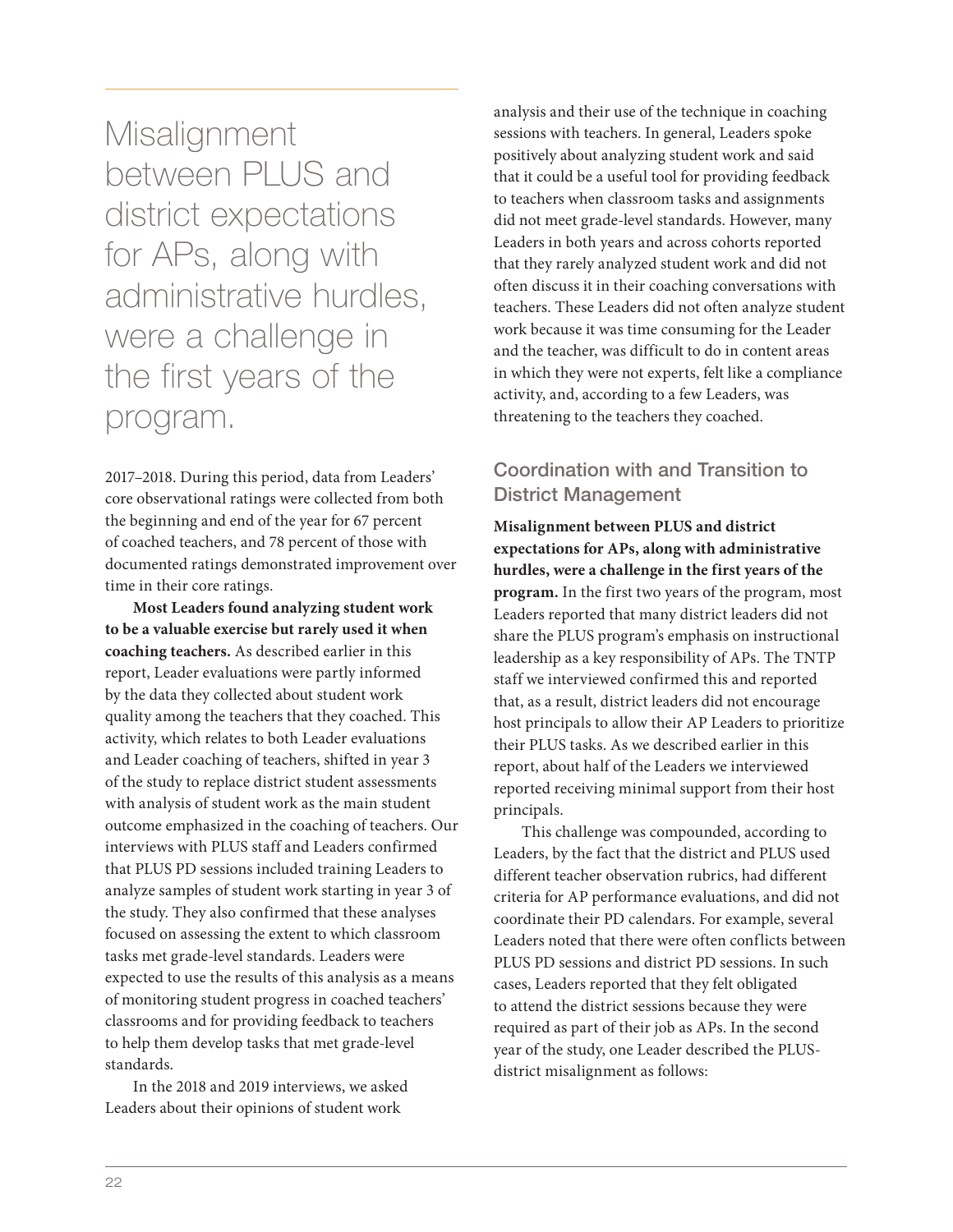**Misalignment** between PLUS and district expectations for APs, along with administrative hurdles, were a challenge in the first years of the program.

2017–2018. During this period, data from Leaders' core observational ratings were collected from both the beginning and end of the year for 67 percent of coached teachers, and 78 percent of those with documented ratings demonstrated improvement over time in their core ratings.

**Most Leaders found analyzing student work to be a valuable exercise but rarely used it when coaching teachers.** As described earlier in this report, Leader evaluations were partly informed by the data they collected about student work quality among the teachers that they coached. This activity, which relates to both Leader evaluations and Leader coaching of teachers, shifted in year 3 of the study to replace district student assessments with analysis of student work as the main student outcome emphasized in the coaching of teachers. Our interviews with PLUS staff and Leaders confirmed that PLUS PD sessions included training Leaders to analyze samples of student work starting in year 3 of the study. They also confirmed that these analyses focused on assessing the extent to which classroom tasks met grade-level standards. Leaders were expected to use the results of this analysis as a means of monitoring student progress in coached teachers' classrooms and for providing feedback to teachers to help them develop tasks that met grade-level standards.

In the 2018 and 2019 interviews, we asked Leaders about their opinions of student work

analysis and their use of the technique in coaching sessions with teachers. In general, Leaders spoke positively about analyzing student work and said that it could be a useful tool for providing feedback to teachers when classroom tasks and assignments did not meet grade-level standards. However, many Leaders in both years and across cohorts reported that they rarely analyzed student work and did not often discuss it in their coaching conversations with teachers. These Leaders did not often analyze student work because it was time consuming for the Leader and the teacher, was difficult to do in content areas in which they were not experts, felt like a compliance activity, and, according to a few Leaders, was threatening to the teachers they coached.

#### Coordination with and Transition to District Management

**Misalignment between PLUS and district expectations for APs, along with administrative hurdles, were a challenge in the first years of the program.** In the first two years of the program, most Leaders reported that many district leaders did not share the PLUS program's emphasis on instructional leadership as a key responsibility of APs. The TNTP staff we interviewed confirmed this and reported that, as a result, district leaders did not encourage host principals to allow their AP Leaders to prioritize their PLUS tasks. As we described earlier in this report, about half of the Leaders we interviewed reported receiving minimal support from their host principals.

This challenge was compounded, according to Leaders, by the fact that the district and PLUS used different teacher observation rubrics, had different criteria for AP performance evaluations, and did not coordinate their PD calendars. For example, several Leaders noted that there were often conflicts between PLUS PD sessions and district PD sessions. In such cases, Leaders reported that they felt obligated to attend the district sessions because they were required as part of their job as APs. In the second year of the study, one Leader described the PLUSdistrict misalignment as follows: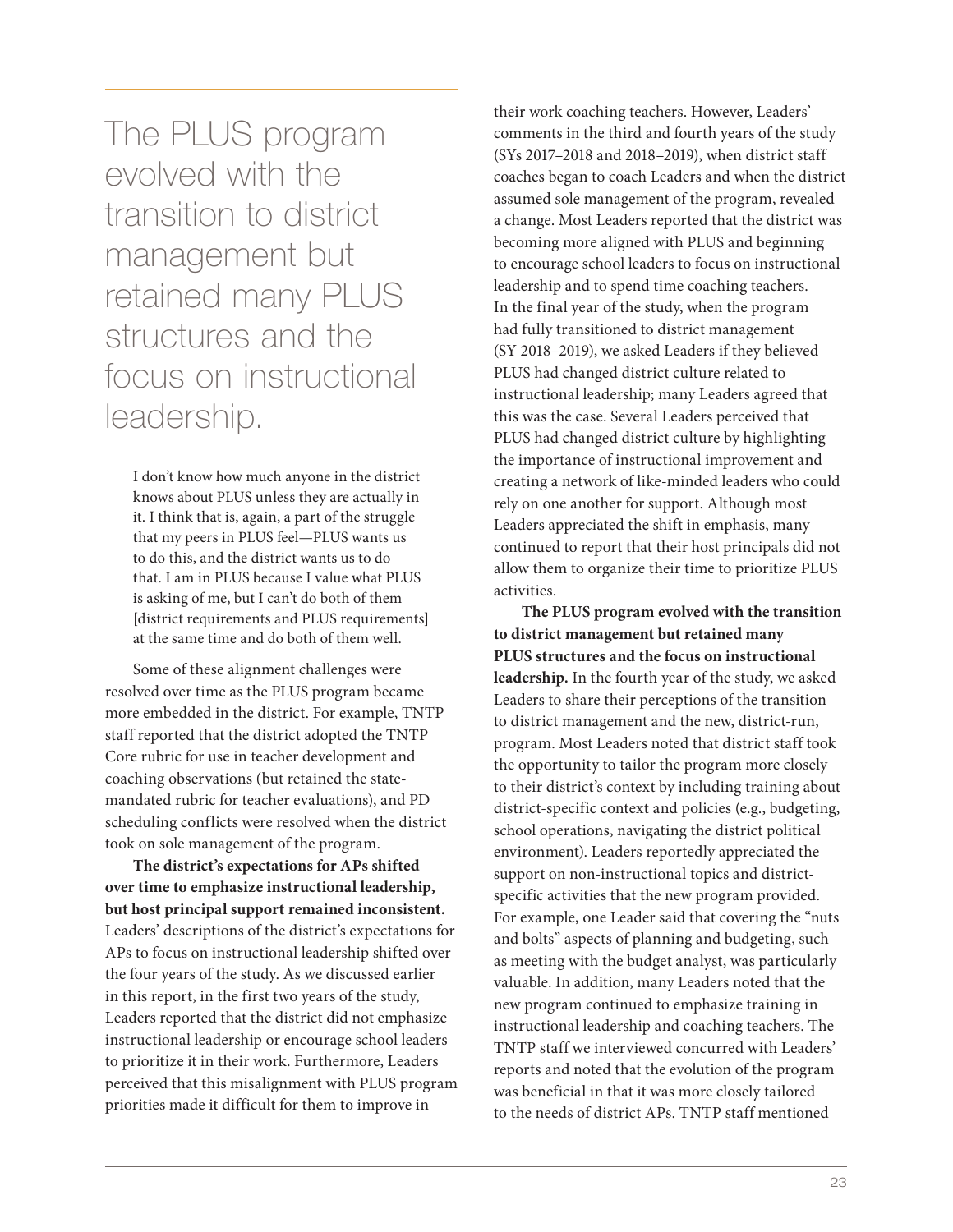The PLUS program evolved with the transition to district management but retained many PLUS structures and the focus on instructional leadership.

I don't know how much anyone in the district knows about PLUS unless they are actually in it. I think that is, again, a part of the struggle that my peers in PLUS feel—PLUS wants us to do this, and the district wants us to do that. I am in PLUS because I value what PLUS is asking of me, but I can't do both of them [district requirements and PLUS requirements] at the same time and do both of them well.

Some of these alignment challenges were resolved over time as the PLUS program became more embedded in the district. For example, TNTP staff reported that the district adopted the TNTP Core rubric for use in teacher development and coaching observations (but retained the statemandated rubric for teacher evaluations), and PD scheduling conflicts were resolved when the district took on sole management of the program.

**The district's expectations for APs shifted over time to emphasize instructional leadership, but host principal support remained inconsistent.** Leaders' descriptions of the district's expectations for APs to focus on instructional leadership shifted over the four years of the study. As we discussed earlier in this report, in the first two years of the study, Leaders reported that the district did not emphasize instructional leadership or encourage school leaders to prioritize it in their work. Furthermore, Leaders perceived that this misalignment with PLUS program priorities made it difficult for them to improve in

their work coaching teachers. However, Leaders' comments in the third and fourth years of the study (SYs 2017–2018 and 2018–2019), when district staff coaches began to coach Leaders and when the district assumed sole management of the program, revealed a change. Most Leaders reported that the district was becoming more aligned with PLUS and beginning to encourage school leaders to focus on instructional leadership and to spend time coaching teachers. In the final year of the study, when the program had fully transitioned to district management (SY 2018–2019), we asked Leaders if they believed PLUS had changed district culture related to instructional leadership; many Leaders agreed that this was the case. Several Leaders perceived that PLUS had changed district culture by highlighting the importance of instructional improvement and creating a network of like-minded leaders who could rely on one another for support. Although most Leaders appreciated the shift in emphasis, many continued to report that their host principals did not allow them to organize their time to prioritize PLUS activities.

**The PLUS program evolved with the transition to district management but retained many PLUS structures and the focus on instructional leadership.** In the fourth year of the study, we asked Leaders to share their perceptions of the transition to district management and the new, district-run, program. Most Leaders noted that district staff took the opportunity to tailor the program more closely to their district's context by including training about district-specific context and policies (e.g., budgeting, school operations, navigating the district political environment). Leaders reportedly appreciated the support on non-instructional topics and districtspecific activities that the new program provided. For example, one Leader said that covering the "nuts and bolts" aspects of planning and budgeting, such as meeting with the budget analyst, was particularly valuable. In addition, many Leaders noted that the new program continued to emphasize training in instructional leadership and coaching teachers. The TNTP staff we interviewed concurred with Leaders' reports and noted that the evolution of the program was beneficial in that it was more closely tailored to the needs of district APs. TNTP staff mentioned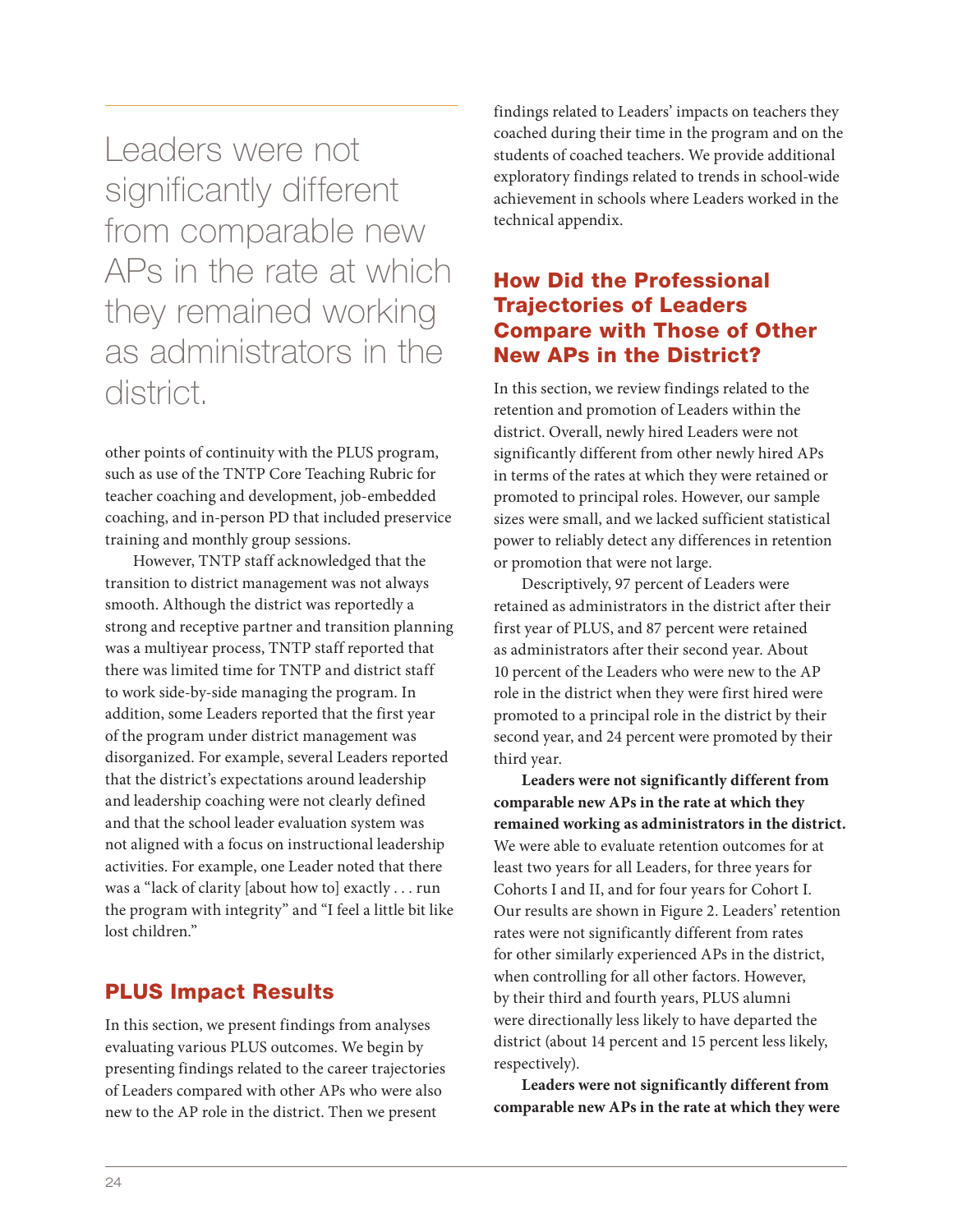Leaders were not significantly different from comparable new APs in the rate at which they remained working as administrators in the district.

other points of continuity with the PLUS program, such as use of the TNTP Core Teaching Rubric for teacher coaching and development, job-embedded coaching, and in-person PD that included preservice training and monthly group sessions.

However, TNTP staff acknowledged that the transition to district management was not always smooth. Although the district was reportedly a strong and receptive partner and transition planning was a multiyear process, TNTP staff reported that there was limited time for TNTP and district staff to work side-by-side managing the program. In addition, some Leaders reported that the first year of the program under district management was disorganized. For example, several Leaders reported that the district's expectations around leadership and leadership coaching were not clearly defined and that the school leader evaluation system was not aligned with a focus on instructional leadership activities. For example, one Leader noted that there was a "lack of clarity [about how to] exactly . . . run the program with integrity" and "I feel a little bit like lost children."

#### PLUS Impact Results

In this section, we present findings from analyses evaluating various PLUS outcomes. We begin by presenting findings related to the career trajectories of Leaders compared with other APs who were also new to the AP role in the district. Then we present

findings related to Leaders' impacts on teachers they coached during their time in the program and on the students of coached teachers. We provide additional exploratory findings related to trends in school-wide achievement in schools where Leaders worked in the technical appendix.

#### How Did the Professional Trajectories of Leaders Compare with Those of Other New APs in the District?

In this section, we review findings related to the retention and promotion of Leaders within the district. Overall, newly hired Leaders were not significantly different from other newly hired APs in terms of the rates at which they were retained or promoted to principal roles. However, our sample sizes were small, and we lacked sufficient statistical power to reliably detect any differences in retention or promotion that were not large.

Descriptively, 97 percent of Leaders were retained as administrators in the district after their first year of PLUS, and 87 percent were retained as administrators after their second year. About 10 percent of the Leaders who were new to the AP role in the district when they were first hired were promoted to a principal role in the district by their second year, and 24 percent were promoted by their third year.

**Leaders were not significantly different from comparable new APs in the rate at which they remained working as administrators in the district.**  We were able to evaluate retention outcomes for at least two years for all Leaders, for three years for Cohorts I and II, and for four years for Cohort I. Our results are shown in Figure 2. Leaders' retention rates were not significantly different from rates for other similarly experienced APs in the district, when controlling for all other factors. However, by their third and fourth years, PLUS alumni were directionally less likely to have departed the district (about 14 percent and 15 percent less likely, respectively).

**Leaders were not significantly different from comparable new APs in the rate at which they were**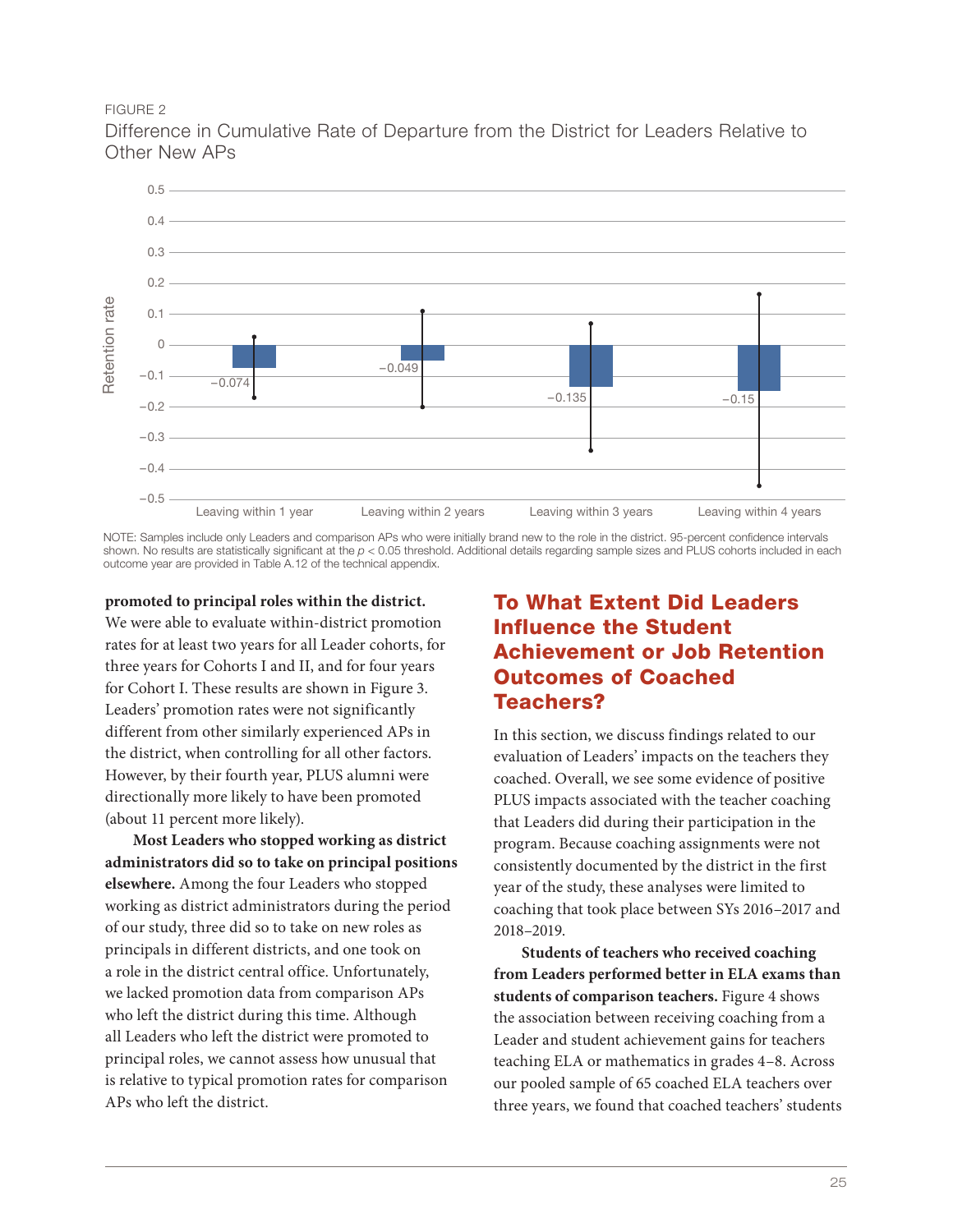FIGURE 2



Difference in Cumulative Rate of Departure from the District for Leaders Relative to Other New APs

NOTE: Samples include only Leaders and comparison APs who were initially brand new to the role in the district. 95-percent confidence intervals shown. No results are statistically significant at the  $p < 0.05$  threshold. Additional details regarding sample sizes and PLUS cohorts included in each outcome year are provided in Table A.12 of the technical appendix.

**promoted to principal roles within the district.**  We were able to evaluate within-district promotion rates for at least two years for all Leader cohorts, for three years for Cohorts I and II, and for four years for Cohort I. These results are shown in Figure 3. Leaders' promotion rates were not significantly different from other similarly experienced APs in the district, when controlling for all other factors. However, by their fourth year, PLUS alumni were directionally more likely to have been promoted (about 11 percent more likely).

**Most Leaders who stopped working as district administrators did so to take on principal positions elsewhere.** Among the four Leaders who stopped working as district administrators during the period of our study, three did so to take on new roles as principals in different districts, and one took on a role in the district central office. Unfortunately, we lacked promotion data from comparison APs who left the district during this time. Although all Leaders who left the district were promoted to principal roles, we cannot assess how unusual that is relative to typical promotion rates for comparison APs who left the district.

#### To What Extent Did Leaders Influence the Student Achievement or Job Retention Outcomes of Coached Teachers?

In this section, we discuss findings related to our evaluation of Leaders' impacts on the teachers they coached. Overall, we see some evidence of positive PLUS impacts associated with the teacher coaching that Leaders did during their participation in the program. Because coaching assignments were not consistently documented by the district in the first year of the study, these analyses were limited to coaching that took place between SYs 2016–2017 and 2018–2019.

**Students of teachers who received coaching from Leaders performed better in ELA exams than students of comparison teachers.** Figure 4 shows the association between receiving coaching from a Leader and student achievement gains for teachers teaching ELA or mathematics in grades 4–8. Across our pooled sample of 65 coached ELA teachers over three years, we found that coached teachers' students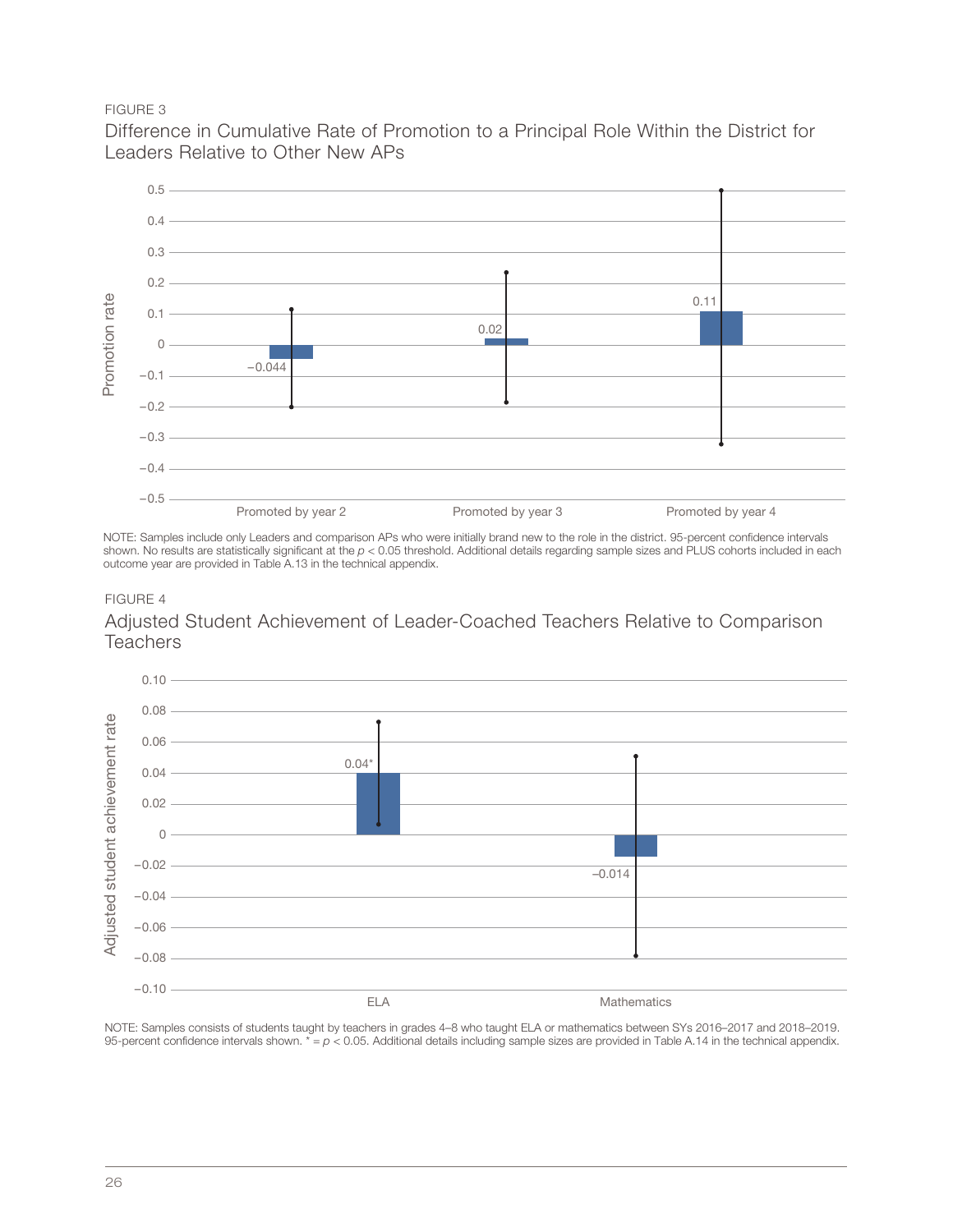#### FIGURE 3

Difference in Cumulative Rate of Promotion to a Principal Role Within the District for Leaders Relative to Other New APs



NOTE: Samples include only Leaders and comparison APs who were initially brand new to the role in the district. 95-percent confidence intervals shown. No results are statistically significant at the  $p < 0.05$  threshold. Additional details regarding sample sizes and PLUS cohorts included in each outcome year are provided in Table A.13 in the technical appendix.

#### FIGURE 4

Adjusted Student Achievement of Leader-Coached Teachers Relative to Comparison **Teachers** 



NOTE: Samples consists of students taught by teachers in grades 4–8 who taught ELA or mathematics between SYs 2016–2017 and 2018–2019. 95-percent confidence intervals shown.  $* = p < 0.05$ . Additional details including sample sizes are provided in Table A.14 in the technical appendix.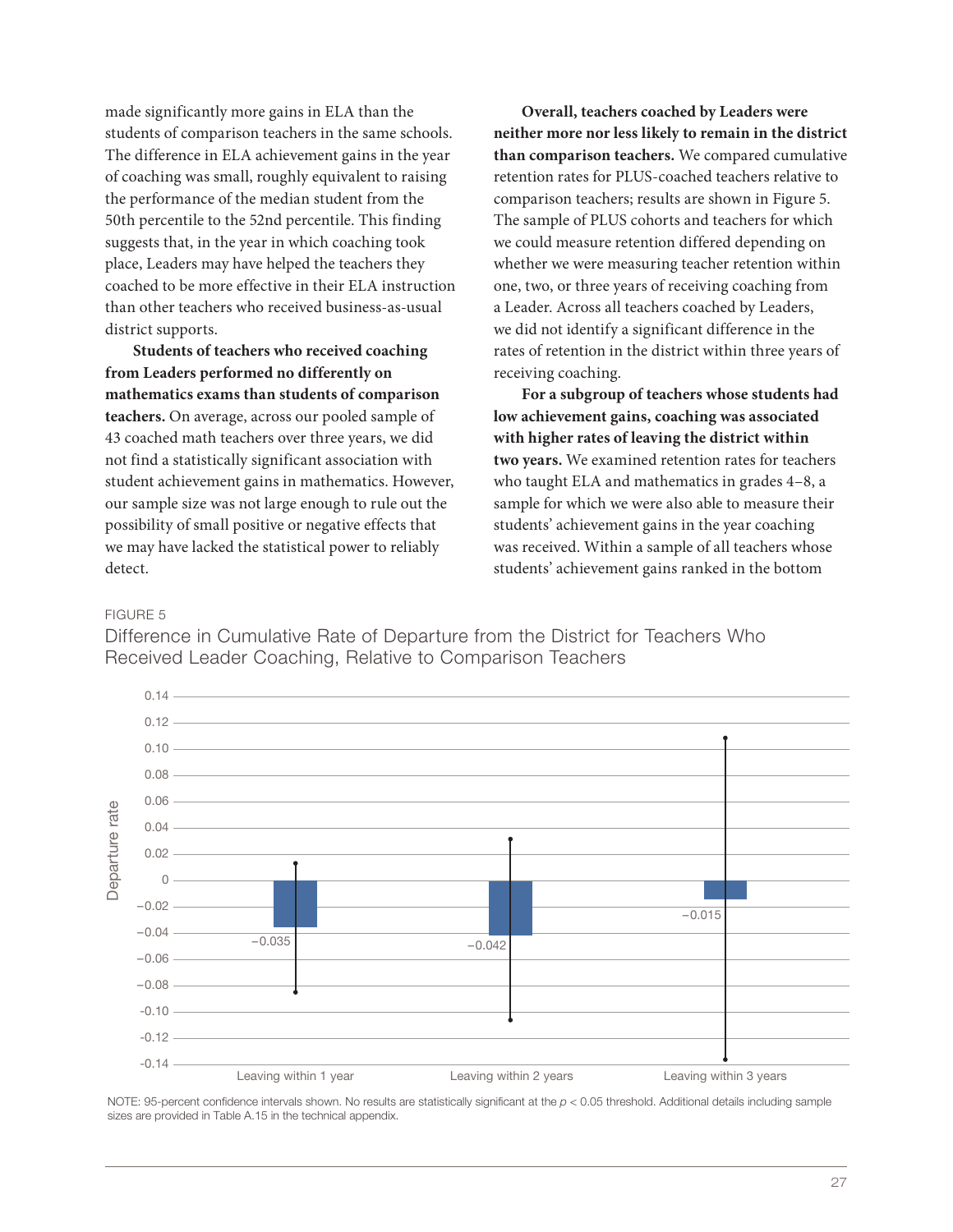made significantly more gains in ELA than the students of comparison teachers in the same schools. The difference in ELA achievement gains in the year of coaching was small, roughly equivalent to raising the performance of the median student from the 50th percentile to the 52nd percentile. This finding suggests that, in the year in which coaching took place, Leaders may have helped the teachers they coached to be more effective in their ELA instruction than other teachers who received business-as-usual district supports.

**Students of teachers who received coaching from Leaders performed no differently on mathematics exams than students of comparison teachers.** On average, across our pooled sample of 43 coached math teachers over three years, we did not find a statistically significant association with student achievement gains in mathematics. However, our sample size was not large enough to rule out the possibility of small positive or negative effects that we may have lacked the statistical power to reliably detect.

**Overall, teachers coached by Leaders were neither more nor less likely to remain in the district than comparison teachers.** We compared cumulative retention rates for PLUS-coached teachers relative to comparison teachers; results are shown in Figure 5. The sample of PLUS cohorts and teachers for which we could measure retention differed depending on whether we were measuring teacher retention within one, two, or three years of receiving coaching from a Leader. Across all teachers coached by Leaders, we did not identify a significant difference in the rates of retention in the district within three years of receiving coaching.

**For a subgroup of teachers whose students had low achievement gains, coaching was associated with higher rates of leaving the district within two years.** We examined retention rates for teachers who taught ELA and mathematics in grades 4–8, a sample for which we were also able to measure their students' achievement gains in the year coaching was received. Within a sample of all teachers whose students' achievement gains ranked in the bottom

#### FIGURE 5

Difference in Cumulative Rate of Departure from the District for Teachers Who Received Leader Coaching, Relative to Comparison Teachers



NOTE: 95-percent confidence intervals shown. No results are statistically significant at the  $p < 0.05$  threshold. Additional details including sample sizes are provided in Table A.15 in the technical appendix.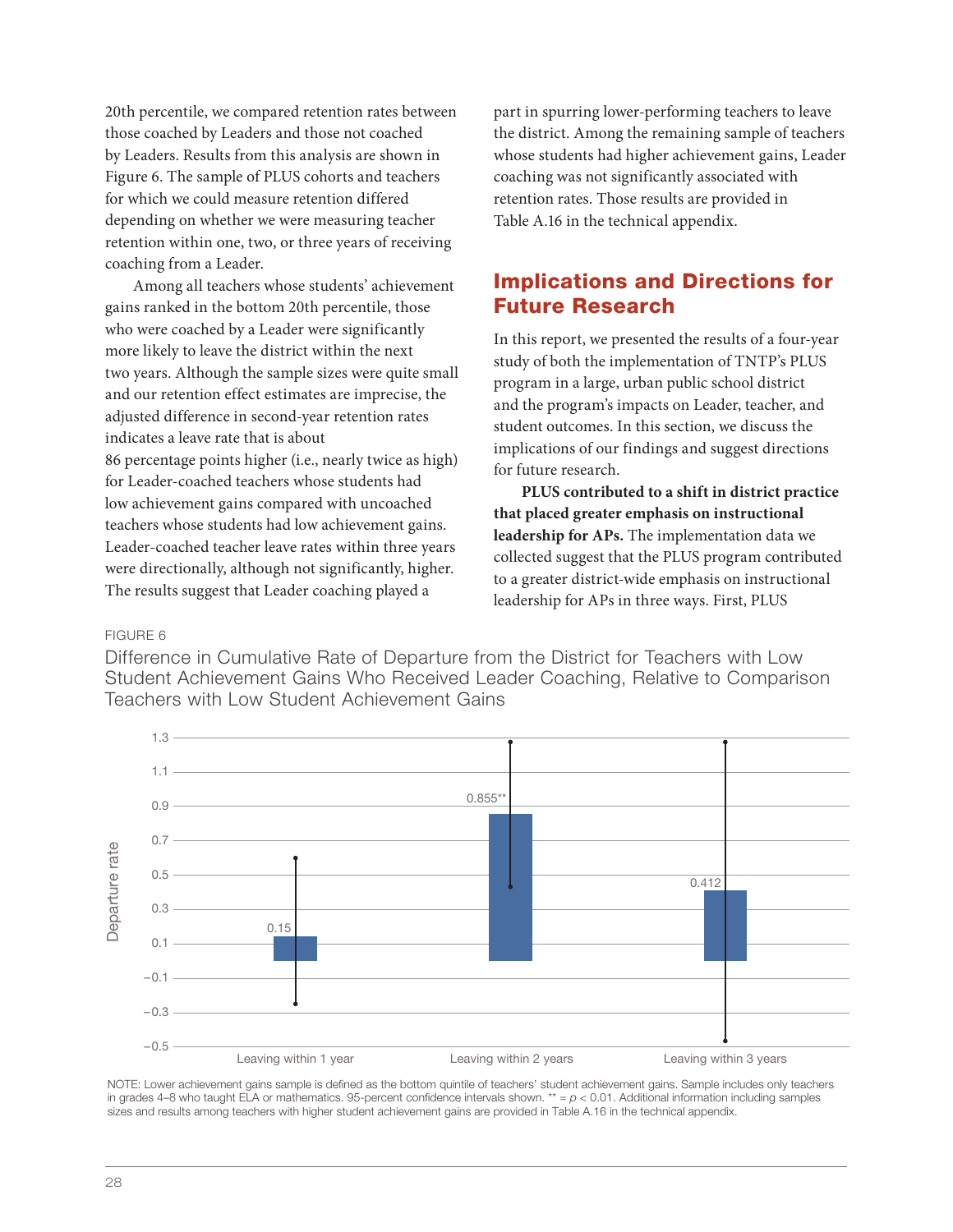20th percentile, we compared retention rates between those coached by Leaders and those not coached by Leaders. Results from this analysis are shown in Figure 6. The sample of PLUS cohorts and teachers for which we could measure retention differed depending on whether we were measuring teacher retention within one, two, or three years of receiving coaching from a Leader.

Among all teachers whose students' achievement gains ranked in the bottom 20th percentile, those who were coached by a Leader were significantly more likely to leave the district within the next two years. Although the sample sizes were quite small and our retention effect estimates are imprecise, the adjusted difference in second-year retention rates indicates a leave rate that is about 86 percentage points higher (i.e., nearly twice as high) for Leader-coached teachers whose students had low achievement gains compared with uncoached teachers whose students had low achievement gains. Leader-coached teacher leave rates within three years were directionally, although not significantly, higher. The results suggest that Leader coaching played a

part in spurring lower-performing teachers to leave the district. Among the remaining sample of teachers whose students had higher achievement gains, Leader coaching was not significantly associated with retention rates. Those results are provided in Table A.16 in the technical appendix.

#### Implications and Directions for Future Research

In this report, we presented the results of a four-year study of both the implementation of TNTP's PLUS program in a large, urban public school district and the program's impacts on Leader, teacher, and student outcomes. In this section, we discuss the implications of our findings and suggest directions for future research.

**PLUS contributed to a shift in district practice that placed greater emphasis on instructional leadership for APs.** The implementation data we collected suggest that the PLUS program contributed to a greater district-wide emphasis on instructional leadership for APs in three ways. First, PLUS

#### FIGURE 6

Difference in Cumulative Rate of Departure from the District for Teachers with Low Student Achievement Gains Who Received Leader Coaching, Relative to Comparison Teachers with Low Student Achievement Gains



NOTE: Lower achievement gains sample is defined as the bottom quintile of teachers' student achievement gains. Sample includes only teachers in grades 4–8 who taught ELA or mathematics. 95-percent confidence intervals shown. \*\*  $= p < 0.01$ . Additional information including samples sizes and results among teachers with higher student achievement gains are provided in Table A.16 in the technical appendix.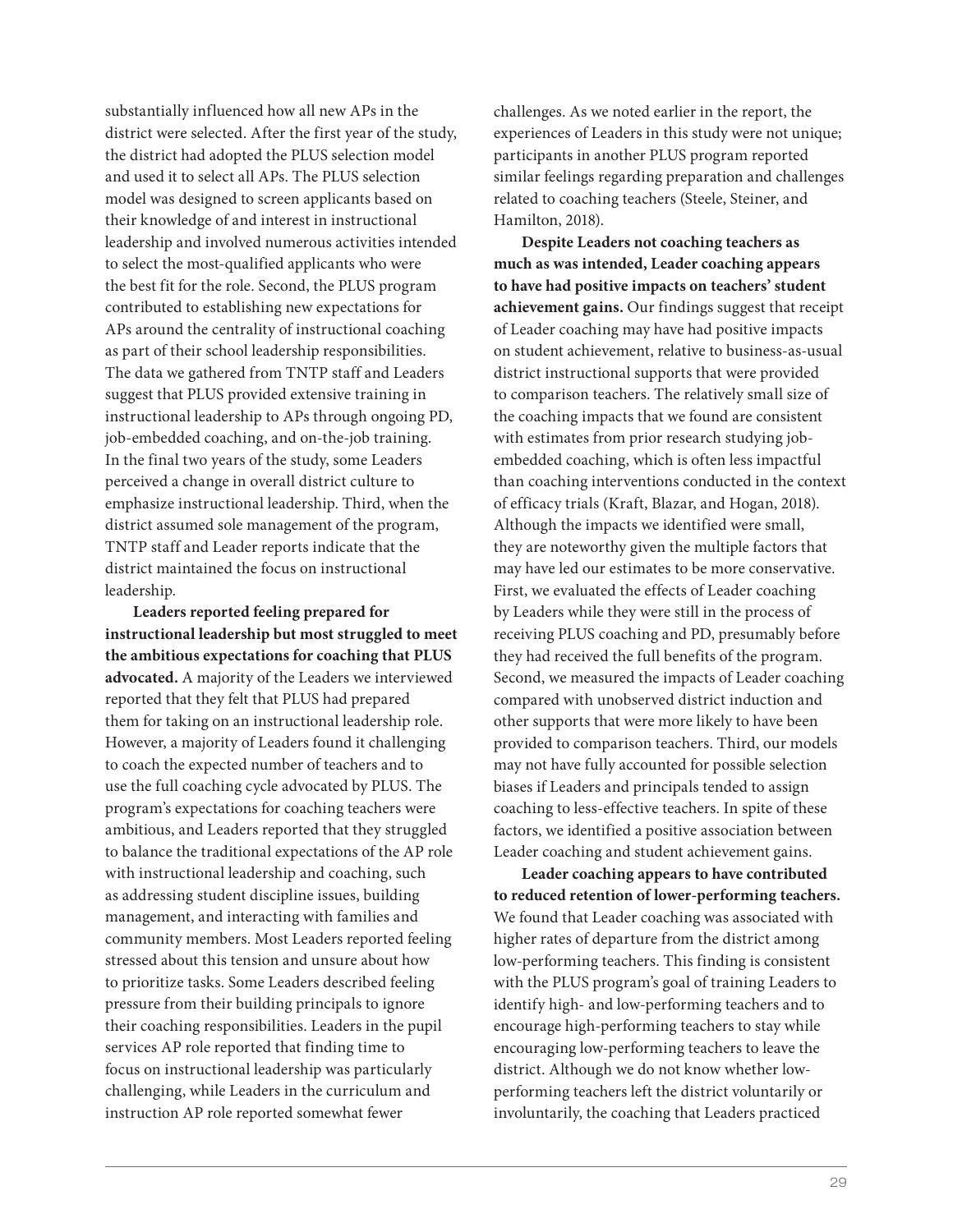substantially influenced how all new APs in the district were selected. After the first year of the study, the district had adopted the PLUS selection model and used it to select all APs. The PLUS selection model was designed to screen applicants based on their knowledge of and interest in instructional leadership and involved numerous activities intended to select the most-qualified applicants who were the best fit for the role. Second, the PLUS program contributed to establishing new expectations for APs around the centrality of instructional coaching as part of their school leadership responsibilities. The data we gathered from TNTP staff and Leaders suggest that PLUS provided extensive training in instructional leadership to APs through ongoing PD, job-embedded coaching, and on-the-job training. In the final two years of the study, some Leaders perceived a change in overall district culture to emphasize instructional leadership. Third, when the district assumed sole management of the program, TNTP staff and Leader reports indicate that the district maintained the focus on instructional leadership.

**Leaders reported feeling prepared for instructional leadership but most struggled to meet the ambitious expectations for coaching that PLUS advocated.** A majority of the Leaders we interviewed reported that they felt that PLUS had prepared them for taking on an instructional leadership role. However, a majority of Leaders found it challenging to coach the expected number of teachers and to use the full coaching cycle advocated by PLUS. The program's expectations for coaching teachers were ambitious, and Leaders reported that they struggled to balance the traditional expectations of the AP role with instructional leadership and coaching, such as addressing student discipline issues, building management, and interacting with families and community members. Most Leaders reported feeling stressed about this tension and unsure about how to prioritize tasks. Some Leaders described feeling pressure from their building principals to ignore their coaching responsibilities. Leaders in the pupil services AP role reported that finding time to focus on instructional leadership was particularly challenging, while Leaders in the curriculum and instruction AP role reported somewhat fewer

challenges. As we noted earlier in the report, the experiences of Leaders in this study were not unique; participants in another PLUS program reported similar feelings regarding preparation and challenges related to coaching teachers (Steele, Steiner, and Hamilton, 2018).

**Despite Leaders not coaching teachers as much as was intended, Leader coaching appears to have had positive impacts on teachers' student achievement gains.** Our findings suggest that receipt of Leader coaching may have had positive impacts on student achievement, relative to business-as-usual district instructional supports that were provided to comparison teachers. The relatively small size of the coaching impacts that we found are consistent with estimates from prior research studying jobembedded coaching, which is often less impactful than coaching interventions conducted in the context of efficacy trials (Kraft, Blazar, and Hogan, 2018). Although the impacts we identified were small, they are noteworthy given the multiple factors that may have led our estimates to be more conservative. First, we evaluated the effects of Leader coaching by Leaders while they were still in the process of receiving PLUS coaching and PD, presumably before they had received the full benefits of the program. Second, we measured the impacts of Leader coaching compared with unobserved district induction and other supports that were more likely to have been provided to comparison teachers. Third, our models may not have fully accounted for possible selection biases if Leaders and principals tended to assign coaching to less-effective teachers. In spite of these factors, we identified a positive association between Leader coaching and student achievement gains.

**Leader coaching appears to have contributed to reduced retention of lower-performing teachers.**  We found that Leader coaching was associated with higher rates of departure from the district among low-performing teachers. This finding is consistent with the PLUS program's goal of training Leaders to identify high- and low-performing teachers and to encourage high-performing teachers to stay while encouraging low-performing teachers to leave the district. Although we do not know whether lowperforming teachers left the district voluntarily or involuntarily, the coaching that Leaders practiced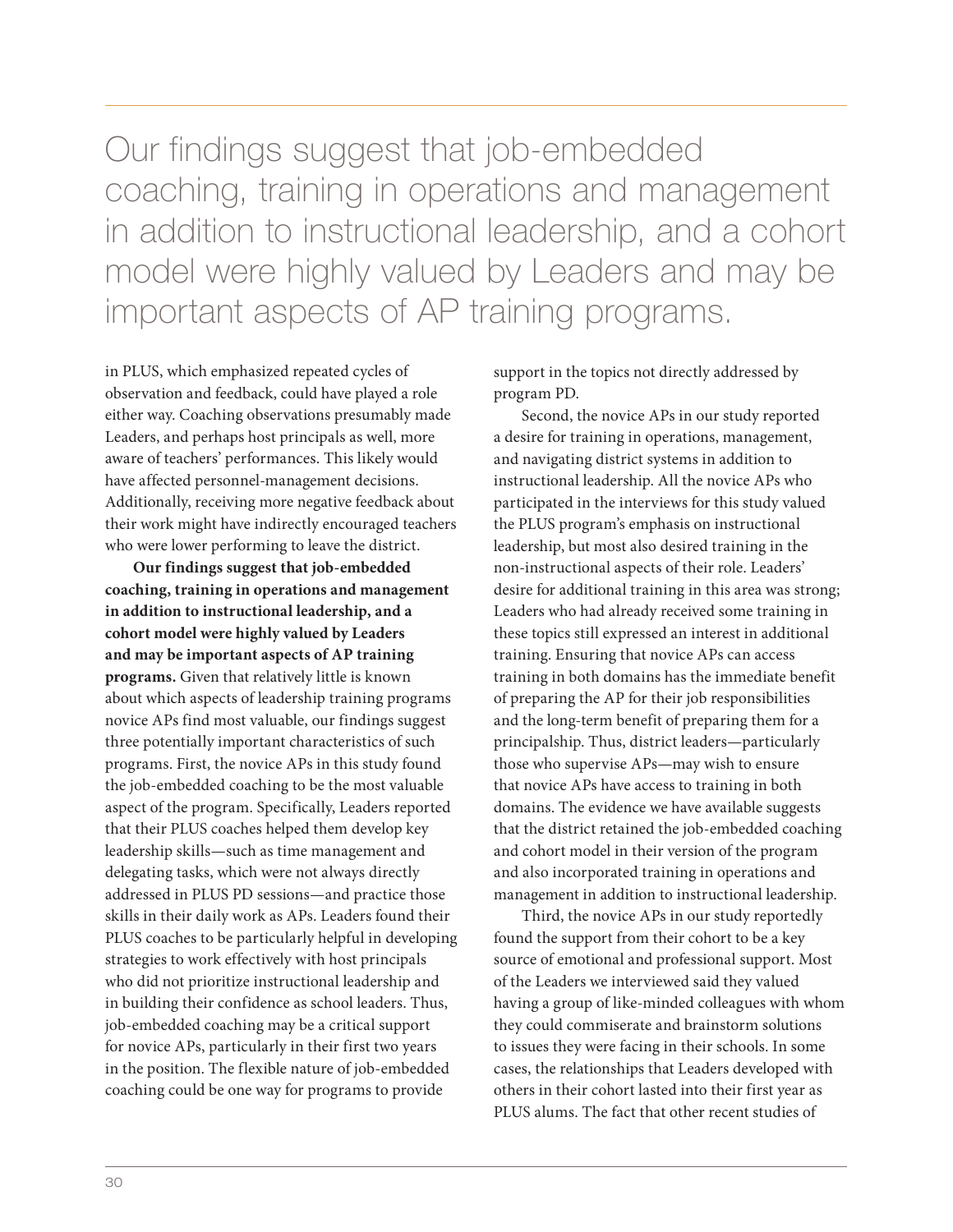Our findings suggest that job-embedded coaching, training in operations and management in addition to instructional leadership, and a cohort model were highly valued by Leaders and may be important aspects of AP training programs.

in PLUS, which emphasized repeated cycles of observation and feedback, could have played a role either way. Coaching observations presumably made Leaders, and perhaps host principals as well, more aware of teachers' performances. This likely would have affected personnel-management decisions. Additionally, receiving more negative feedback about their work might have indirectly encouraged teachers who were lower performing to leave the district.

**Our findings suggest that job-embedded coaching, training in operations and management in addition to instructional leadership, and a cohort model were highly valued by Leaders and may be important aspects of AP training programs.** Given that relatively little is known about which aspects of leadership training programs novice APs find most valuable, our findings suggest three potentially important characteristics of such programs. First, the novice APs in this study found the job-embedded coaching to be the most valuable aspect of the program. Specifically, Leaders reported that their PLUS coaches helped them develop key leadership skills—such as time management and delegating tasks, which were not always directly addressed in PLUS PD sessions—and practice those skills in their daily work as APs. Leaders found their PLUS coaches to be particularly helpful in developing strategies to work effectively with host principals who did not prioritize instructional leadership and in building their confidence as school leaders. Thus, job-embedded coaching may be a critical support for novice APs, particularly in their first two years in the position. The flexible nature of job-embedded coaching could be one way for programs to provide

support in the topics not directly addressed by program PD.

Second, the novice APs in our study reported a desire for training in operations, management, and navigating district systems in addition to instructional leadership. All the novice APs who participated in the interviews for this study valued the PLUS program's emphasis on instructional leadership, but most also desired training in the non-instructional aspects of their role. Leaders' desire for additional training in this area was strong; Leaders who had already received some training in these topics still expressed an interest in additional training. Ensuring that novice APs can access training in both domains has the immediate benefit of preparing the AP for their job responsibilities and the long-term benefit of preparing them for a principalship. Thus, district leaders—particularly those who supervise APs—may wish to ensure that novice APs have access to training in both domains. The evidence we have available suggests that the district retained the job-embedded coaching and cohort model in their version of the program and also incorporated training in operations and management in addition to instructional leadership.

Third, the novice APs in our study reportedly found the support from their cohort to be a key source of emotional and professional support. Most of the Leaders we interviewed said they valued having a group of like-minded colleagues with whom they could commiserate and brainstorm solutions to issues they were facing in their schools. In some cases, the relationships that Leaders developed with others in their cohort lasted into their first year as PLUS alums. The fact that other recent studies of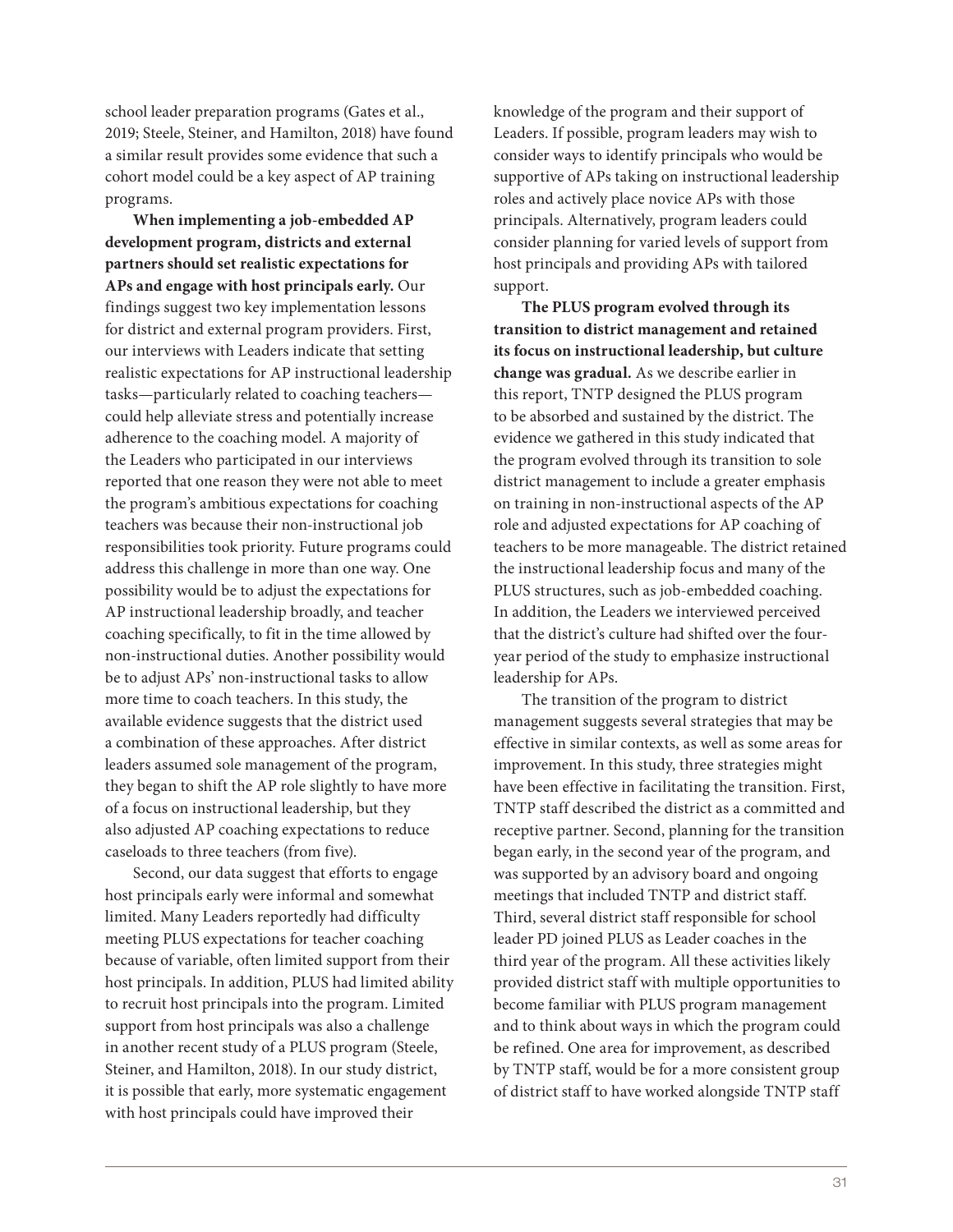school leader preparation programs (Gates et al., 2019; Steele, Steiner, and Hamilton, 2018) have found a similar result provides some evidence that such a cohort model could be a key aspect of AP training programs.

**When implementing a job-embedded AP development program, districts and external partners should set realistic expectations for APs and engage with host principals early.** Our findings suggest two key implementation lessons for district and external program providers. First, our interviews with Leaders indicate that setting realistic expectations for AP instructional leadership tasks—particularly related to coaching teachers could help alleviate stress and potentially increase adherence to the coaching model. A majority of the Leaders who participated in our interviews reported that one reason they were not able to meet the program's ambitious expectations for coaching teachers was because their non-instructional job responsibilities took priority. Future programs could address this challenge in more than one way. One possibility would be to adjust the expectations for AP instructional leadership broadly, and teacher coaching specifically, to fit in the time allowed by non-instructional duties. Another possibility would be to adjust APs' non-instructional tasks to allow more time to coach teachers. In this study, the available evidence suggests that the district used a combination of these approaches. After district leaders assumed sole management of the program, they began to shift the AP role slightly to have more of a focus on instructional leadership, but they also adjusted AP coaching expectations to reduce caseloads to three teachers (from five).

Second, our data suggest that efforts to engage host principals early were informal and somewhat limited. Many Leaders reportedly had difficulty meeting PLUS expectations for teacher coaching because of variable, often limited support from their host principals. In addition, PLUS had limited ability to recruit host principals into the program. Limited support from host principals was also a challenge in another recent study of a PLUS program (Steele, Steiner, and Hamilton, 2018). In our study district, it is possible that early, more systematic engagement with host principals could have improved their

knowledge of the program and their support of Leaders. If possible, program leaders may wish to consider ways to identify principals who would be supportive of APs taking on instructional leadership roles and actively place novice APs with those principals. Alternatively, program leaders could consider planning for varied levels of support from host principals and providing APs with tailored support.

**The PLUS program evolved through its transition to district management and retained its focus on instructional leadership, but culture change was gradual.** As we describe earlier in this report, TNTP designed the PLUS program to be absorbed and sustained by the district. The evidence we gathered in this study indicated that the program evolved through its transition to sole district management to include a greater emphasis on training in non-instructional aspects of the AP role and adjusted expectations for AP coaching of teachers to be more manageable. The district retained the instructional leadership focus and many of the PLUS structures, such as job-embedded coaching. In addition, the Leaders we interviewed perceived that the district's culture had shifted over the fouryear period of the study to emphasize instructional leadership for APs.

The transition of the program to district management suggests several strategies that may be effective in similar contexts, as well as some areas for improvement. In this study, three strategies might have been effective in facilitating the transition. First, TNTP staff described the district as a committed and receptive partner. Second, planning for the transition began early, in the second year of the program, and was supported by an advisory board and ongoing meetings that included TNTP and district staff. Third, several district staff responsible for school leader PD joined PLUS as Leader coaches in the third year of the program. All these activities likely provided district staff with multiple opportunities to become familiar with PLUS program management and to think about ways in which the program could be refined. One area for improvement, as described by TNTP staff, would be for a more consistent group of district staff to have worked alongside TNTP staff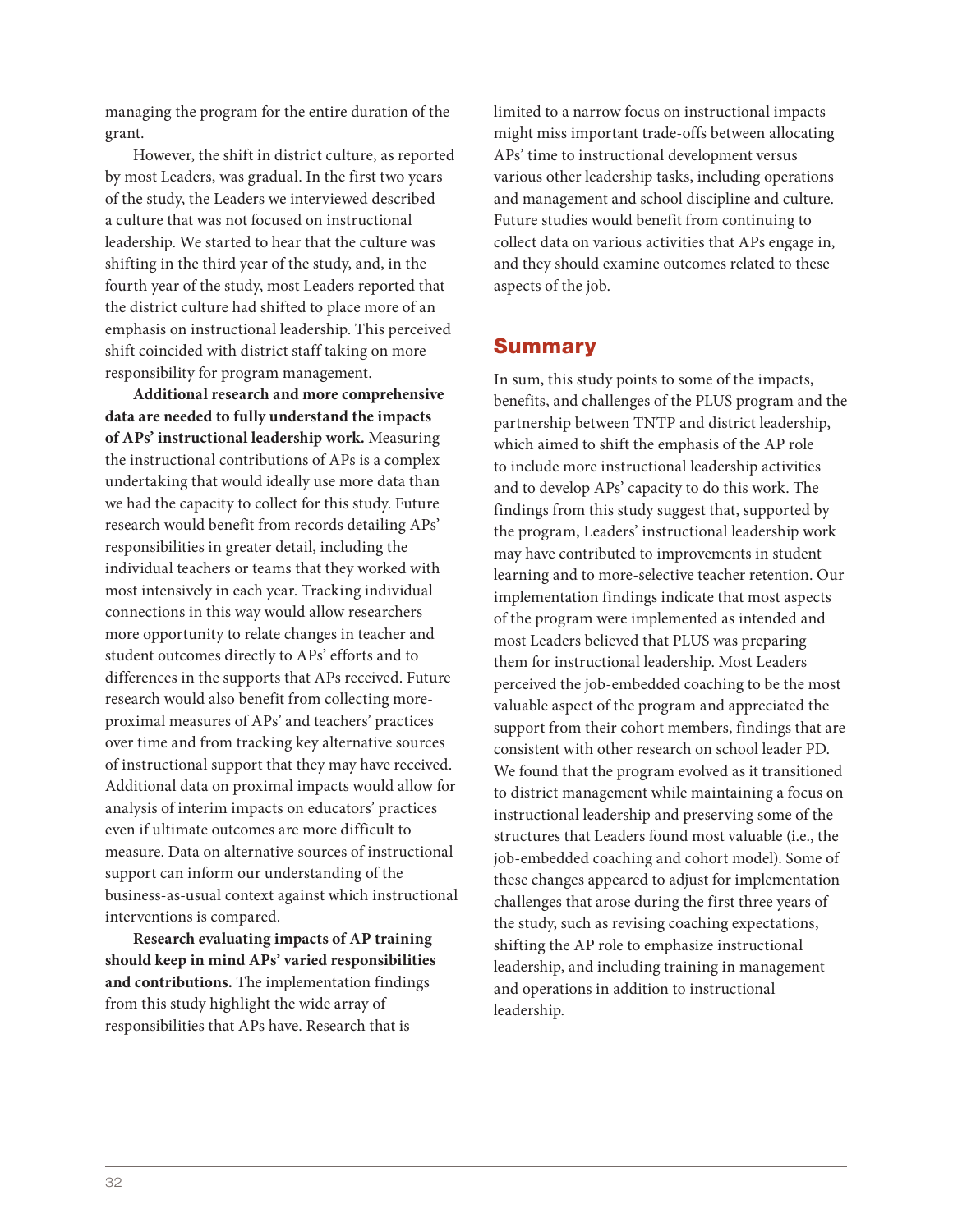managing the program for the entire duration of the grant.

However, the shift in district culture, as reported by most Leaders, was gradual. In the first two years of the study, the Leaders we interviewed described a culture that was not focused on instructional leadership. We started to hear that the culture was shifting in the third year of the study, and, in the fourth year of the study, most Leaders reported that the district culture had shifted to place more of an emphasis on instructional leadership. This perceived shift coincided with district staff taking on more responsibility for program management.

**Additional research and more comprehensive data are needed to fully understand the impacts of APs' instructional leadership work.** Measuring the instructional contributions of APs is a complex undertaking that would ideally use more data than we had the capacity to collect for this study. Future research would benefit from records detailing APs' responsibilities in greater detail, including the individual teachers or teams that they worked with most intensively in each year. Tracking individual connections in this way would allow researchers more opportunity to relate changes in teacher and student outcomes directly to APs' efforts and to differences in the supports that APs received. Future research would also benefit from collecting moreproximal measures of APs' and teachers' practices over time and from tracking key alternative sources of instructional support that they may have received. Additional data on proximal impacts would allow for analysis of interim impacts on educators' practices even if ultimate outcomes are more difficult to measure. Data on alternative sources of instructional support can inform our understanding of the business-as-usual context against which instructional interventions is compared.

**Research evaluating impacts of AP training should keep in mind APs' varied responsibilities and contributions.** The implementation findings from this study highlight the wide array of responsibilities that APs have. Research that is

limited to a narrow focus on instructional impacts might miss important trade-offs between allocating APs' time to instructional development versus various other leadership tasks, including operations and management and school discipline and culture. Future studies would benefit from continuing to collect data on various activities that APs engage in, and they should examine outcomes related to these aspects of the job.

#### Summary

In sum, this study points to some of the impacts, benefits, and challenges of the PLUS program and the partnership between TNTP and district leadership, which aimed to shift the emphasis of the AP role to include more instructional leadership activities and to develop APs' capacity to do this work. The findings from this study suggest that, supported by the program, Leaders' instructional leadership work may have contributed to improvements in student learning and to more-selective teacher retention. Our implementation findings indicate that most aspects of the program were implemented as intended and most Leaders believed that PLUS was preparing them for instructional leadership. Most Leaders perceived the job-embedded coaching to be the most valuable aspect of the program and appreciated the support from their cohort members, findings that are consistent with other research on school leader PD. We found that the program evolved as it transitioned to district management while maintaining a focus on instructional leadership and preserving some of the structures that Leaders found most valuable (i.e., the job-embedded coaching and cohort model). Some of these changes appeared to adjust for implementation challenges that arose during the first three years of the study, such as revising coaching expectations, shifting the AP role to emphasize instructional leadership, and including training in management and operations in addition to instructional leadership.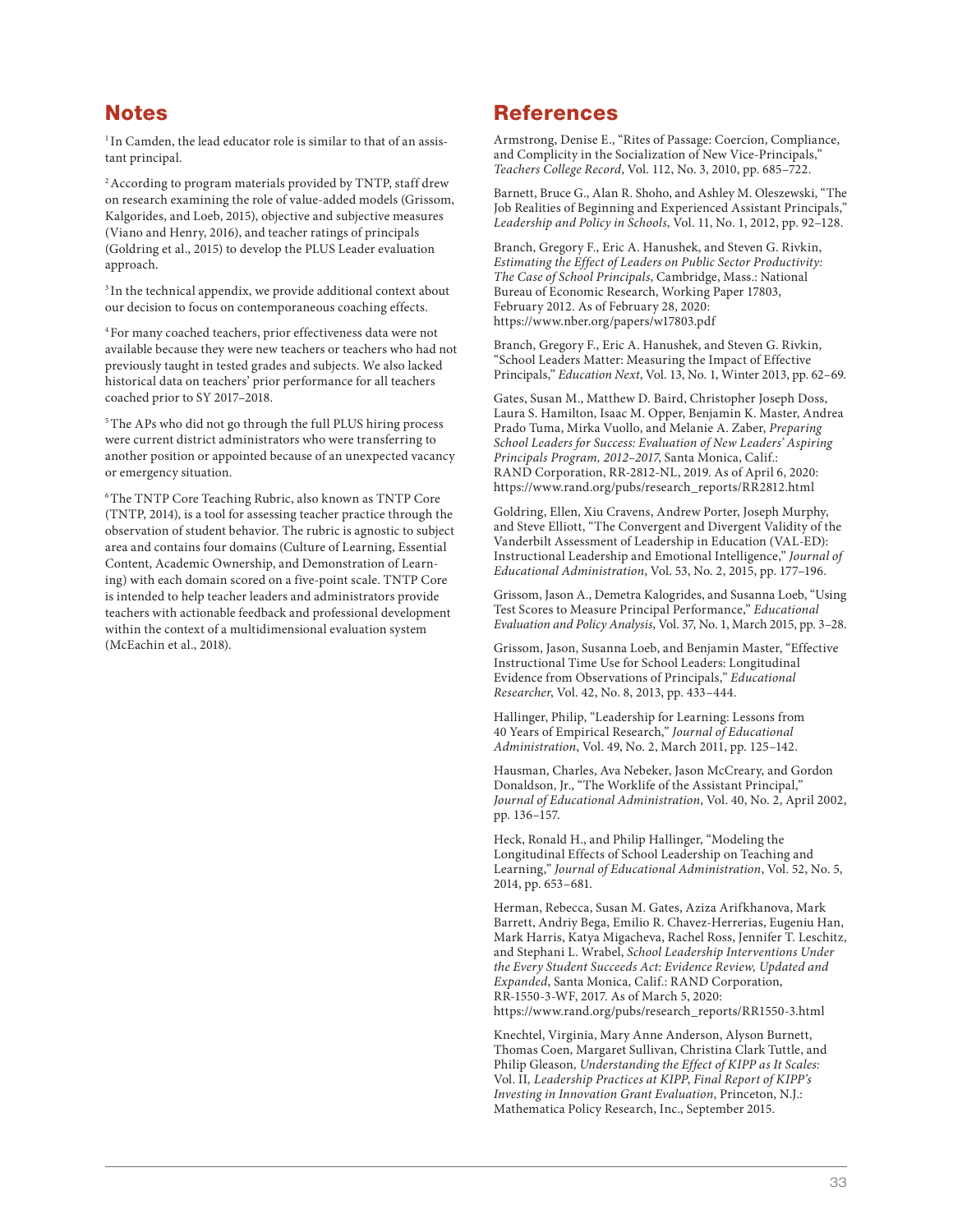#### **Notes**

<sup>1</sup> In Camden, the lead educator role is similar to that of an assistant principal.

<sup>2</sup> According to program materials provided by TNTP, staff drew on research examining the role of value-added models (Grissom, Kalgorides, and Loeb, 2015), objective and subjective measures (Viano and Henry, 2016), and teacher ratings of principals (Goldring et al., 2015) to develop the PLUS Leader evaluation approach.

<sup>3</sup> In the technical appendix, we provide additional context about our decision to focus on contemporaneous coaching effects.

4 For many coached teachers, prior effectiveness data were not available because they were new teachers or teachers who had not previously taught in tested grades and subjects. We also lacked historical data on teachers' prior performance for all teachers coached prior to SY 2017–2018.

<sup>5</sup> The APs who did not go through the full PLUS hiring process were current district administrators who were transferring to another position or appointed because of an unexpected vacancy or emergency situation.

6 The TNTP Core Teaching Rubric, also known as TNTP Core (TNTP, 2014), is a tool for assessing teacher practice through the observation of student behavior. The rubric is agnostic to subject area and contains four domains (Culture of Learning, Essential Content, Academic Ownership, and Demonstration of Learning) with each domain scored on a five-point scale. TNTP Core is intended to help teacher leaders and administrators provide teachers with actionable feedback and professional development within the context of a multidimensional evaluation system (McEachin et al., 2018).

#### References

Armstrong, Denise E., "Rites of Passage: Coercion, Compliance, and Complicity in the Socialization of New Vice-Principals," Teachers College Record, Vol. 112, No. 3, 2010, pp. 685–722.

Barnett, Bruce G., Alan R. Shoho, and Ashley M. Oleszewski, "The Job Realities of Beginning and Experienced Assistant Principals," Leadership and Policy in Schools, Vol. 11, No. 1, 2012, pp. 92–128.

Branch, Gregory F., Eric A. Hanushek, and Steven G. Rivkin, Estimating the Effect of Leaders on Public Sector Productivity: The Case of School Principals, Cambridge, Mass.: National Bureau of Economic Research, Working Paper 17803, February 2012. As of February 28, 2020: <https://www.nber.org/papers/w17803.pdf>

Branch, Gregory F., Eric A. Hanushek, and Steven G. Rivkin, "School Leaders Matter: Measuring the Impact of Effective Principals," Education Next, Vol. 13, No. 1, Winter 2013, pp. 62–69.

Gates, Susan M., Matthew D. Baird, Christopher Joseph Doss, Laura S. Hamilton, Isaac M. Opper, Benjamin K. Master, Andrea Prado Tuma, Mirka Vuollo, and Melanie A. Zaber, Preparing School Leaders for Success: Evaluation of New Leaders' Aspiring Principals Program, 2012–2017, Santa Monica, Calif.: RAND Corporation, RR-2812-NL, 2019. As of April 6, 2020: [https://www.rand.org/pubs/research\\_reports/RR2812.html](https://www.rand.org/pubs/research_reports/RR2812.html)

Goldring, Ellen, Xiu Cravens, Andrew Porter, Joseph Murphy, and Steve Elliott, "The Convergent and Divergent Validity of the Vanderbilt Assessment of Leadership in Education (VAL-ED): Instructional Leadership and Emotional Intelligence," Journal of Educational Administration, Vol. 53, No. 2, 2015, pp. 177–196.

Grissom, Jason A., Demetra Kalogrides, and Susanna Loeb, "Using Test Scores to Measure Principal Performance," Educational Evaluation and Policy Analysis, Vol. 37, No. 1, March 2015, pp. 3–28.

Grissom, Jason, Susanna Loeb, and Benjamin Master, "Effective Instructional Time Use for School Leaders: Longitudinal Evidence from Observations of Principals," Educational Researcher, Vol. 42, No. 8, 2013, pp. 433–444.

Hallinger, Philip, "Leadership for Learning: Lessons from 40 Years of Empirical Research," Journal of Educational Administration, Vol. 49, No. 2, March 2011, pp. 125–142.

Hausman, Charles, Ava Nebeker, Jason McCreary, and Gordon Donaldson, Jr., "The Worklife of the Assistant Principal," Journal of Educational Administration, Vol. 40, No. 2, April 2002, pp. 136–157.

Heck, Ronald H., and Philip Hallinger, "Modeling the Longitudinal Effects of School Leadership on Teaching and Learning," Journal of Educational Administration, Vol. 52, No. 5, 2014, pp. 653–681.

Herman, Rebecca, Susan M. Gates, Aziza Arifkhanova, Mark Barrett, Andriy Bega, Emilio R. Chavez-Herrerias, Eugeniu Han, Mark Harris, Katya Migacheva, Rachel Ross, Jennifer T. Leschitz, and Stephani L. Wrabel, School Leadership Interventions Under the Every Student Succeeds Act: Evidence Review, Updated and Expanded, Santa Monica, Calif.: RAND Corporation, RR-1550-3-WF, 2017. As of March 5, 2020: [https://www.rand.org/pubs/research\\_reports/RR1550-3.html](https://www.rand.org/pubs/research_reports/RR1550-3.html)

Knechtel, Virginia, Mary Anne Anderson, Alyson Burnett, Thomas Coen, Margaret Sullivan, Christina Clark Tuttle, and Philip Gleason, Understanding the Effect of KIPP as It Scales: Vol. II, Leadership Practices at KIPP, Final Report of KIPP's Investing in Innovation Grant Evaluation, Princeton, N.J.: Mathematica Policy Research, Inc., September 2015.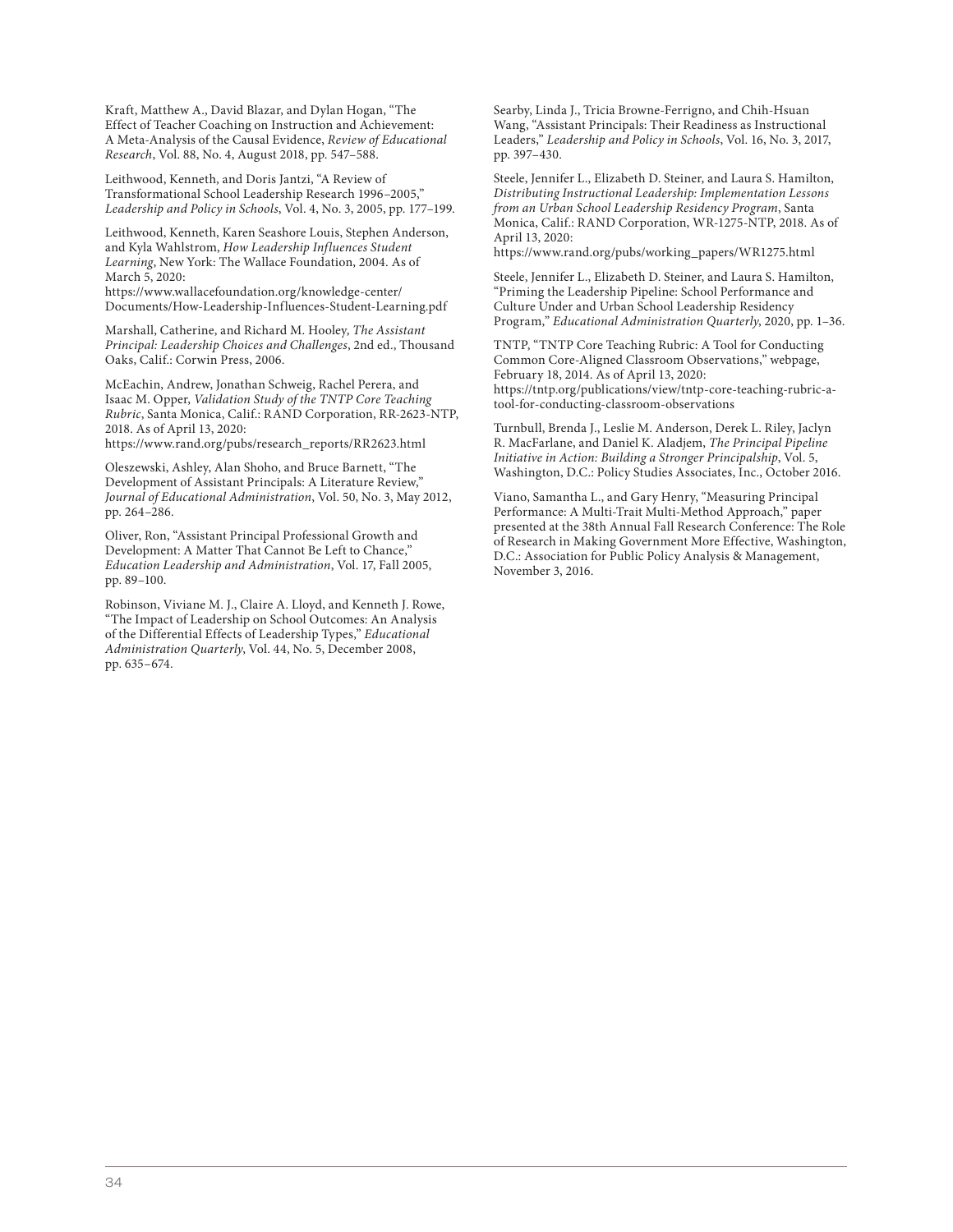Kraft, Matthew A., David Blazar, and Dylan Hogan, "The Effect of Teacher Coaching on Instruction and Achievement: A Meta-Analysis of the Causal Evidence, Review of Educational Research, Vol. 88, No. 4, August 2018, pp. 547–588.

Leithwood, Kenneth, and Doris Jantzi, "A Review of Transformational School Leadership Research 1996–2005," Leadership and Policy in Schools, Vol. 4, No. 3, 2005, pp. 177–199.

Leithwood, Kenneth, Karen Seashore Louis, Stephen Anderson, and Kyla Wahlstrom, How Leadership Influences Student Learning, New York: The Wallace Foundation, 2004. As of March 5, 2020:

https://www.wallacefoundation.org/knowledge-center/ [Documents/How-Leadership-Influences-Student-Learning.pdf](https://www.wallacefoundation.org/knowledge-center/Documents/How-Leadership-Influences-Student-Learning.pdf)

Marshall, Catherine, and Richard M. Hooley, The Assistant Principal: Leadership Choices and Challenges, 2nd ed., Thousand Oaks, Calif.: Corwin Press, 2006.

McEachin, Andrew, Jonathan Schweig, Rachel Perera, and Isaac M. Opper, Validation Study of the TNTP Core Teaching Rubric, Santa Monica, Calif.: RAND Corporation, RR-2623-NTP, 2018. As of April 13, 2020:

[https://www.rand.org/pubs/research\\_reports/RR2623.html](https://www.rand.org/pubs/research_reports/RR2623.html)

Oleszewski, Ashley, Alan Shoho, and Bruce Barnett, "The Development of Assistant Principals: A Literature Review," Journal of Educational Administration, Vol. 50, No. 3, May 2012, pp. 264–286.

Oliver, Ron, "Assistant Principal Professional Growth and Development: A Matter That Cannot Be Left to Chance," Education Leadership and Administration, Vol. 17, Fall 2005, pp. 89–100.

Robinson, Viviane M. J., Claire A. Lloyd, and Kenneth J. Rowe, "The Impact of Leadership on School Outcomes: An Analysis of the Differential Effects of Leadership Types," Educational Administration Quarterly, Vol. 44, No. 5, December 2008, pp. 635–674.

Searby, Linda J., Tricia Browne-Ferrigno, and Chih-Hsuan Wang, "Assistant Principals: Their Readiness as Instructional Leaders," Leadership and Policy in Schools, Vol. 16, No. 3, 2017, pp. 397–430.

Steele, Jennifer L., Elizabeth D. Steiner, and Laura S. Hamilton, Distributing Instructional Leadership: Implementation Lessons from an Urban School Leadership Residency Program, Santa Monica, Calif.: RAND Corporation, WR-1275-NTP, 2018. As of April 13, 2020:

[https://www.rand.org/pubs/working\\_papers/WR1275.html](https://www.rand.org/pubs/working_papers/WR1275.html)

Steele, Jennifer L., Elizabeth D. Steiner, and Laura S. Hamilton, "Priming the Leadership Pipeline: School Performance and Culture Under and Urban School Leadership Residency Program," Educational Administration Quarterly, 2020, pp. 1–36.

TNTP, "TNTP Core Teaching Rubric: A Tool for Conducting Common Core-Aligned Classroom Observations," webpage, February 18, 2014. As of April 13, 2020: [https://tntp.org/publications/view/tntp-core-teaching-rubric-a](https://tntp.org/publications/view/tntp-core-teaching-rubric-a-tool-for-conducting-classroom-observations)tool-for-conducting-classroom-observations

Turnbull, Brenda J., Leslie M. Anderson, Derek L. Riley, Jaclyn R. MacFarlane, and Daniel K. Aladjem, The Principal Pipeline Initiative in Action: Building a Stronger Principalship, Vol. 5, Washington, D.C.: Policy Studies Associates, Inc., October 2016.

Viano, Samantha L., and Gary Henry, "Measuring Principal Performance: A Multi-Trait Multi-Method Approach," paper presented at the 38th Annual Fall Research Conference: The Role of Research in Making Government More Effective, Washington, D.C.: Association for Public Policy Analysis & Management, November 3, 2016.